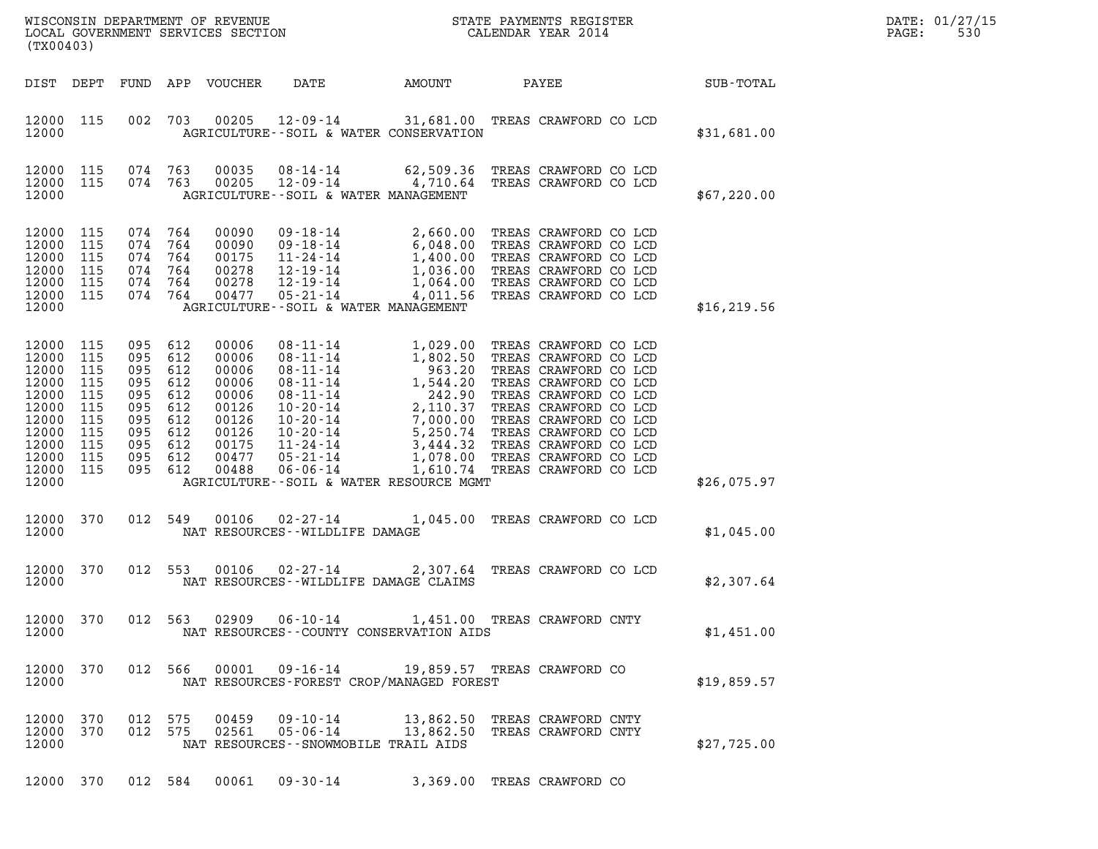| DATE: | 01/27/15 |
|-------|----------|
| PAGE: | 530      |

| ${\tt WISCONSIM\ DEPARTMENT\ OF\ REVENUE}\qquad \qquad {\tt STATE\ PAYMENTS\ REGISTER}\nonumber\\ {\tt LOCAL\ GOVERNMENT\ SERVICES\ SECTION}\qquad \qquad {\tt CALENDAR\ YEAR\ 2014}$<br>(TX00403)                                                                                                                                                                                                                                                                                      |                                                                                                                                                                                                                                                                                                                                                                                                                                                                                                                                                                                                                                                            |              | DATE: 01/27/15<br>530<br>PAGE: |
|-----------------------------------------------------------------------------------------------------------------------------------------------------------------------------------------------------------------------------------------------------------------------------------------------------------------------------------------------------------------------------------------------------------------------------------------------------------------------------------------|------------------------------------------------------------------------------------------------------------------------------------------------------------------------------------------------------------------------------------------------------------------------------------------------------------------------------------------------------------------------------------------------------------------------------------------------------------------------------------------------------------------------------------------------------------------------------------------------------------------------------------------------------------|--------------|--------------------------------|
| DIST DEPT<br>FUND APP VOUCHER                                                                                                                                                                                                                                                                                                                                                                                                                                                           | DATE AMOUNT<br>PAYEE                                                                                                                                                                                                                                                                                                                                                                                                                                                                                                                                                                                                                                       | SUB-TOTAL    |                                |
| 12000 115<br>002 703<br>00205<br>12000<br>AGRICULTURE--SOIL & WATER CONSERVATION                                                                                                                                                                                                                                                                                                                                                                                                        | 12-09-14 31,681.00 TREAS CRAWFORD CO LCD                                                                                                                                                                                                                                                                                                                                                                                                                                                                                                                                                                                                                   | \$31,681.00  |                                |
| 12000 115<br>074 763<br>00035<br>074 763<br>12000 115<br>00205<br>12000<br>AGRICULTURE--SOIL & WATER MANAGEMENT                                                                                                                                                                                                                                                                                                                                                                         | 08-14-14 62,509.36 TREAS CRAWFORD CO LCD<br>12-09-14 4,710.64 TREAS CRAWFORD CO LCD                                                                                                                                                                                                                                                                                                                                                                                                                                                                                                                                                                        | \$67,220.00  |                                |
| 12000 115<br>074<br>764<br>00090<br>09-18-14<br>12000 115<br>074 764<br>00090<br>12000<br>115<br>074<br>764<br>00175<br>12000 115<br>074 764<br>00278<br>12000 115<br>074<br>764<br>00278<br>074 764<br>12000 115<br>00477<br>$05 - 21 - 14$<br>12000<br>AGRICULTURE--SOIL & WATER MANAGEMENT                                                                                                                                                                                           | 2,660.00 TREAS CRAWFORD CO LCD<br>$\begin{array}{cccc} 09 \cdot 18 \cdot 14 & 2,660.00 \\ 09 \cdot 18 \cdot 14 & 6,048.00 \\ 11 \cdot 24 \cdot 14 & 1,400.00 \\ 12 \cdot 19 \cdot 14 & 1,036.00 \\ 12 \cdot 19 \cdot 14 & 1,064.00 \\ 1 & 0 & 0 & 0 \\ 1 & 0 & 0 & 0 \\ 1 & 0 & 0 & 0 \\ 1 & 0 & 0 & 0 \\ 1 & 0 & 0 & 0 \\ 1 & 0 & 0 & 0 \\ 1 & 0 & 0 & 0 \\ 1 & 0 & 0 &$<br>TREAS CRAWFORD CO LCD<br>TREAS CRAWFORD CO LCD<br>TREAS CRAWFORD CO LCD<br>TREAS CRAWFORD CO LCD<br>4,011.56 TREAS CRAWFORD CO LCD                                                                                                                                            | \$16, 219.56 |                                |
| 12000 115<br>095 612<br>00006<br>12000<br>115<br>095<br>612<br>00006<br>12000<br>115<br>095<br>612<br>00006<br>12000<br>115<br>095<br>612<br>00006<br>12000<br>115<br>095<br>612<br>00006<br>12000<br>115<br>095<br>612<br>00126<br>12000 115<br>095<br>612<br>00126<br>12000<br>115<br>095<br>612<br>00126<br>12000 115<br>095 612<br>00175<br>12000 115<br>095<br>612<br>00477<br>12000 115<br>095 612<br>00488<br>$06 - 06 - 14$<br>12000<br>AGRICULTURE--SOIL & WATER RESOURCE MGMT | 08-11-14 1,029.00 TREAS CRAWFORD CO LCD<br>$\begin{array}{cccc} 08\text{-}11\text{-}14 & 1,029\text{.}00 \\ 08\text{-}11\text{-}14 & 1,802\text{.}50 \\ 08\text{-}11\text{-}14 & 1,802\text{.}50 \\ 08\text{-}11\text{-}14 & 1,544\text{.}20 \\ 08\text{-}11\text{-}14 & 2,110\text{.}37 \\ 10\text{-}20\text{-}14 & 2,110\text{.}37 \\ 10\text{-}20\text{-}14 & 5,250\text{.}01 \\ 11$<br>TREAS CRAWFORD CO LCD<br>TREAS CRAWFORD CO LCD<br>TREAS CRAWFORD CO LCD<br>TREAS CRAWFORD CO LCD<br>TREAS CRAWFORD CO LCD<br>TREAS CRAWFORD CO LCD<br>TREAS CRAWFORD CO LCD<br>TREAS CRAWFORD CO LCD<br>TREAS CRAWFORD CO LCD<br>1,610.74 TREAS CRAWFORD CO LCD | \$26,075.97  |                                |
| 12000 370<br>012 549<br>12000<br>NAT RESOURCES - WILDLIFE DAMAGE                                                                                                                                                                                                                                                                                                                                                                                                                        | 00106 02-27-14 1,045.00 TREAS CRAWFORD CO LCD                                                                                                                                                                                                                                                                                                                                                                                                                                                                                                                                                                                                              | \$1,045.00   |                                |
| 12000 370<br>012 553<br>00106 02-27-14<br>12000<br>NAT RESOURCES--WILDLIFE DAMAGE CLAIMS                                                                                                                                                                                                                                                                                                                                                                                                | 2,307.64 TREAS CRAWFORD CO LCD                                                                                                                                                                                                                                                                                                                                                                                                                                                                                                                                                                                                                             | \$2,307.64   |                                |
| 012 563 02909 06-10-14<br>12000 370<br>12000<br>NAT RESOURCES - - COUNTY CONSERVATION AIDS                                                                                                                                                                                                                                                                                                                                                                                              | 1,451.00 TREAS CRAWFORD CNTY                                                                                                                                                                                                                                                                                                                                                                                                                                                                                                                                                                                                                               | \$1,451.00   |                                |
| 012 566<br>00001<br>09-16-14<br>12000 370<br>12000<br>NAT RESOURCES-FOREST CROP/MANAGED FOREST                                                                                                                                                                                                                                                                                                                                                                                          | 19,859.57 TREAS CRAWFORD CO                                                                                                                                                                                                                                                                                                                                                                                                                                                                                                                                                                                                                                | \$19,859.57  |                                |
| 09-10-14<br>12000 370<br>012 575<br>00459<br>12000 370<br>012 575<br>02561<br>$05 - 06 - 14$<br>12000<br>NAT RESOURCES - - SNOWMOBILE TRAIL AIDS                                                                                                                                                                                                                                                                                                                                        | 13,862.50 TREAS CRAWFORD CNTY<br>13,862.50<br>TREAS CRAWFORD CNTY                                                                                                                                                                                                                                                                                                                                                                                                                                                                                                                                                                                          | \$27,725.00  |                                |

12000 370 012 584 00061 09-30-14 3,369.00 TREAS CRAWFORD CO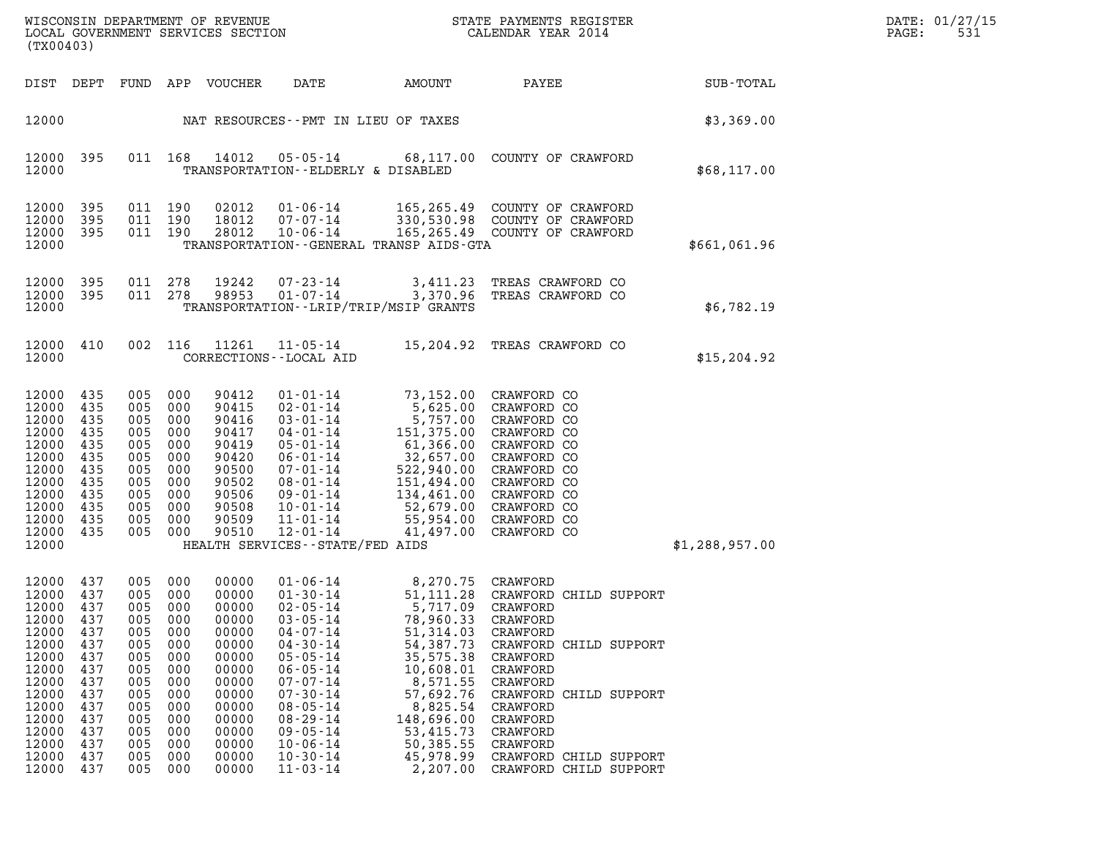| DATE: | 01/27/15 |
|-------|----------|
| PAGE: | 531      |

| $\sum_{i=1}^{n}$<br>WISCONSIN DEPARTMENT OF REVENUE<br>LOCAL GOVERNMENT SERVICES SECTION<br>(TX00403)                                        |                                                                                                              |                                                                                                              |                                                                                                              |                                                                                                                                              |                                                                                                                                                                                                                                                                                        |                                                                                                                                                                                                      | STATE PAYMENTS REGISTER<br>CALENDAR YEAR 2014                                                                                                                                                                                                                    |                | DATE: 01/27/15<br>PAGE:<br>531 |
|----------------------------------------------------------------------------------------------------------------------------------------------|--------------------------------------------------------------------------------------------------------------|--------------------------------------------------------------------------------------------------------------|--------------------------------------------------------------------------------------------------------------|----------------------------------------------------------------------------------------------------------------------------------------------|----------------------------------------------------------------------------------------------------------------------------------------------------------------------------------------------------------------------------------------------------------------------------------------|------------------------------------------------------------------------------------------------------------------------------------------------------------------------------------------------------|------------------------------------------------------------------------------------------------------------------------------------------------------------------------------------------------------------------------------------------------------------------|----------------|--------------------------------|
| DIST DEPT                                                                                                                                    |                                                                                                              | FUND                                                                                                         |                                                                                                              | APP VOUCHER                                                                                                                                  | DATE                                                                                                                                                                                                                                                                                   | AMOUNT                                                                                                                                                                                               | PAYEE                                                                                                                                                                                                                                                            | SUB-TOTAL      |                                |
| 12000                                                                                                                                        |                                                                                                              |                                                                                                              |                                                                                                              |                                                                                                                                              | NAT RESOURCES - PMT IN LIEU OF TAXES                                                                                                                                                                                                                                                   |                                                                                                                                                                                                      |                                                                                                                                                                                                                                                                  | \$3,369.00     |                                |
| 12000<br>12000                                                                                                                               | 395                                                                                                          |                                                                                                              | 011 168                                                                                                      | 14012                                                                                                                                        | $05 - 05 - 14$<br>TRANSPORTATION--ELDERLY & DISABLED                                                                                                                                                                                                                                   |                                                                                                                                                                                                      | 68,117.00 COUNTY OF CRAWFORD                                                                                                                                                                                                                                     | \$68,117.00    |                                |
| 12000<br>12000<br>12000<br>12000                                                                                                             | 395<br>395<br>395                                                                                            |                                                                                                              | 011 190<br>011 190<br>011 190                                                                                | 02012<br>18012<br>28012                                                                                                                      | $01 - 06 - 14$<br>07-07-14<br>$10 - 06 - 14$                                                                                                                                                                                                                                           | TRANSPORTATION - - GENERAL TRANSP AIDS - GTA                                                                                                                                                         | 165,265.49 COUNTY OF CRAWFORD<br>330,530.98 COUNTY OF CRAWFORD<br>165,265.49 COUNTY OF CRAWFORD                                                                                                                                                                  | \$661,061.96   |                                |
| 12000<br>12000<br>12000                                                                                                                      | 395<br>395                                                                                                   | 011 278                                                                                                      | 011 278                                                                                                      | 19242<br>98953                                                                                                                               | $07 - 23 - 14$<br>$01 - 07 - 14$                                                                                                                                                                                                                                                       | 3,411.23<br>3,370.96<br>TRANSPORTATION - - LRIP/TRIP/MSIP GRANTS                                                                                                                                     | TREAS CRAWFORD CO<br>TREAS CRAWFORD CO                                                                                                                                                                                                                           | \$6,782.19     |                                |
| 12000 410<br>12000                                                                                                                           |                                                                                                              |                                                                                                              | 002 116                                                                                                      | 11261                                                                                                                                        | $11 - 05 - 14$<br>CORRECTIONS - - LOCAL AID                                                                                                                                                                                                                                            |                                                                                                                                                                                                      | 15,204.92 TREAS CRAWFORD CO                                                                                                                                                                                                                                      | \$15, 204.92   |                                |
| 12000<br>12000<br>12000<br>12000<br>12000<br>12000<br>12000<br>12000<br>12000<br>12000<br>12000<br>12000<br>12000                            | 435<br>435<br>435<br>435<br>435<br>435<br>435<br>435<br>435<br>435<br>435<br>435                             | 005<br>005<br>005<br>005<br>005<br>005<br>005<br>005<br>005<br>005<br>005<br>005                             | 000<br>000<br>000<br>000<br>000<br>000<br>000<br>000<br>000<br>000<br>000<br>000                             | 90412<br>90415<br>90416<br>90417<br>90419<br>90420<br>90500<br>90502<br>90506<br>90508<br>90509<br>90510                                     | $01 - 01 - 14$<br>$02 - 01 - 14$<br>$03 - 01 - 14$<br>$04 - 01 - 14$<br>$05 - 01 - 14$<br>$06 - 01 - 14$<br>$07 - 01 - 14$<br>$08 - 01 - 14$<br>09-01-14<br>$10 - 01 - 14$<br>$11 - 01 - 14$<br>$12 - 01 - 14$<br>HEALTH SERVICES - - STATE/FED AIDS                                   | 151,375.00<br>61,366.00<br>32,657.00<br>151,494.00<br>52,679.00<br>41,497.00                                                                                                                         | 73,152.00 CRAWFORD CO<br>5,625.00 CRAWFORD CO<br>5,757.00 CRAWFORD CO<br>CRAWFORD CO<br>CRAWFORD CO<br>CRAWFORD CO<br>522,940.00 CRAWFORD CO<br>CRAWFORD CO<br>134,461.00 CRAWFORD CO<br>CRAWFORD CO<br>55,954.00 CRAWFORD CO<br>CRAWFORD CO                     | \$1,288,957.00 |                                |
| 12000<br>12000<br>12000<br>12000<br>12000<br>12000<br>12000<br>12000<br>12000<br>12000<br>12000<br>12000<br>12000<br>12000<br>12000<br>12000 | 437<br>437<br>437<br>437<br>437<br>437<br>437<br>437<br>437<br>437<br>437<br>437<br>437<br>437<br>437<br>437 | 005<br>005<br>005<br>005<br>005<br>005<br>005<br>005<br>005<br>005<br>005<br>005<br>005<br>005<br>005<br>005 | 000<br>000<br>000<br>000<br>000<br>000<br>000<br>000<br>000<br>000<br>000<br>000<br>000<br>000<br>000<br>000 | 00000<br>00000<br>00000<br>00000<br>00000<br>00000<br>00000<br>00000<br>00000<br>00000<br>00000<br>00000<br>00000<br>00000<br>00000<br>00000 | 01-06-14<br>$01 - 30 - 14$<br>$02 - 05 - 14$<br>$03 - 05 - 14$<br>$04 - 07 - 14$<br>$04 - 30 - 14$<br>$05 - 05 - 14$<br>$06 - 05 - 14$<br>$07 - 07 - 14$<br>$07 - 30 - 14$<br>$08 - 05 - 14$<br>$08 - 29 - 14$<br>$09 - 05 - 14$<br>$10 - 06 - 14$<br>$10 - 30 - 14$<br>$11 - 03 - 14$ | 8,270.75 CRAWFORD<br>5,717.09<br>78,960.33<br>51,314.03<br>54,387.73<br>35,575.38<br>10,608.01<br>8,571.55<br>57,692.76<br>8,825.54<br>148,696.00<br>53,415.73<br>50,385.55<br>45,978.99<br>2,207.00 | 51,111.28 CRAWFORD CHILD SUPPORT<br>CRAWFORD<br>CRAWFORD<br>CRAWFORD<br>CRAWFORD CHILD SUPPORT<br>CRAWFORD<br>CRAWFORD<br>CRAWFORD<br>CRAWFORD CHILD SUPPORT<br>CRAWFORD<br>CRAWFORD<br>CRAWFORD<br>CRAWFORD<br>CRAWFORD CHILD SUPPORT<br>CRAWFORD CHILD SUPPORT |                |                                |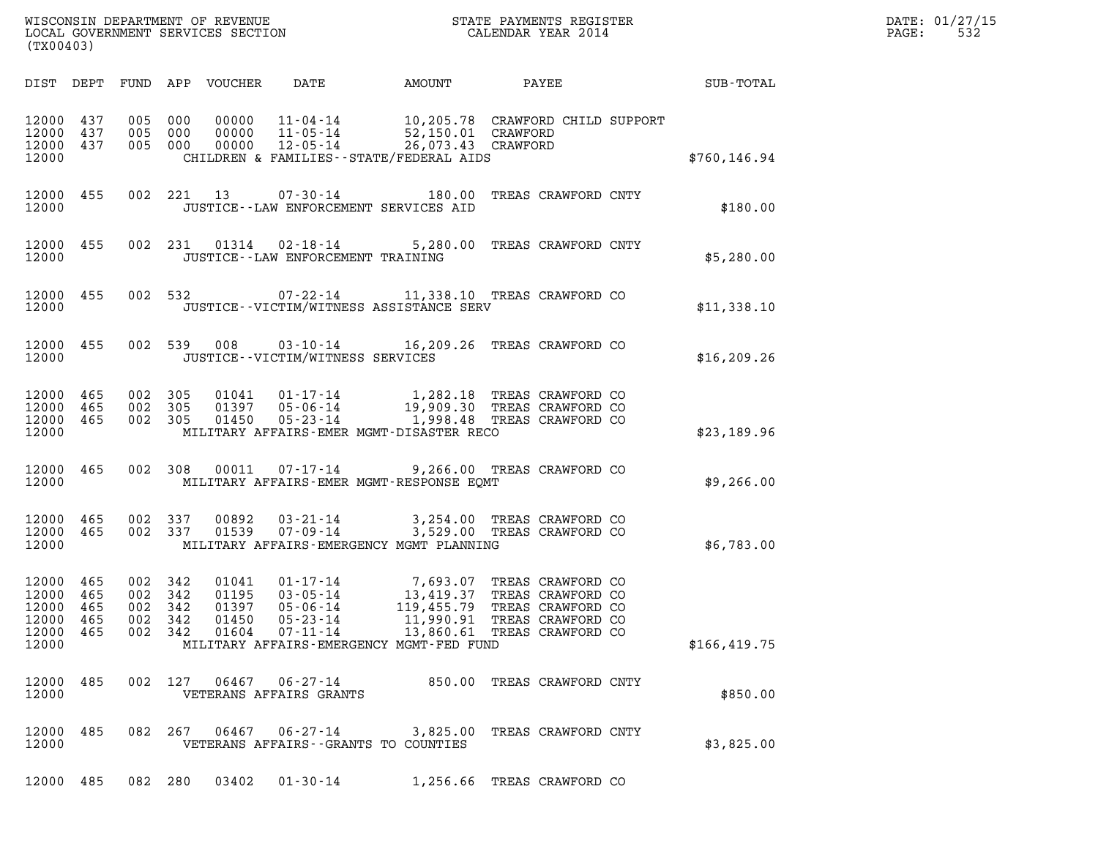| (TX00403)                                                                                                                                                                                                                                                                                                                                                                                                                                                                            | DATE: 01/27/15<br>532<br>$\mathtt{PAGE}$ : |
|--------------------------------------------------------------------------------------------------------------------------------------------------------------------------------------------------------------------------------------------------------------------------------------------------------------------------------------------------------------------------------------------------------------------------------------------------------------------------------------|--------------------------------------------|
| FUND APP VOUCHER<br>DATE<br>AMOUNT<br>DIST DEPT                                                                                                                                                                                                                                                                                                                                                                                                                                      | PAYEE SUB-TOTAL                            |
| 00000  11-04-14  10,205.78  CRAWFORD CHILD SUPPORT<br>00000  11-05-14  52,150.01  CRAWFORD<br>00000  12-05-14  26,073.43  CRAWFORD<br>12000 437<br>005 000<br>12000<br>437<br>005 000<br>12000 437<br>005 000<br>12000<br>CHILDREN & FAMILIES--STATE/FEDERAL AIDS                                                                                                                                                                                                                    | \$760, 146.94                              |
| 12000 455<br>002 221 13<br>07-30-14 180.00 TREAS CRAWFORD CNTY<br>12000<br>JUSTICE -- LAW ENFORCEMENT SERVICES AID                                                                                                                                                                                                                                                                                                                                                                   | \$180.00                                   |
| 12000 455<br>002 231 01314 02-18-14<br>5,280.00 TREAS CRAWFORD CNTY<br>12000<br>JUSTICE - - LAW ENFORCEMENT TRAINING                                                                                                                                                                                                                                                                                                                                                                 | \$5,280.00                                 |
| 12000 455<br>002 532<br>07-22-14 11,338.10 TREAS CRAWFORD CO<br>12000<br>JUSTICE - - VICTIM/WITNESS ASSISTANCE SERV                                                                                                                                                                                                                                                                                                                                                                  | \$11,338.10                                |
| 002 539 008<br>03-10-14 16,209.26 TREAS CRAWFORD CO<br>12000 455<br>12000<br>JUSTICE -- VICTIM/WITNESS SERVICES                                                                                                                                                                                                                                                                                                                                                                      | \$16, 209.26                               |
| 01041  01-17-14  1,282.18 TREAS CRAWFORD CO<br>01397  05-06-14  19,909.30 TREAS CRAWFORD CO<br>12000 465<br>002 305<br>002 305<br>12000<br>465<br>12000 465<br>002 305<br>01450<br>05-23-14 1,998.48 TREAS CRAWFORD CO<br>12000<br>MILITARY AFFAIRS-EMER MGMT-DISASTER RECO                                                                                                                                                                                                          | \$23,189.96                                |
| 002 308 00011 07-17-14 9,266.00 TREAS CRAWFORD CO<br>12000 465<br>12000<br>MILITARY AFFAIRS-EMER MGMT-RESPONSE EOMT                                                                                                                                                                                                                                                                                                                                                                  | \$9,266.00                                 |
| 12000 465<br>002 337<br>00892  03-21-14  3,254.00 TREAS CRAWFORD CO<br>01539  07-09-14  3,529.00 TREAS CRAWFORD CO<br>12000 465<br>002 337<br>12000<br>MILITARY AFFAIRS-EMERGENCY MGMT PLANNING                                                                                                                                                                                                                                                                                      | \$6,783.00                                 |
| 465<br>002 342<br>01041<br>01-17-14 7,693.07 TREAS CRAWFORD CO<br>12000<br>12000 465<br>002 342<br>01195<br>$03 - 05 - 14$<br>13,419.37 TREAS CRAWFORD CO<br>12000<br>465<br>002<br>342<br>01397<br>$05 - 06 - 14$<br>119,455.79 TREAS CRAWFORD CO<br>12000<br>342<br>01450<br>$05 - 23 - 14$<br>465<br>002<br>11,990.91 TREAS CRAWFORD CO<br>12000<br>465<br>002 342<br>01604<br>$07 - 11 - 14$<br>13,860.61 TREAS CRAWFORD CO<br>12000<br>MILITARY AFFAIRS-EMERGENCY MGMT-FED FUND | \$166,419.75                               |
| 06467<br>12000<br>485<br>002 127<br>$06 - 27 - 14$<br>850.00 TREAS CRAWFORD CNTY<br>12000<br>VETERANS AFFAIRS GRANTS                                                                                                                                                                                                                                                                                                                                                                 | \$850.00                                   |
| 06467<br>12000<br>485<br>082 267<br>06-27-14<br>3,825.00 TREAS CRAWFORD CNTY<br>12000<br>VETERANS AFFAIRS - - GRANTS TO COUNTIES                                                                                                                                                                                                                                                                                                                                                     | \$3,825.00                                 |
| 12000 485<br>082 280<br>03402<br>$01 - 30 - 14$<br>1,256.66 TREAS CRAWFORD CO                                                                                                                                                                                                                                                                                                                                                                                                        |                                            |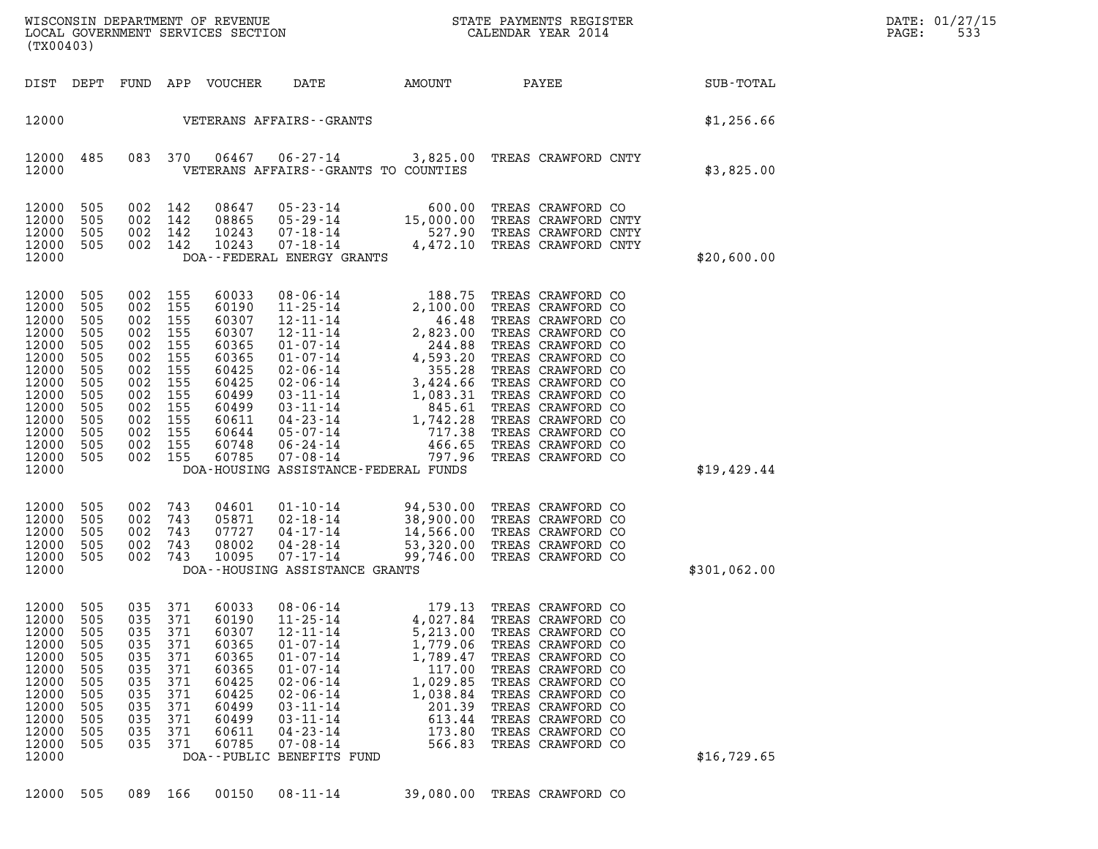| WISCONSIN DEPARTMENT OF REVENUE<br>LOCAL GOVERNMENT SERVICES SECTION<br>(TX00403)                                                   |                                                                                                |                                                                                                    |                                                                                         |                                                                                                                            |                                                                                                                                                                                                                                                                                                  |                                                                                                                                           | STATE PAYMENTS REGISTER<br>CALENDAR YEAR 2014                                                                                                                                                                                                                                                             |                  | DATE: 01/27/15<br>533<br>PAGE: |
|-------------------------------------------------------------------------------------------------------------------------------------|------------------------------------------------------------------------------------------------|----------------------------------------------------------------------------------------------------|-----------------------------------------------------------------------------------------|----------------------------------------------------------------------------------------------------------------------------|--------------------------------------------------------------------------------------------------------------------------------------------------------------------------------------------------------------------------------------------------------------------------------------------------|-------------------------------------------------------------------------------------------------------------------------------------------|-----------------------------------------------------------------------------------------------------------------------------------------------------------------------------------------------------------------------------------------------------------------------------------------------------------|------------------|--------------------------------|
| DIST DEPT                                                                                                                           |                                                                                                |                                                                                                    |                                                                                         | FUND APP VOUCHER                                                                                                           | DATE                                                                                                                                                                                                                                                                                             | AMOUNT                                                                                                                                    | PAYEE                                                                                                                                                                                                                                                                                                     | <b>SUB-TOTAL</b> |                                |
| 12000                                                                                                                               |                                                                                                |                                                                                                    |                                                                                         |                                                                                                                            | VETERANS AFFAIRS--GRANTS                                                                                                                                                                                                                                                                         |                                                                                                                                           |                                                                                                                                                                                                                                                                                                           | \$1,256.66       |                                |
| 12000<br>12000                                                                                                                      | 485                                                                                            | 083 370                                                                                            |                                                                                         | 06467                                                                                                                      | VETERANS AFFAIRS -- GRANTS TO COUNTIES                                                                                                                                                                                                                                                           |                                                                                                                                           | 06-27-14 3,825.00 TREAS CRAWFORD CNTY                                                                                                                                                                                                                                                                     | \$3,825.00       |                                |
| 12000<br>12000<br>12000<br>12000<br>12000                                                                                           | 505<br>505<br>505<br>505                                                                       | 002<br>002 142<br>002<br>002 142                                                                   | 142<br>142                                                                              | 08647<br>08865<br>10243<br>10243                                                                                           | $05 - 23 - 14$<br>$05 - 29 - 14$<br>$07 - 18 - 14$<br>$07 - 18 - 14$<br>DOA--FEDERAL ENERGY GRANTS                                                                                                                                                                                               | 600.00<br>15,000.00<br>527.90                                                                                                             | TREAS CRAWFORD CO<br>TREAS CRAWFORD CNTY<br>TREAS CRAWFORD CNTY<br>4,472.10 TREAS CRAWFORD CNTY                                                                                                                                                                                                           | \$20,600.00      |                                |
| 12000<br>12000<br>12000<br>12000<br>12000<br>12000<br>12000<br>12000<br>12000<br>12000<br>12000<br>12000<br>12000<br>12000<br>12000 | 505<br>505<br>505<br>505<br>505<br>505<br>505<br>505<br>505<br>505<br>505<br>505<br>505<br>505 | 002<br>002<br>002<br>002<br>002<br>002<br>002<br>002<br>002<br>002<br>002<br>002<br>002<br>002 155 | 155<br>155<br>155<br>155<br>155<br>155<br>155<br>155<br>155<br>155<br>155<br>155<br>155 | 60033<br>60190<br>60307<br>60307<br>60365<br>60365<br>60425<br>60425<br>60499<br>60499<br>60611<br>60644<br>60748<br>60785 | $08 - 06 - 14$<br>$11 - 25 - 14$<br>$12 - 11 - 14$<br>$12 - 11 - 14$<br>$01 - 07 - 14$<br>$01 - 07 - 14$<br>$02 - 06 - 14$<br>$02 - 06 - 14$<br>$03 - 11 - 14$<br>$03 - 11 - 14$<br>$04 - 23 - 14$<br>$05 - 07 - 14$<br>$06 - 24 - 14$<br>$07 - 08 - 14$<br>DOA-HOUSING ASSISTANCE-FEDERAL FUNDS | 2,100.00<br>46.48<br>2,823.00<br>244.88<br>4,593.20<br>355.28<br>$3,424.66$<br>1,083.31<br>845.61<br>742.28<br>717.38<br>466.65<br>797.96 | 188.75 TREAS CRAWFORD CO<br>TREAS CRAWFORD CO<br>TREAS CRAWFORD CO<br>TREAS CRAWFORD CO<br>TREAS CRAWFORD CO<br>TREAS CRAWFORD CO<br>TREAS CRAWFORD CO<br>TREAS CRAWFORD CO<br>TREAS CRAWFORD CO<br>TREAS CRAWFORD CO<br>TREAS CRAWFORD CO<br>TREAS CRAWFORD CO<br>TREAS CRAWFORD CO<br>TREAS CRAWFORD CO | \$19,429.44      |                                |
| 12000<br>12000<br>12000<br>12000<br>12000<br>12000                                                                                  | 505<br>505<br>505<br>505<br>505                                                                | 002<br>002<br>002<br>002<br>002                                                                    | 743<br>743<br>743<br>743<br>743                                                         | 04601<br>05871<br>07727<br>08002<br>10095                                                                                  | $01 - 10 - 14$<br>$02 - 18 - 14$<br>$04 - 17 - 14$<br>$04 - 28 - 14$<br>$07 - 17 - 14$<br>DOA--HOUSING ASSISTANCE GRANTS                                                                                                                                                                         | 94,530.00<br>99,746.00                                                                                                                    | TREAS CRAWFORD CO<br>38,900.00 TREAS CRAWFORD CO<br>14,566.00 TREAS CRAWFORD CO<br>53,320.00 TREAS CRAWFORD CO<br>TREAS CRAWFORD CO                                                                                                                                                                       | \$301,062.00     |                                |
| 12000<br>12000<br>12000<br>12000<br>12000<br>12000<br>12000<br>12000<br>12000<br>12000<br>12000<br>12000<br>12000                   | 505<br>505<br>505<br>505<br>505<br>505<br>505<br>505<br>505<br>505<br>505<br>505               | 035<br>035<br>035<br>035<br>035<br>035<br>035<br>035<br>035<br>035<br>035<br>035                   | 371<br>371<br>371<br>371<br>371<br>371<br>371<br>371<br>371<br>371<br>371<br>371        | 60033<br>60190<br>60307<br>60365<br>60365<br>60365<br>60425<br>60425<br>60499<br>60499<br>60611<br>60785                   | $08 - 06 - 14$<br>$11 - 25 - 14$<br>$12 - 11 - 14$<br>$01 - 07 - 14$<br>$01 - 07 - 14$<br>$01 - 07 - 14$<br>$02 - 06 - 14$<br>$02 - 06 - 14$<br>$03 - 11 - 14$<br>$03 - 11 - 14$<br>$04 - 23 - 14$<br>$07 - 08 - 14$<br>DOA--PUBLIC BENEFITS FUND                                                | 179.13<br>4,027.84<br>5,213.00<br>1,779.06<br>1,789.47<br>117.00<br>1,029.85<br>1,038.84<br>201.39<br>613.44<br>173.80<br>566.83          | TREAS CRAWFORD CO<br>TREAS CRAWFORD CO<br>TREAS CRAWFORD CO<br>TREAS CRAWFORD CO<br>TREAS CRAWFORD CO<br>TREAS CRAWFORD CO<br>TREAS CRAWFORD CO<br>TREAS CRAWFORD CO<br>TREAS CRAWFORD CO<br>TREAS CRAWFORD CO<br>TREAS CRAWFORD CO<br>TREAS CRAWFORD CO                                                  | \$16, 729.65     |                                |
| 12000                                                                                                                               | 505                                                                                            | 089                                                                                                | 166                                                                                     | 00150                                                                                                                      | $08 - 11 - 14$                                                                                                                                                                                                                                                                                   | 39,080.00                                                                                                                                 | TREAS CRAWFORD CO                                                                                                                                                                                                                                                                                         |                  |                                |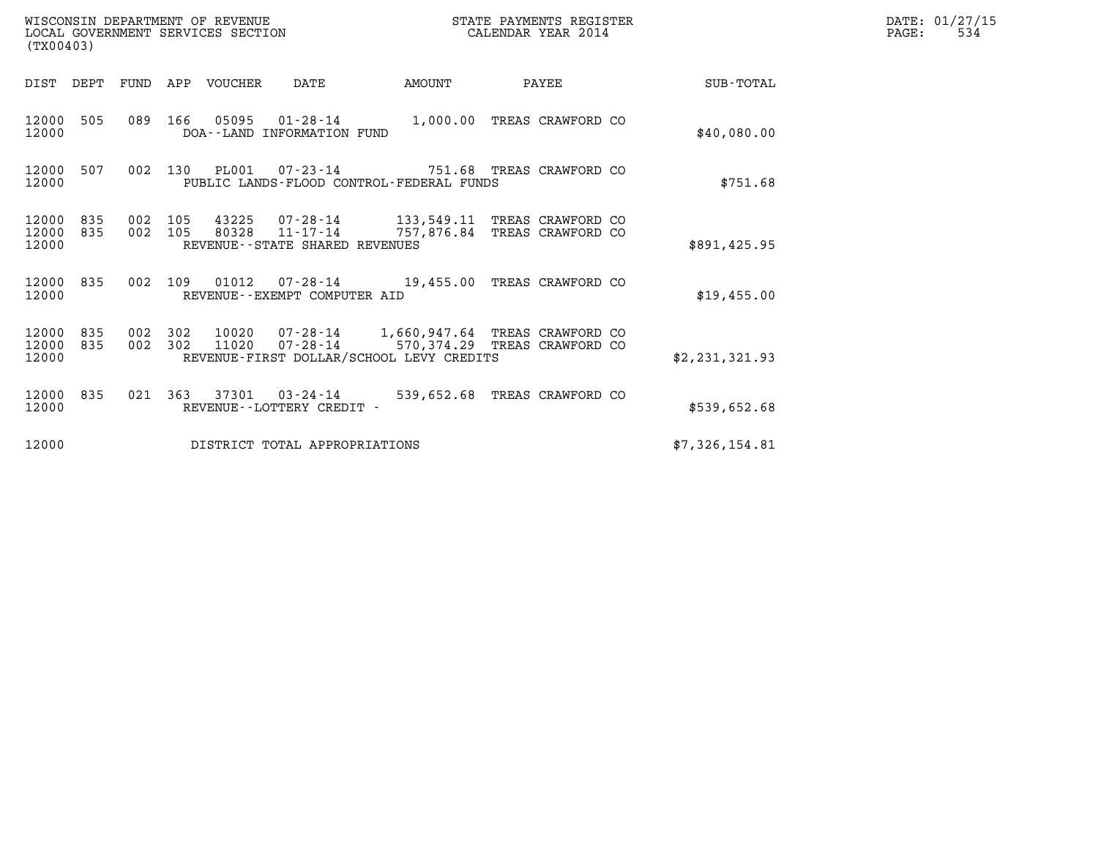| (TX00403)                   |            |                    |         | WISCONSIN DEPARTMENT OF REVENUE<br>LOCAL GOVERNMENT SERVICES SECTION |                                              |                                                                                                                     | STATE PAYMENTS REGISTER<br>CALENDAR YEAR 2014 |  | DATE: 01/27/15<br>PAGE:<br>534 |  |  |
|-----------------------------|------------|--------------------|---------|----------------------------------------------------------------------|----------------------------------------------|---------------------------------------------------------------------------------------------------------------------|-----------------------------------------------|--|--------------------------------|--|--|
|                             |            |                    |         | DIST DEPT FUND APP VOUCHER                                           | DATE                                         | AMOUNT                                                                                                              | PAYEE                                         |  | SUB-TOTAL                      |  |  |
| 12000 505<br>12000          |            | 089 166            |         | 05095                                                                | $01 - 28 - 14$<br>DOA--LAND INFORMATION FUND | 1,000.00 TREAS CRAWFORD CO                                                                                          |                                               |  | \$40,080.00                    |  |  |
| 12000<br>12000              | 507        |                    | 002 130 | PL001                                                                | $07 - 23 - 14$                               | PUBLIC LANDS-FLOOD CONTROL-FEDERAL FUNDS                                                                            | 751.68 TREAS CRAWFORD CO                      |  | \$751.68                       |  |  |
| 12000<br>12000<br>12000     | 835<br>835 | 002<br>002 105     | 105     | 43225<br>80328                                                       | 11-17-14<br>REVENUE--STATE SHARED REVENUES   | 07-28-14 133,549.11 TREAS CRAWFORD CO<br>757,876.84 TREAS CRAWFORD CO                                               |                                               |  | \$891,425.95                   |  |  |
| 12000 835<br>12000          |            | 002 109            |         |                                                                      | REVENUE--EXEMPT COMPUTER AID                 | 01012  07-28-14  19,455.00  TREAS CRAWFORD CO                                                                       |                                               |  | \$19,455.00                    |  |  |
| 12000 835<br>12000<br>12000 | 835        | 002 302<br>002 302 |         | 10020<br>11020                                                       | $07 - 28 - 14$                               | 07-28-14 1,660,947.64 TREAS CRAWFORD CO<br>570,374.29 TREAS CRAWFORD CO<br>REVENUE-FIRST DOLLAR/SCHOOL LEVY CREDITS |                                               |  | \$2,231,321.93                 |  |  |
| 12000<br>12000              | 835        |                    | 021 363 | 37301                                                                | $03 - 24 - 14$<br>REVENUE--LOTTERY CREDIT -  | 539,652.68 TREAS CRAWFORD CO                                                                                        |                                               |  | \$539,652.68                   |  |  |
| 12000                       |            |                    |         |                                                                      | DISTRICT TOTAL APPROPRIATIONS                |                                                                                                                     |                                               |  | \$7,326,154.81                 |  |  |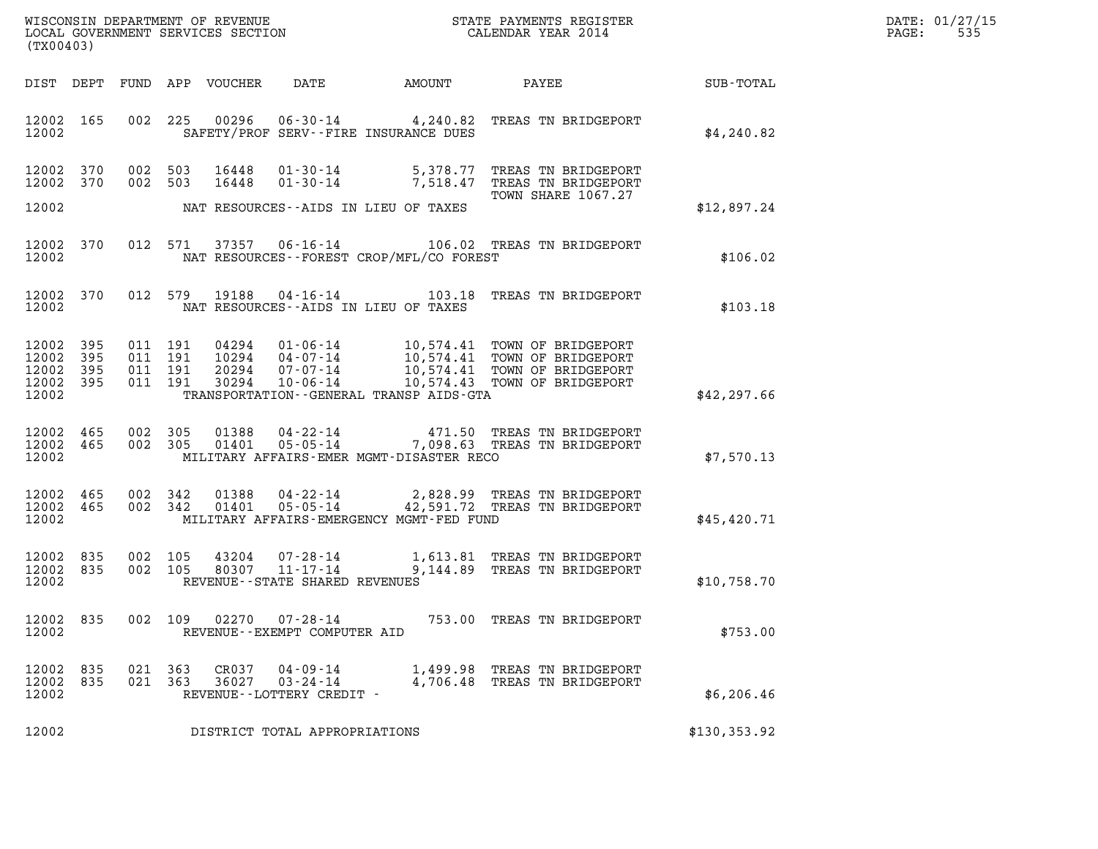| WISCONSIN DEPARTMENT OF REVENUE   | STATE PAYMENTS REGISTER | DATE: 01/27/15           |
|-----------------------------------|-------------------------|--------------------------|
| LOCAL GOVERNMENT SERVICES SECTION | CALENDAR YEAR 2014      | 53 <sup>t</sup><br>PAGE: |

|                                                       | WISCONSIN DEPARTMENT OF REVENUE<br>LOCAL GOVERNMENT SERVICES SECTION<br>CALENDAR YEAR 2014<br>(TX00403) |     |                    |                |                                                         |                                          |                                                                                                                                                                                                                                                                                                                                                               |               | DATE: 01/27/15<br>PAGE: 535 |
|-------------------------------------------------------|---------------------------------------------------------------------------------------------------------|-----|--------------------|----------------|---------------------------------------------------------|------------------------------------------|---------------------------------------------------------------------------------------------------------------------------------------------------------------------------------------------------------------------------------------------------------------------------------------------------------------------------------------------------------------|---------------|-----------------------------|
|                                                       |                                                                                                         |     |                    |                |                                                         |                                          | DIST DEPT FUND APP VOUCHER DATE AMOUNT PAYEE                                                                                                                                                                                                                                                                                                                  | SUB-TOTAL     |                             |
| 12002 165<br>12002                                    |                                                                                                         |     |                    | 002 225 00296  |                                                         | SAFETY/PROF SERV--FIRE INSURANCE DUES    | 06-30-14 4,240.82 TREAS TN BRIDGEPORT                                                                                                                                                                                                                                                                                                                         | \$4,240.82    |                             |
| 12002 370<br>12002 370                                |                                                                                                         |     |                    |                |                                                         |                                          | 002 503 16448 01-30-14 5,378.77 TREAS TN BRIDGEPORT<br>002 503 16448 01-30-14 7,518.47 TREAS TN BRIDGEPORT<br>TOWN SHARE 1067.27                                                                                                                                                                                                                              |               |                             |
| 12002                                                 |                                                                                                         |     |                    |                |                                                         | NAT RESOURCES--AIDS IN LIEU OF TAXES     |                                                                                                                                                                                                                                                                                                                                                               | \$12,897.24   |                             |
| 12002 370<br>12002                                    |                                                                                                         |     |                    |                |                                                         | NAT RESOURCES--FOREST CROP/MFL/CO FOREST | 012 571 37357 06-16-14 106.02 TREAS TN BRIDGEPORT                                                                                                                                                                                                                                                                                                             | \$106.02      |                             |
| 12002 370<br>12002                                    |                                                                                                         |     |                    |                |                                                         | NAT RESOURCES--AIDS IN LIEU OF TAXES     | 012 579 19188 04-16-14 103.18 TREAS TN BRIDGEPORT                                                                                                                                                                                                                                                                                                             | \$103.18      |                             |
| 12002 395<br>12002 395<br>12002<br>12002 395<br>12002 | 395                                                                                                     |     |                    |                |                                                         | TRANSPORTATION--GENERAL TRANSP AIDS-GTA  | $\begin{tabular}{cccc} 011 & 191 & 04294 & 01\text{-}06\text{-}14 & 10,574.41 & TOWN OF BRIDGEPORT \\ 011 & 191 & 10294 & 04\text{-}07\text{-}14 & 10,574.41 & TOWN OF BRIDGEPORT \\ 011 & 191 & 20294 & 07\text{-}07\text{-}14 & 10,574.41 & TOWN OF BRIDGEPORT \\ 011 & 191 & 30294 & 10\text{-}06\text{-}14 & 10,574.43 & TOWN OF BRIDGEPORT \end{tabular$ | \$42, 297.66  |                             |
| 12002 465<br>12002 465<br>12002                       |                                                                                                         |     | 002 305<br>002 305 |                |                                                         | MILITARY AFFAIRS-EMER MGMT-DISASTER RECO | 01388  04-22-14  471.50 TREAS TN BRIDGEPORT<br>01401  05-05-14  7,098.63 TREAS TN BRIDGEPORT                                                                                                                                                                                                                                                                  | \$7,570.13    |                             |
| 12002 465<br>12002 465<br>12002                       |                                                                                                         |     | 002 342<br>002 342 |                |                                                         | MILITARY AFFAIRS-EMERGENCY MGMT-FED FUND | 01388  04-22-14  2,828.99  TREAS TN BRIDGEPORT<br>01401  05-05-14  42,591.72  TREAS TN BRIDGEPORT                                                                                                                                                                                                                                                             | \$45,420.71   |                             |
| 12002 835<br>12002 835<br>12002                       |                                                                                                         |     |                    |                | REVENUE--STATE SHARED REVENUES                          |                                          | 002 105 43204 07-28-14 1,613.81 TREAS TN BRIDGEPORT 002 105 80307 11-17-14 9,144.89 TREAS TN BRIDGEPORT                                                                                                                                                                                                                                                       | \$10,758.70   |                             |
| 12002<br>12002                                        | 835                                                                                                     | 002 | 109                | 02270          | $07 - 28 - 14$<br>REVENUE - - EXEMPT COMPUTER AID       |                                          | 753.00 TREAS TN BRIDGEPORT                                                                                                                                                                                                                                                                                                                                    | \$753.00      |                             |
| 12002<br>12002<br>12002                               | 835<br>835                                                                                              | 021 | 021 363<br>363     | CR037<br>36027 | 04-09-14<br>$03 - 24 - 14$<br>REVENUE--LOTTERY CREDIT - | 1,499.98<br>4,706.48                     | TREAS TN BRIDGEPORT<br>TREAS TN BRIDGEPORT                                                                                                                                                                                                                                                                                                                    | \$6,206.46    |                             |
| 12002                                                 |                                                                                                         |     |                    |                | DISTRICT TOTAL APPROPRIATIONS                           |                                          |                                                                                                                                                                                                                                                                                                                                                               | \$130, 353.92 |                             |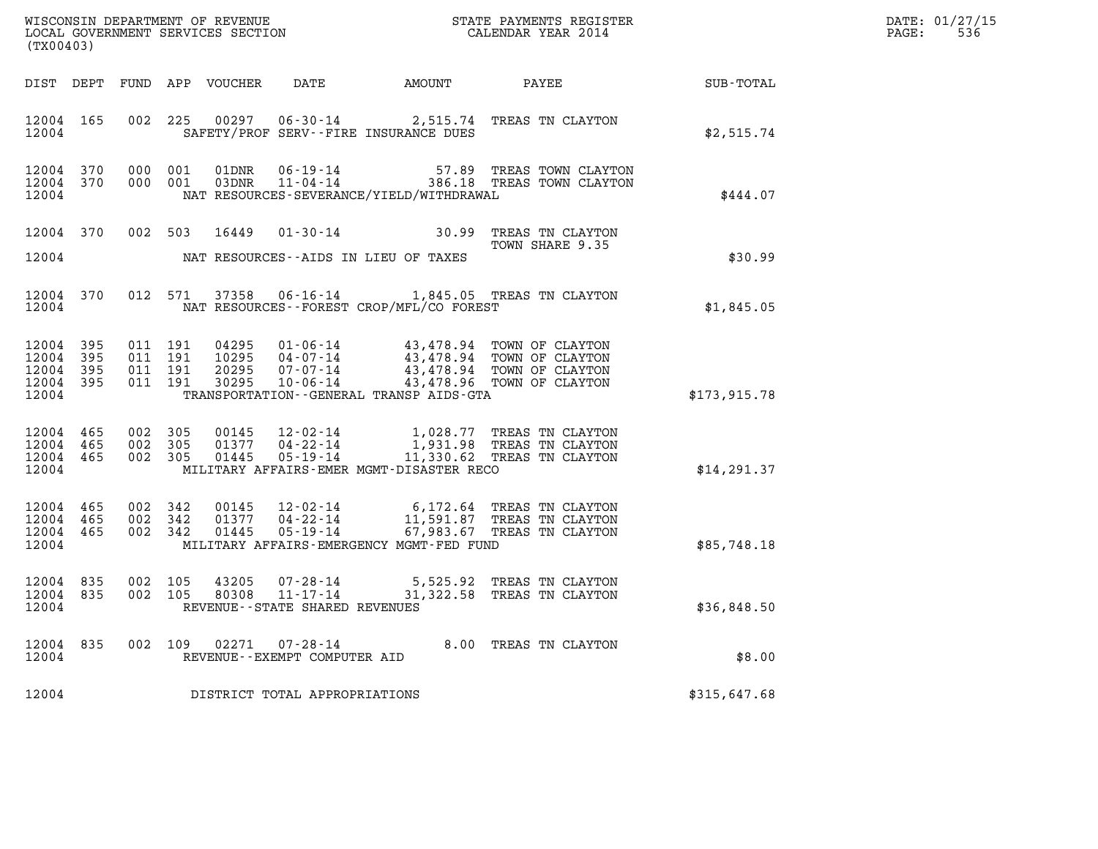| (TX00403)                                     |                               |                    |                    |                         |                                                |                                              |                                                                                                                                                                                                                                                                                                                                                           |                  | DATE: 01/27/15<br>$\mathtt{PAGE:}$<br>536 |
|-----------------------------------------------|-------------------------------|--------------------|--------------------|-------------------------|------------------------------------------------|----------------------------------------------|-----------------------------------------------------------------------------------------------------------------------------------------------------------------------------------------------------------------------------------------------------------------------------------------------------------------------------------------------------------|------------------|-------------------------------------------|
|                                               |                               |                    |                    |                         |                                                | DIST DEPT FUND APP VOUCHER DATE AMOUNT PAYEE |                                                                                                                                                                                                                                                                                                                                                           | <b>SUB-TOTAL</b> |                                           |
| 12004 165<br>12004                            |                               |                    |                    |                         |                                                | SAFETY/PROF SERV--FIRE INSURANCE DUES        | 002 225 00297 06-30-14 2,515.74 TREAS TN CLAYTON                                                                                                                                                                                                                                                                                                          | \$2,515.74       |                                           |
| 12004 370<br>12004                            | 12004 370 000 001             |                    | 000 001            |                         |                                                | NAT RESOURCES-SEVERANCE/YIELD/WITHDRAWAL     | 01DNR  06-19-14  57.89 TREAS TOWN CLAYTON<br>03DNR  11-04-14  386.18 TREAS TOWN CLAYTON                                                                                                                                                                                                                                                                   | \$444.07         |                                           |
|                                               | 12004 370                     |                    |                    |                         |                                                |                                              | 002 503 16449 01-30-14 30.99 TREAS TN CLAYTON<br>TOWN SHARE 9.35                                                                                                                                                                                                                                                                                          |                  |                                           |
| 12004                                         |                               |                    |                    |                         |                                                | NAT RESOURCES--AIDS IN LIEU OF TAXES         |                                                                                                                                                                                                                                                                                                                                                           | \$30.99          |                                           |
| 12004                                         |                               |                    |                    |                         |                                                | NAT RESOURCES--FOREST CROP/MFL/CO FOREST     | 12004 370 012 571 37358 06-16-14 1,845.05 TREAS TN CLAYTON                                                                                                                                                                                                                                                                                                | \$1,845.05       |                                           |
| 12004 395<br>12004<br>12004<br>12004<br>12004 | - 395<br>395<br>395           |                    |                    |                         |                                                | TRANSPORTATION--GENERAL TRANSP AIDS-GTA      | $\begin{array}{cccc} 011 & 191 & 04295 & 01\cdot 06\cdot 14 & 43,478.94 & \text{TOWN OF CLAYTON} \\ 011 & 191 & 10295 & 04\cdot 07\cdot 14 & 43,478.94 & \text{TOWN OF CLAYTON} \\ 011 & 191 & 20295 & 07\cdot 07\cdot 14 & 43,478.94 & \text{TOWN OF CLAYTON} \\ 011 & 191 & 30295 & 10\cdot 06\cdot 14 & 43,478.96 & \text{TOWN OF CLAYTON} \end{array$ | \$173,915.78     |                                           |
| 12004 465<br>12004 465<br>12004 465<br>12004  |                               | 002 305<br>002 305 | 002 305            |                         |                                                | MILITARY AFFAIRS-EMER MGMT-DISASTER RECO     | 00145  12-02-14   1,028.77  TREAS TN CLAYTON<br>01377  04-22-14   1,931.98  TREAS TN CLAYTON<br>01445  05-19-14   11,330.62  TREAS TN CLAYTON                                                                                                                                                                                                             | \$14, 291.37     |                                           |
| 12004 465<br>12004 465<br>12004 465<br>12004  |                               | 002 342<br>002 342 | 002 342            | 00145<br>01377<br>01445 |                                                | MILITARY AFFAIRS-EMERGENCY MGMT-FED FUND     | 12-02-14 6,172.64 TREAS TN CLAYTON<br>04-22-14 11,591.87 TREAS TN CLAYTON<br>05-19-14 67,983.67 TREAS TN CLAYTON                                                                                                                                                                                                                                          | \$85,748.18      |                                           |
| 12004 835<br>12004 835<br>12004               |                               |                    | 002 105<br>002 105 | 43205<br>80308          | 11-17-14<br>REVENUE - - STATE SHARED REVENUES  |                                              | 07-28-14 5,525.92 TREAS TN CLAYTON<br>11-17-14 31,322.58 TREAS TN CLAYTON<br>31,322.58 TREAS TN CLAYTON                                                                                                                                                                                                                                                   | \$36,848.50      |                                           |
| 12004 835<br>12004                            |                               |                    |                    | 002 109 02271           | $07 - 28 - 14$<br>REVENUE--EXEMPT COMPUTER AID |                                              | 8.00 TREAS TN CLAYTON                                                                                                                                                                                                                                                                                                                                     | \$8.00           |                                           |
| 12004                                         | DISTRICT TOTAL APPROPRIATIONS |                    |                    |                         |                                                |                                              |                                                                                                                                                                                                                                                                                                                                                           | \$315,647.68     |                                           |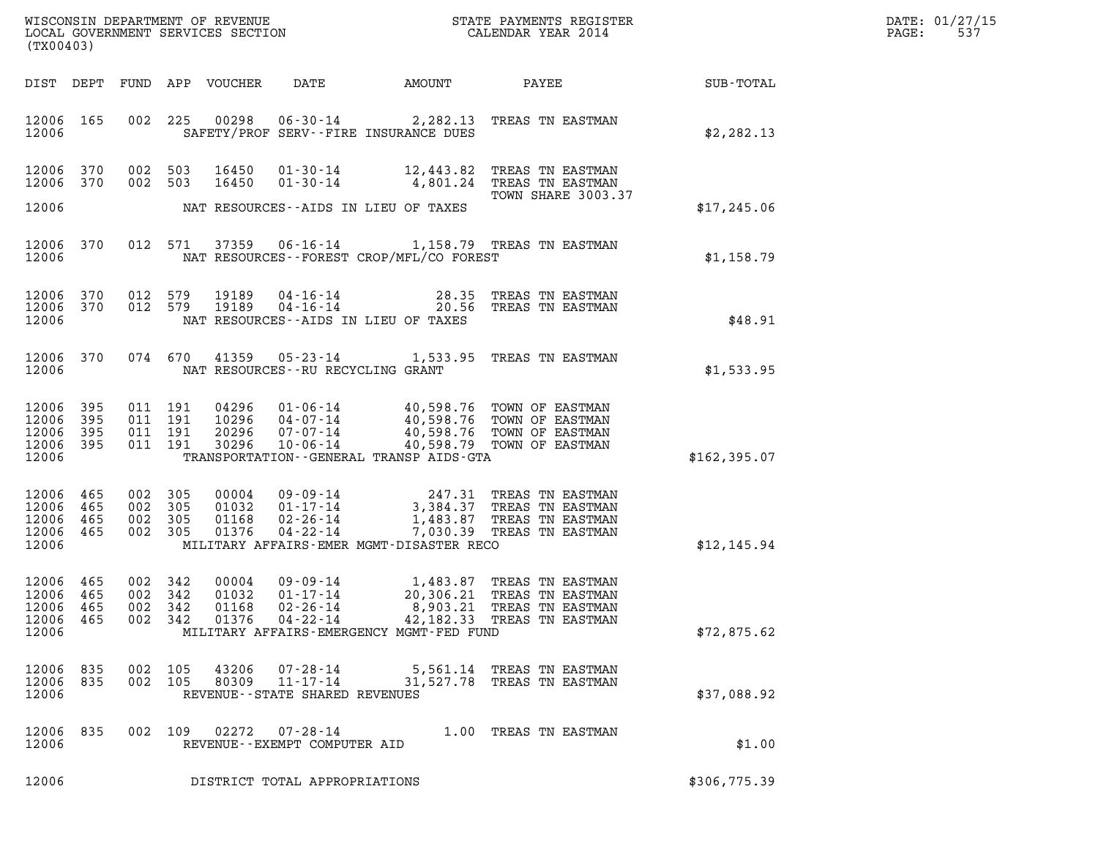| $\mathtt{DATE}$ : | 01/27/15 |
|-------------------|----------|
| PAGE:             | 537      |

| (TX00403)                                             |            |                               |                                                                              |                                                                 |                                             | DATE: 01/27/15<br>$\mathtt{PAGE}$ :<br>537                                                                                                                                                                                                                                                                                  |                  |  |
|-------------------------------------------------------|------------|-------------------------------|------------------------------------------------------------------------------|-----------------------------------------------------------------|---------------------------------------------|-----------------------------------------------------------------------------------------------------------------------------------------------------------------------------------------------------------------------------------------------------------------------------------------------------------------------------|------------------|--|
|                                                       |            |                               | DIST DEPT FUND APP VOUCHER                                                   | DATE                                                            | AMOUNT                                      | PAYEE                                                                                                                                                                                                                                                                                                                       | <b>SUB-TOTAL</b> |  |
| 12006 165<br>12006                                    |            |                               |                                                                              |                                                                 | SAFETY/PROF SERV--FIRE INSURANCE DUES       | 002 225 00298 06-30-14 2,282.13 TREAS TN EASTMAN                                                                                                                                                                                                                                                                            | \$2,282.13       |  |
| 12006 370<br>12006 370                                |            | 002 503                       | 002 503<br>16450<br>16450                                                    |                                                                 |                                             | 01-30-14 12,443.82 TREAS TN EASTMAN<br>01-30-14 4,801.24 TREAS TN EASTMAN                                                                                                                                                                                                                                                   |                  |  |
| 12006                                                 |            |                               | NAT RESOURCES--AIDS IN LIEU OF TAXES                                         |                                                                 |                                             | TOWN SHARE 3003.37                                                                                                                                                                                                                                                                                                          | \$17,245.06      |  |
| 12006                                                 |            |                               |                                                                              |                                                                 | NAT RESOURCES - - FOREST CROP/MFL/CO FOREST | 12006 370 012 571 37359 06-16-14 1,158.79 TREAS TN EASTMAN                                                                                                                                                                                                                                                                  | \$1,158.79       |  |
| 12006 370<br>12006 370<br>12006                       |            | 012 579<br>012 579            | 19189<br>19189                                                               | NAT RESOURCES--AIDS IN LIEU OF TAXES                            |                                             | 04-16-14 28.35 TREAS IN BASILY 20.56 TREAS TO BASTMAN                                                                                                                                                                                                                                                                       | \$48.91          |  |
| 12006 370<br>12006                                    |            |                               |                                                                              | NAT RESOURCES--RU RECYCLING GRANT                               |                                             | 074 670 41359 05-23-14 1,533.95 TREAS TN EASTMAN                                                                                                                                                                                                                                                                            | \$1,533.95       |  |
| 12006 395<br>12006 395<br>12006<br>12006 395<br>12006 | 395        |                               | 011 191<br>04296<br>011 191<br>10296<br>011 191<br>20296<br>011 191<br>30296 |                                                                 | TRANSPORTATION--GENERAL TRANSP AIDS-GTA     | 01-06-14 40,598.76 TOWN OF EASTMAN<br>04-07-14 40,598.76 TOWN OF EASTMAN<br>07-07-14 40,598.76 TOWN OF EASTMAN<br>10-06-14 40,598.79 TOWN OF EASTMAN                                                                                                                                                                        | \$162,395.07     |  |
| 12006 465<br>12006<br>12006<br>12006 465<br>12006     | 465<br>465 | 002 305<br>002 305<br>002 305 | 002 305                                                                      |                                                                 | MILITARY AFFAIRS-EMER MGMT-DISASTER RECO    | $\begin{array}{cccc} 0\,0\,0\,0\,4 & 0\,9\cdot0\,9\cdot14 & 2\,4\,7\,.31 & \textrm{TREAS TN EASTMAN} \\ 0\,1\,0\,3\,2 & 0\,1\cdot1\,7\cdot14 & 3\,,3\,8\,4\,.3\,7 & \textrm{TREAS TN EASTMAN} \\ 0\,1\,1\,6\,8 & 0\,2\cdot2\,6\cdot1\,4 & 1\,,4\,8\,3\,.8\,7 & \textrm{TREAS TN EASTMAN} \\ 0\,1\,3\,7\,6 & 0\,4\cdot2\,2\$ | \$12,145.94      |  |
| 12006 465<br>12006 465<br>12006 465<br>12006<br>12006 | 465        | 002 342<br>002 342<br>002 342 | 00004<br>01032<br>01168<br>002 342<br>01376                                  | 09 - 09 - 14<br>$01 - 17 - 14$<br>$02 - 26 - 14$<br>04-22-14    | MILITARY AFFAIRS-EMERGENCY MGMT-FED FUND    | 1,483.87 TREAS TN EASTMAN<br>20,306.21 TREAS TN EASTMAN<br>8,903.21 TREAS TN EASTMAN<br>42,182.33 TREAS TN EASTMAN                                                                                                                                                                                                          | \$72,875.62      |  |
| 12006 835<br>12006 835<br>12006                       |            |                               | 002 105<br>43206<br>002 105<br>80309                                         | 07-28-14<br>$11 - 17 - 14$<br>REVENUE - - STATE SHARED REVENUES |                                             | 5,561.14 TREAS TN EASTMAN<br>31,527.78 TREAS TN EASTMAN                                                                                                                                                                                                                                                                     | \$37,088.92      |  |
| 12006 835<br>12006                                    |            |                               | 002 109                                                                      | $02272$ $07 - 28 - 14$<br>REVENUE--EXEMPT COMPUTER AID          |                                             | 1.00 TREAS TN EASTMAN                                                                                                                                                                                                                                                                                                       | \$1.00           |  |
| 12006                                                 |            |                               |                                                                              | DISTRICT TOTAL APPROPRIATIONS                                   |                                             |                                                                                                                                                                                                                                                                                                                             | \$306,775.39     |  |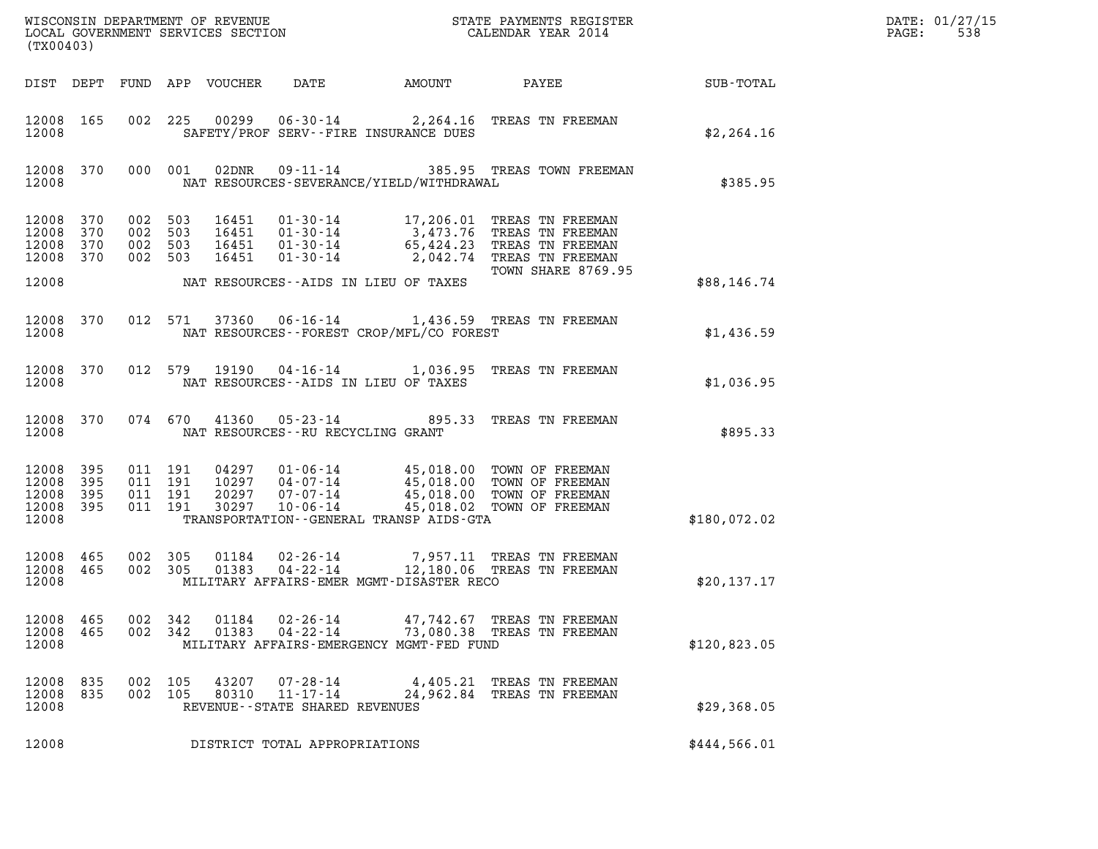| (TX00403)                                         |            |                                          |                            |                                                                                                                                                                                                      |              |                                                                                                                                                                                                              |              | DATE: 01/27/15<br>PAGE:<br>538 |
|---------------------------------------------------|------------|------------------------------------------|----------------------------|------------------------------------------------------------------------------------------------------------------------------------------------------------------------------------------------------|--------------|--------------------------------------------------------------------------------------------------------------------------------------------------------------------------------------------------------------|--------------|--------------------------------|
|                                                   |            |                                          | DIST DEPT FUND APP VOUCHER | DATE                                                                                                                                                                                                 | AMOUNT PAYEE |                                                                                                                                                                                                              | SUB - TOTAL  |                                |
| 12008 165<br>12008                                |            |                                          |                            | SAFETY/PROF SERV--FIRE INSURANCE DUES                                                                                                                                                                |              | 002 225 00299 06-30-14 2,264.16 TREAS TN FREEMAN                                                                                                                                                             | \$2,264.16   |                                |
| 12008 370 000 001<br>12008                        |            |                                          | 02DNR                      | NAT RESOURCES-SEVERANCE/YIELD/WITHDRAWAL                                                                                                                                                             |              | 09-11-14 385.95 TREAS TOWN FREEMAN                                                                                                                                                                           | \$385.95     |                                |
| 12008 370<br>12008<br>12008<br>12008 370          | 370<br>370 | 002 503<br>002 503<br>002 503<br>002 503 |                            |                                                                                                                                                                                                      |              | 16451  01-30-14  17,206.01 TREAS TN FREEMAN<br>16451  01-30-14  3,473.76 TREAS TN FREEMAN<br>16451  01-30-14  65,424.23 TREAS TN FREEMAN<br>16451  01-30-14  2,042.74 TREAS TN FREEMAN<br>TOWN SHARE 8769.95 |              |                                |
| 12008                                             |            |                                          |                            | NAT RESOURCES--AIDS IN LIEU OF TAXES                                                                                                                                                                 |              |                                                                                                                                                                                                              | \$88,146.74  |                                |
| 12008 370<br>12008                                |            |                                          |                            | NAT RESOURCES--FOREST CROP/MFL/CO FOREST                                                                                                                                                             |              | 012 571 37360 06-16-14 1,436.59 TREAS TN FREEMAN                                                                                                                                                             | \$1,436.59   |                                |
| 12008 370<br>12008                                |            |                                          |                            | NAT RESOURCES -- AIDS IN LIEU OF TAXES                                                                                                                                                               |              | 012 579 19190 04-16-14 1,036.95 TREAS TN FREEMAN                                                                                                                                                             | \$1,036.95   |                                |
| 12008 370<br>12008                                |            |                                          |                            | NAT RESOURCES--RU RECYCLING GRANT                                                                                                                                                                    |              | 074 670 41360 05-23-14 895.33 TREAS TN FREEMAN                                                                                                                                                               | \$895.33     |                                |
| 12008 395<br>12008<br>12008<br>12008 395<br>12008 | 395<br>395 | 011 191<br>011 191<br>011 191<br>011 191 | 30297                      | 04297  01-06-14  45,018.00  TOWN OF FREEMAN<br>10297  04-07-14  45,018.00 TOWN OF FREEMAN<br>20297  07-07-14  45,018.00 TOWN OF FREEMAN<br>$10 - 06 - 14$<br>TRANSPORTATION--GENERAL TRANSP AIDS-GTA |              | 45,018.02 TOWN OF FREEMAN                                                                                                                                                                                    | \$180,072.02 |                                |
| 12008 465<br>12008 465<br>12008                   |            | 002 305<br>002 305                       | 01383                      | 04-22-14<br>MILITARY AFFAIRS-EMER MGMT-DISASTER RECO                                                                                                                                                 |              | 01184  02-26-14  7,957.11  TREAS TN FREEMAN<br>12,180.06 TREAS TN FREEMAN                                                                                                                                    | \$20, 137.17 |                                |
| 12008 465<br>12008<br>12008                       | 465        | 002 342<br>002 342                       | 01184<br>01383             | 02-26-14<br>04 - 22 - 14<br>MILITARY AFFAIRS-EMERGENCY MGMT-FED FUND                                                                                                                                 |              | 47,742.67 TREAS TN FREEMAN<br>73,080.38 TREAS TN FREEMAN                                                                                                                                                     | \$120,823.05 |                                |
| 12008 835<br>12008 835<br>12008                   |            | 002 105<br>002 105                       | 43207<br>80310             | 07-28-14<br>11-17-14<br>REVENUE - - STATE SHARED REVENUES                                                                                                                                            |              | 4,405.21 TREAS TN FREEMAN<br>24,962.84 TREAS TN FREEMAN                                                                                                                                                      | \$29,368.05  |                                |
| 12008                                             |            |                                          |                            | DISTRICT TOTAL APPROPRIATIONS                                                                                                                                                                        |              |                                                                                                                                                                                                              | \$444,566.01 |                                |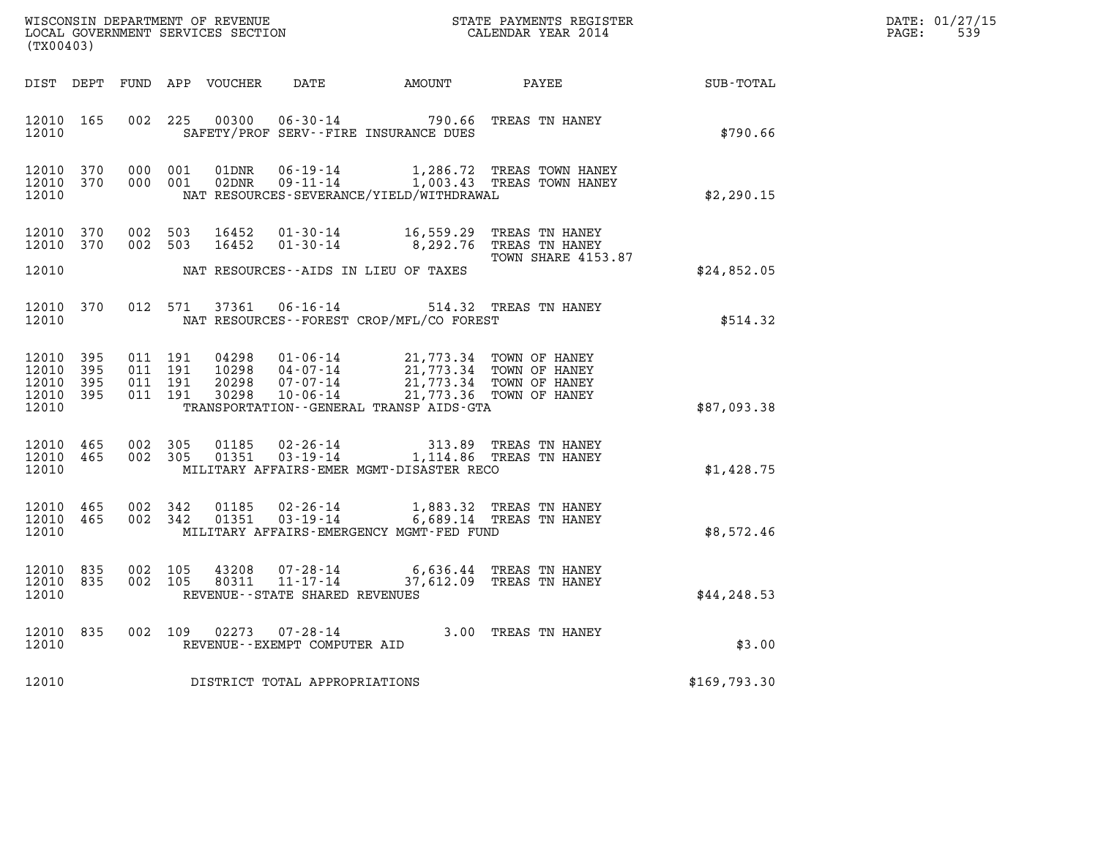| DATE: | 01/27/15 |
|-------|----------|
| PAGE: | 539      |

| (TX00403)                   |                               |                    |                               |                            |                                |                                                                                                                                                                                                                             | WISCONSIN DEPARTMENT OF REVENUE<br>LOCAL GOVERNMENT SERVICES SECTION<br>LOCAL GOVERNMENT SERVICES SECTION<br>CALENDAR YEAR 2014 |              | DATE: 01/27/15<br>PAGE:<br>539 |
|-----------------------------|-------------------------------|--------------------|-------------------------------|----------------------------|--------------------------------|-----------------------------------------------------------------------------------------------------------------------------------------------------------------------------------------------------------------------------|---------------------------------------------------------------------------------------------------------------------------------|--------------|--------------------------------|
|                             |                               |                    |                               | DIST DEPT FUND APP VOUCHER |                                |                                                                                                                                                                                                                             | DATE AMOUNT PAYEE SUB-TOTAL                                                                                                     |              |                                |
| 12010                       | 12010 165                     |                    |                               |                            |                                | SAFETY/PROF SERV--FIRE INSURANCE DUES                                                                                                                                                                                       | 002 225 00300 06-30-14 790.66 TREAS TN HANEY                                                                                    | \$790.66     |                                |
| 12010                       | 12010 370<br>12010 370        |                    | 000 001<br>000 001            | 01DNR                      |                                | NAT RESOURCES-SEVERANCE/YIELD/WITHDRAWAL                                                                                                                                                                                    |                                                                                                                                 | \$2,290.15   |                                |
| 12010                       | 12010 370<br>12010 370        | 002 503<br>002 503 |                               | 16452<br>16452             |                                | 01-30-14 16,559.29 TREAS TN HANEY<br>01-30-14 09,292.76 TREAS TN HANEY<br>NAT RESOURCES--AIDS IN LIEU OF TAXES                                                                                                              | TOWN SHARE 4153.87                                                                                                              | \$24,852.05  |                                |
| 12010                       | 12010 370                     |                    |                               |                            |                                | 012 571 37361 06-16-14 514.32 TREAS TN HANEY<br>NAT RESOURCES--FOREST CROP/MFL/CO FOREST                                                                                                                                    |                                                                                                                                 | \$514.32     |                                |
| 12010 395<br>12010<br>12010 | 395<br>12010 395<br>12010 395 | 011 191            | 011 191<br>011 191<br>011 191 |                            |                                | 04298  01-06-14  21,773.34  TOWN OF HANEY<br>10298  04-07-14  21,773.34  TOWN OF HANEY<br>20298  07-07-14  21,773.34  TOWN OF HANEY<br>30298  10-06-14  21,773.36  TOWN OF HANEY<br>TRANSPORTATION--GENERAL TRANSP AIDS-GTA |                                                                                                                                 | \$87,093.38  |                                |
| 12010 465<br>12010          | 12010 465                     | 002 305<br>002 305 |                               | 01185<br>01351             |                                | 02-26-14 313.89 TREAS TN HANEY<br>03-19-14 1,114.86 TREAS TN HANEY<br>MILITARY AFFAIRS-EMER MGMT-DISASTER RECO                                                                                                              |                                                                                                                                 | \$1,428.75   |                                |
| 12010                       | 12010 465<br>12010 465        | 002 342            | 002 342                       | 01185<br>01351             |                                | 02-26-14 1,883.32 TREAS TN HANEY<br>03-19-14 6,689.14 TREAS TN HANEY<br>MILITARY AFFAIRS-EMERGENCY MGMT-FED FUND                                                                                                            |                                                                                                                                 | \$8,572.46   |                                |
| 12010                       | 12010 835<br>12010 835        | 002 105            | 002 105                       | 43208                      | REVENUE--STATE SHARED REVENUES | $\begin{array}{cccc} 43208 & 07\text{-}28\text{-}14 & 6\text{,}636.44 & \text{TREAS TN HANEY} \\ 80311 & 11\text{-}17\text{-}14 & 37\text{,}612.09 & \text{TREAS TN HANEY} \end{array}$                                     |                                                                                                                                 | \$44, 248.53 |                                |
| 12010                       | 12010 835                     |                    |                               | 002 109 02273              | REVENUE--EXEMPT COMPUTER AID   | $07 - 28 - 14$ 3.00 TREAS TN HANEY                                                                                                                                                                                          |                                                                                                                                 | \$3.00       |                                |
| 12010                       |                               |                    |                               |                            | DISTRICT TOTAL APPROPRIATIONS  |                                                                                                                                                                                                                             |                                                                                                                                 | \$169,793.30 |                                |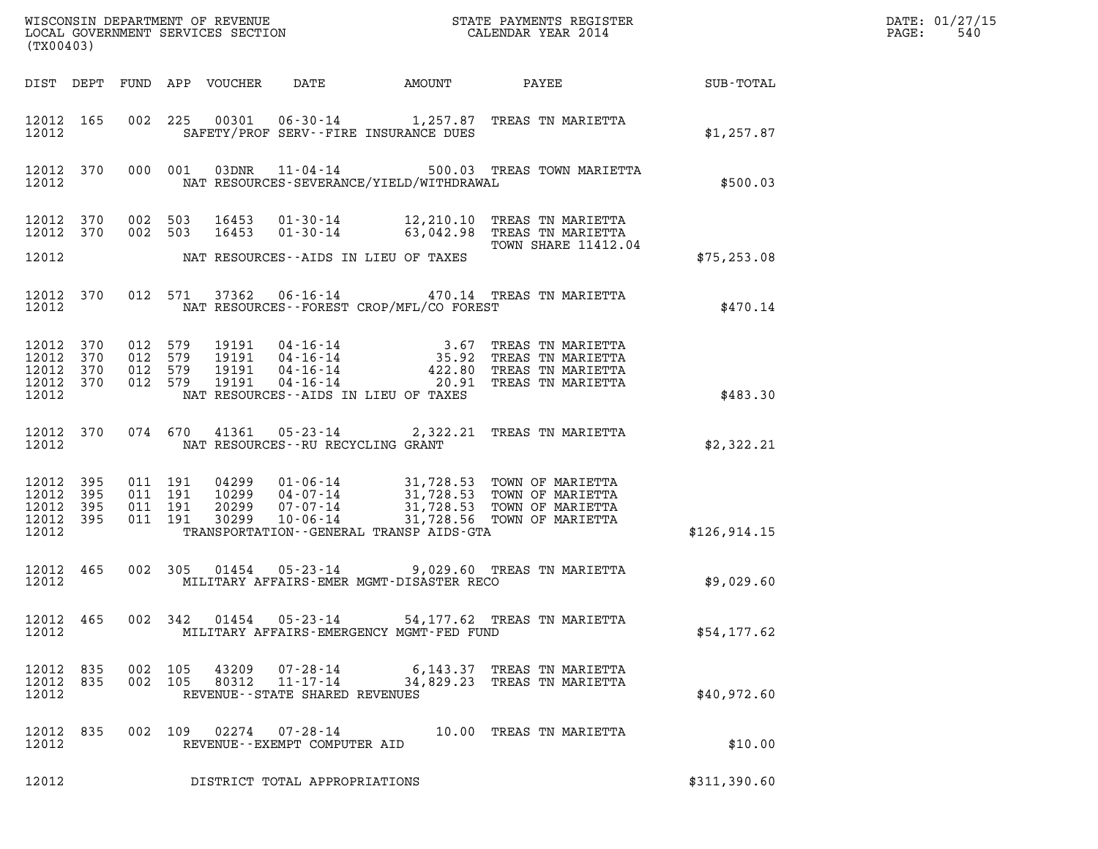| (TX00403)                                             |                               |                               |                                          |                                 |                                                     |                                          |                                                                                                                                                                                              |              | DATE: 01/27/15<br>PAGE:<br>540 |
|-------------------------------------------------------|-------------------------------|-------------------------------|------------------------------------------|---------------------------------|-----------------------------------------------------|------------------------------------------|----------------------------------------------------------------------------------------------------------------------------------------------------------------------------------------------|--------------|--------------------------------|
|                                                       |                               |                               |                                          | DIST DEPT FUND APP VOUCHER DATE |                                                     |                                          | AMOUNT PAYEE SUB-TOTAL                                                                                                                                                                       |              |                                |
| 12012                                                 | 12012 165                     |                               |                                          |                                 |                                                     | SAFETY/PROF SERV--FIRE INSURANCE DUES    | 002 225 00301 06-30-14 1,257.87 TREAS TN MARIETTA                                                                                                                                            | \$1,257.87   |                                |
| 12012                                                 |                               |                               |                                          |                                 |                                                     | NAT RESOURCES-SEVERANCE/YIELD/WITHDRAWAL | 12012 370 000 001 03DNR 11-04-14 500.03 TREAS TOWN MARIETTA                                                                                                                                  | \$500.03     |                                |
| 12012 370                                             |                               | 12012 370 002 503             | 002 503                                  |                                 |                                                     |                                          | 16453  01-30-14   12, 210.10   TREAS TN MARIETTA<br>16453 01-30-14 63,042.98 TREAS TN MARIETTA<br><b>TOWN SHARE 11412.04</b>                                                                 |              |                                |
| 12012                                                 |                               |                               |                                          |                                 |                                                     | NAT RESOURCES--AIDS IN LIEU OF TAXES     |                                                                                                                                                                                              | \$75, 253.08 |                                |
| 12012                                                 |                               |                               |                                          |                                 |                                                     | NAT RESOURCES--FOREST CROP/MFL/CO FOREST | 12012 370 012 571 37362 06-16-14 470.14 TREAS TN MARIETTA                                                                                                                                    | \$470.14     |                                |
| 12012<br>12012 370<br>12012                           | 12012 370<br>370<br>12012 370 | 012 579<br>012 579<br>012 579 | 012 579                                  |                                 |                                                     | NAT RESOURCES--AIDS IN LIEU OF TAXES     | 19191  04-16-14  3.67 TREAS TN MARIETTA<br>19191  04-16-14  35.92 TREAS TN MARIETTA<br>19191  04-16-14  422.80 TREAS TN MARIETTA<br>19191  04-16-14  20.91 TREAS TN MARIETTA                 | \$483.30     |                                |
| 12012                                                 |                               |                               |                                          |                                 | NAT RESOURCES--RU RECYCLING GRANT                   |                                          | 12012 370 074 670 41361 05-23-14 2,322.21 TREAS TN MARIETTA                                                                                                                                  | \$2,322.21   |                                |
| 12012 395<br>12012 395<br>12012<br>12012 395<br>12012 | 395                           |                               | 011 191<br>011 191<br>011 191<br>011 191 | 04299                           |                                                     | TRANSPORTATION--GENERAL TRANSP AIDS-GTA  | 04299  01-06-14  31,728.53  TOWN OF MARIETTA<br>10299  04-07-14  31,728.53  TOWN OF MARIETTA<br>20299  07-07-14  31,728.53  TOWN OF MARIETTA<br>30299  10-06-14  31,728.56  TOWN OF MARIETTA | \$126,914.15 |                                |
| 12012 465<br>12012                                    |                               |                               |                                          |                                 |                                                     | MILITARY AFFAIRS-EMER MGMT-DISASTER RECO | 002 305 01454 05-23-14 9,029.60 TREAS TN MARIETTA                                                                                                                                            | \$9,029.60   |                                |
| 12012                                                 | 12012 465                     |                               |                                          |                                 |                                                     | MILITARY AFFAIRS-EMERGENCY MGMT-FED FUND | 002 342 01454 05-23-14 54,177.62 TREAS TN MARIETTA                                                                                                                                           | \$54,177.62  |                                |
| 12012 835<br>12012 835<br>12012                       |                               |                               | 002 105<br>002 105                       | 80312                           | $11 - 17 - 14$<br>REVENUE - - STATE SHARED REVENUES |                                          | 6,143.37 TREAS TN MARIETTA<br>34,829.23 TREAS TN MARIETTA                                                                                                                                    | \$40,972.60  |                                |
| 12012 835<br>12012                                    |                               |                               |                                          |                                 | REVENUE--EXEMPT COMPUTER AID                        |                                          | 002 109 02274 07-28-14 10.00 TREAS TN MARIETTA                                                                                                                                               | \$10.00      |                                |
| 12012                                                 |                               |                               |                                          |                                 | DISTRICT TOTAL APPROPRIATIONS                       |                                          |                                                                                                                                                                                              | \$311,390.60 |                                |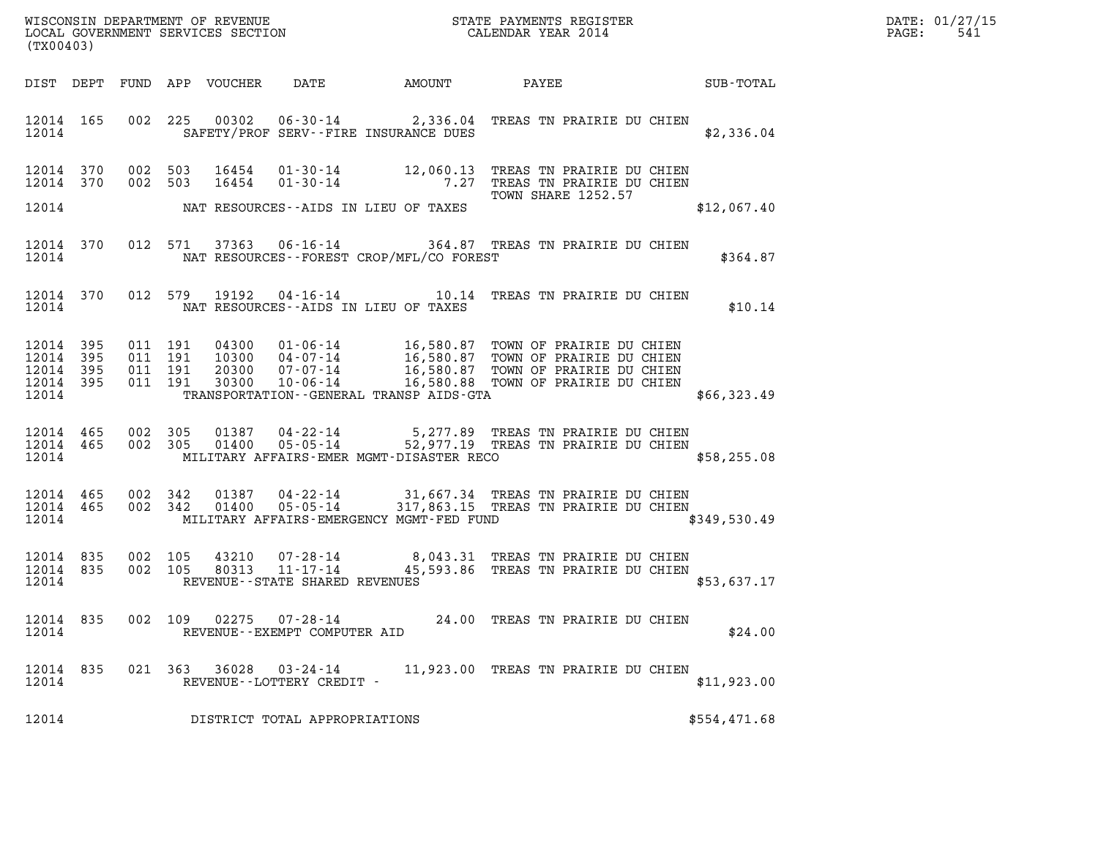| WISCONSIN DEPARTMENT OF REVENUE   | STATE PAYMENTS REGISTER | DATE: 01/27/15 |
|-----------------------------------|-------------------------|----------------|
| LOCAL GOVERNMENT SERVICES SECTION | CALENDAR YEAR 2014      | 541<br>PAGE:   |

| WISCONSIN DEPARTMENT OF REVENUE<br>LOCAL GOVERNMENT SERVICES SECTION<br>(TWOO403)<br>(TX00403)                                                                                                                                                                                                                                                  | DATE: 01/27/15<br>PAGE: 541 |
|-------------------------------------------------------------------------------------------------------------------------------------------------------------------------------------------------------------------------------------------------------------------------------------------------------------------------------------------------|-----------------------------|
| DIST DEPT FUND APP VOUCHER DATE AMOUNT PAYEE PATE SUB-TOTAL                                                                                                                                                                                                                                                                                     |                             |
| 002 225 00302 06-30-14 2,336.04 TREAS TN PRAIRIE DU CHIEN<br>12014 165<br>12014 SAFETY/PROF SERV--FIRE INSURANCE DUES                                                                                                                                                                                                                           | \$2,336.04                  |
| 002 503 16454 01-30-14 12,060.13 TREAS TN PRAIRIE DU CHIEN<br>002 503 16454 01-30-14 7.27 TREAS TN PRAIRIE DU CHIEN<br>TOWN SHARE 1252.57<br>12014 370<br>12014 370<br>TOWN SHARE 1252.57                                                                                                                                                       | \$12,067.40                 |
| 12014 370 012 571 37363 06-16-14 364.87 TREAS TN PRAIRIE DU CHIEN<br>12014 NAT RESOURCES--FOREST CROP/MFL/CO FOREST                                                                                                                                                                                                                             | \$364.87                    |
| 12014 370 012 579 19192 04-16-14 10.14 TREAS TN PRAIRIE DU CHIEN<br>12014 NAT RESOURCES--AIDS IN LIEU OF TAXES                                                                                                                                                                                                                                  | \$10.14                     |
| 011 191 04300 01-06-14 16,580.87 TOWN OF PRAIRIE DU CHIEN<br>011 191 10300 04-07-14 16,580.87 TOWN OF PRAIRIE DU CHIEN<br>011 191 20300 07-07-14 16,580.87 TOWN OF PRAIRIE DU CHIEN<br>011 191 30300 10-06-14 16,580.88 TOWN OF PRAIRIE<br>12014 395<br>12014 395<br>12014 395<br>12014 395<br>12014 TRANSPORTATION - GENERAL TRANSP AIDS - GTA | \$66,323.49                 |
| 12014 465 002 305 01387 04-22-14 5,277.89 TREAS TN PRAIRIE DU CHIEN<br>12014 465 002 305 01400 05-05-14 52,977.19 TREAS TN PRAIRIE DU CHIEN<br>12014 MILITARY AFFAIRS-EMER MGMT-DISASTER RECO \$58,255.08                                                                                                                                       |                             |
| $12014 \t 465 \t 002 \t 342 \t 01387 \t 04-22-14 \t 31,667.34 \t TREAS TN PRAIRE DU CHIEN12014 \t 465 \t 002 \t 342 \t 01400 \t 05-05-14 \t 317,863.15 TREAS TN PRAIRE DU CHIEN$<br>12014 MILITARY AFFAIRS-EMERGENCY MGMT-FED FUND \$349,530.49                                                                                                 |                             |
| 002 105 43210 07-28-14 8,043.31 TREAS TN PRAIRIE DU CHIEN<br>002 105 80313 11-17-14 45,593.86 TREAS TN PRAIRIE DU CHIEN<br>12014 835<br>12014 835<br>12014 REVENUE - - STATE SHARED REVENUES                                                                                                                                                    | \$53,637.17                 |
| 12014 835<br>02275 07-28-14<br>002 109<br>24.00 TREAS TN PRAIRIE DU CHIEN<br>12014<br>REVENUE - - EXEMPT COMPUTER AID                                                                                                                                                                                                                           | \$24.00                     |
| 12014 835<br>021 363<br>36028 03-24-14<br>11,923.00 TREAS TN PRAIRIE DU CHIEN<br>12014<br>REVENUE--LOTTERY CREDIT -                                                                                                                                                                                                                             | \$11,923.00                 |
| 12014<br>DISTRICT TOTAL APPROPRIATIONS                                                                                                                                                                                                                                                                                                          | \$554,471.68                |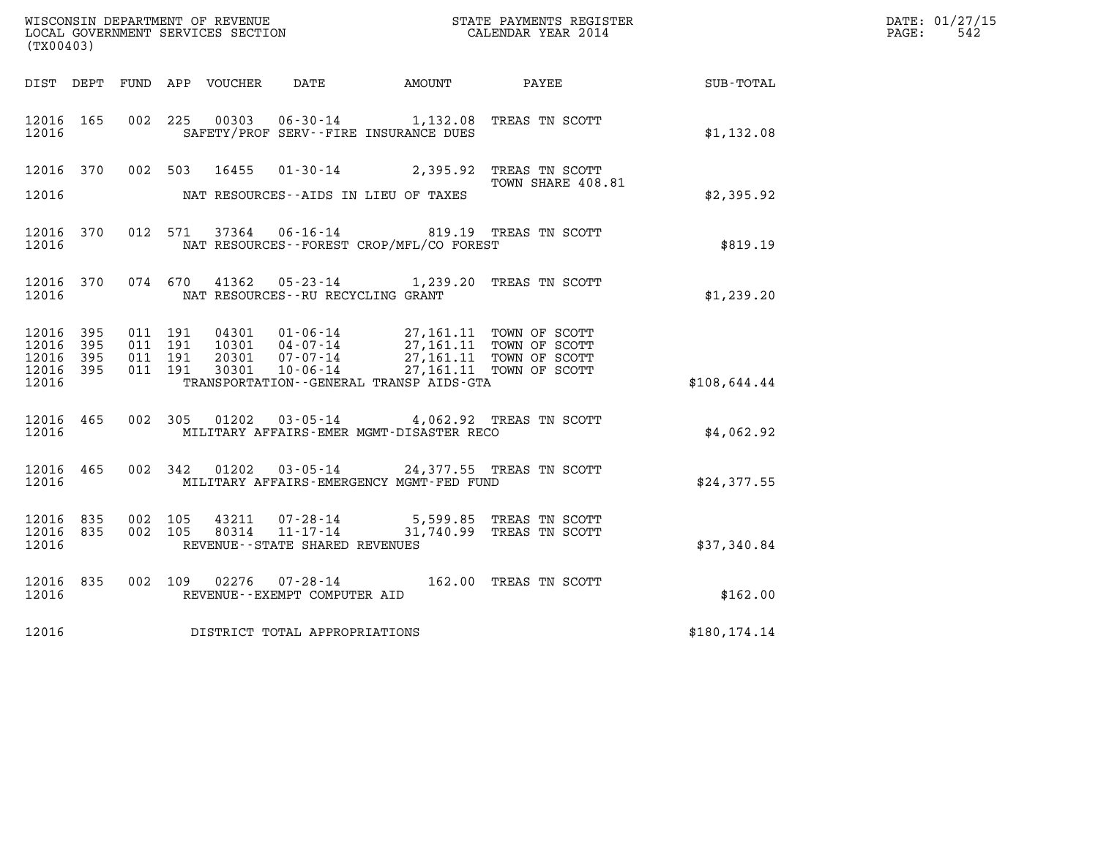|                                               |                     |                               |         | WISCONSIN DEPARTMENT OF REVENUE   |                                                     |                                                                                                                                                                                                                                                                                                                                           | STATE PAYMENTS REGISTER<br>CALENDAR YEAR 2014 |               | DATE: 01/27/15          |
|-----------------------------------------------|---------------------|-------------------------------|---------|-----------------------------------|-----------------------------------------------------|-------------------------------------------------------------------------------------------------------------------------------------------------------------------------------------------------------------------------------------------------------------------------------------------------------------------------------------------|-----------------------------------------------|---------------|-------------------------|
| (TX00403)                                     |                     |                               |         | LOCAL GOVERNMENT SERVICES SECTION |                                                     |                                                                                                                                                                                                                                                                                                                                           |                                               |               | $\mathtt{PAGE:}$<br>542 |
|                                               |                     |                               |         |                                   |                                                     | DIST DEPT FUND APP VOUCHER DATE AMOUNT PAYEE                                                                                                                                                                                                                                                                                              |                                               | SUB-TOTAL     |                         |
| 12016 165<br>12016                            |                     |                               |         |                                   |                                                     | 002 225 00303 06-30-14 1,132.08 TREAS TN SCOTT<br>SAFETY/PROF SERV--FIRE INSURANCE DUES                                                                                                                                                                                                                                                   |                                               | \$1,132.08    |                         |
|                                               | 12016 370           |                               |         |                                   |                                                     | 002 503 16455 01-30-14 2,395.92 TREAS TN SCOTT                                                                                                                                                                                                                                                                                            |                                               |               |                         |
| 12016                                         |                     |                               |         |                                   |                                                     | NAT RESOURCES--AIDS IN LIEU OF TAXES                                                                                                                                                                                                                                                                                                      | TOWN SHARE 408.81                             | \$2,395.92    |                         |
| 12016 370<br>12016                            |                     |                               |         |                                   |                                                     | 012 571 37364 06-16-14 819.19 TREAS TN SCOTT<br>NAT RESOURCES--FOREST CROP/MFL/CO FOREST                                                                                                                                                                                                                                                  |                                               | \$819.19      |                         |
| 12016                                         | 12016 370           |                               |         |                                   | NAT RESOURCES--RU RECYCLING GRANT                   | 074 670 41362 05-23-14 1,239.20 TREAS TN SCOTT                                                                                                                                                                                                                                                                                            |                                               | \$1,239.20    |                         |
| 12016 395<br>12016<br>12016<br>12016<br>12016 | 395<br>395<br>- 395 | 011 191<br>011 191<br>011 191 | 011 191 |                                   |                                                     | $\begin{array}{cccc} 04301 & 01\cdot 06\cdot 14 & 27,161.11 & \text{TOWN OF SCOTT} \\ 10301 & 04\cdot 07\cdot 14 & 27,161.11 & \text{TOWN OF SCOTT} \end{array}$<br>10301 04-07-14 27,161.11 TOWN OF SCOTT<br>20301 07-07-14 27,161.11 TOWN OF SCOTT<br>30301 10-06-14 27,161.11 TOWN OF SCOTT<br>TRANSPORTATION--GENERAL TRANSP AIDS-GTA |                                               | \$108,644.44  |                         |
| 12016 465<br>12016                            |                     |                               |         |                                   |                                                     | 002 305 01202 03-05-14 4,062.92 TREAS TN SCOTT<br>MILITARY AFFAIRS-EMER MGMT-DISASTER RECO                                                                                                                                                                                                                                                |                                               | \$4,062.92    |                         |
| 12016 465<br>12016                            |                     |                               |         |                                   |                                                     | 002 342 01202 03-05-14 24,377.55 TREAS TN SCOTT<br>MILITARY AFFAIRS-EMERGENCY MGMT-FED FUND                                                                                                                                                                                                                                               |                                               | \$24,377.55   |                         |
| 12016 835<br>12016 835<br>12016               |                     | 002 105                       | 002 105 | 43211<br>80314                    | $11 - 17 - 14$<br>REVENUE - - STATE SHARED REVENUES | 07-28-14 5,599.85 TREAS TN SCOTT                                                                                                                                                                                                                                                                                                          | 31,740.99 TREAS TN SCOTT                      | \$37,340.84   |                         |
| 12016 835<br>12016                            |                     |                               |         |                                   | REVENUE--EXEMPT COMPUTER AID                        | 002 109 02276 07-28-14 162.00 TREAS TN SCOTT                                                                                                                                                                                                                                                                                              |                                               | \$162.00      |                         |
| 12016                                         |                     |                               |         |                                   | DISTRICT TOTAL APPROPRIATIONS                       |                                                                                                                                                                                                                                                                                                                                           |                                               | \$180, 174.14 |                         |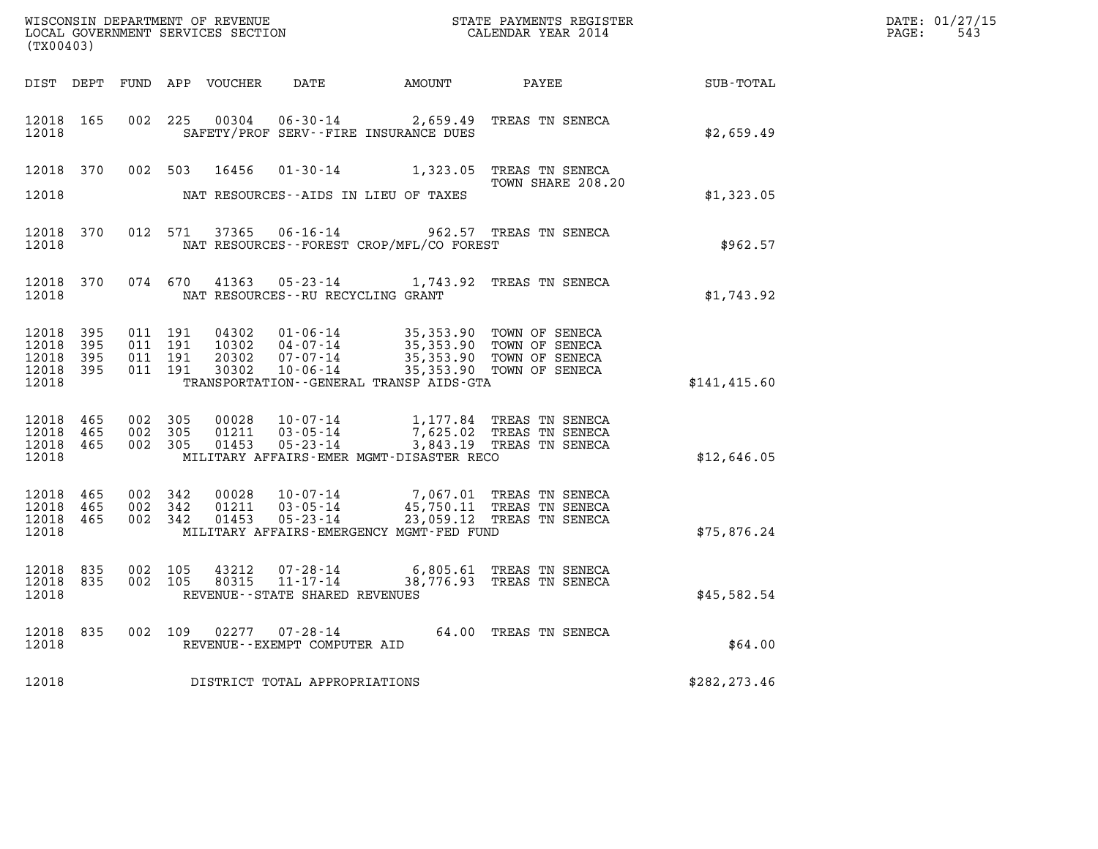| (TX00403)                                         |            |                                          |         | WISCONSIN DEPARTMENT OF REVENUE<br>LOCAL GOVERNMENT SERVICES SECTION |                                      |                                          | STATE PAYMENTS REGISTER<br>CALENDAR YEAR 2014                                                                                                    |               | DATE: 01/27/15<br>$\mathtt{PAGE:}$<br>543 |
|---------------------------------------------------|------------|------------------------------------------|---------|----------------------------------------------------------------------|--------------------------------------|------------------------------------------|--------------------------------------------------------------------------------------------------------------------------------------------------|---------------|-------------------------------------------|
|                                                   |            |                                          |         |                                                                      |                                      |                                          | DIST DEPT FUND APP VOUCHER DATE AMOUNT PAYEE TOTAL                                                                                               |               |                                           |
| 12018 165<br>12018                                |            |                                          |         |                                                                      |                                      | SAFETY/PROF SERV--FIRE INSURANCE DUES    | 002 225 00304 06-30-14 2,659.49 TREAS TN SENECA                                                                                                  | \$2,659.49    |                                           |
|                                                   | 12018 370  |                                          |         |                                                                      |                                      |                                          | 002 503 16456 01-30-14 1,323.05 TREAS TN SENECA<br>TOWN SHARE 208.20                                                                             |               |                                           |
| 12018                                             |            |                                          |         |                                                                      |                                      | NAT RESOURCES--AIDS IN LIEU OF TAXES     |                                                                                                                                                  | \$1,323.05    |                                           |
| 12018 370<br>12018                                |            |                                          |         |                                                                      |                                      | NAT RESOURCES--FOREST CROP/MFL/CO FOREST | 012 571 37365 06-16-14 962.57 TREAS TN SENECA                                                                                                    | \$962.57      |                                           |
| 12018 370<br>12018                                |            |                                          | 074 670 | 41363                                                                | NAT RESOURCES - - RU RECYCLING GRANT |                                          | 05-23-14 1,743.92 TREAS TN SENECA                                                                                                                | \$1,743.92    |                                           |
| 12018 395<br>12018<br>12018<br>12018 395<br>12018 | 395<br>395 | 011 191<br>011 191<br>011 191<br>011 191 |         | 04302<br>10302<br>20302<br>30302                                     |                                      | TRANSPORTATION--GENERAL TRANSP AIDS-GTA  | 01-06-14 35,353.90 TOWN OF SENECA<br>04-07-14 35,353.90 TOWN OF SENECA<br>07-07-14 35,353.90 TOWN OF SENECA<br>10-06-14 35,353.90 TOWN OF SENECA | \$141, 415.60 |                                           |
| 12018 465<br>12018 465<br>12018 465<br>12018      |            | 002 305<br>002 305<br>002 305            |         | 00028<br>01211<br>01453                                              |                                      | MILITARY AFFAIRS-EMER MGMT-DISASTER RECO | 10-07-14 1,177.84 TREAS TN SENECA<br>03-05-14 7,625.02 TREAS TN SENECA<br>05-23-14 3,843.19 TREAS TN SENECA                                      | \$12,646.05   |                                           |
| 12018 465<br>12018 465<br>12018 465<br>12018      |            | 002 342<br>002 342                       | 002 342 | 00028                                                                |                                      | MILITARY AFFAIRS-EMERGENCY MGMT-FED FUND | 10-07-14 7,067.01 TREAS TN SENECA<br>01211  03-05-14  45,750.11  TREAS TN SENECA<br>01453  05-23-14  23,059.12  TREAS TN SENECA                  | \$75,876.24   |                                           |
| 12018 835<br>12018 835<br>12018                   |            | 002 105                                  | 002 105 |                                                                      | REVENUE - - STATE SHARED REVENUES    |                                          | 43212  07-28-14  6,805.61 TREAS TN SENECA<br>80315  11-17-14  38,776.93 TREAS TN SENECA                                                          | \$45,582.54   |                                           |
| 12018                                             | 12018 835  |                                          |         |                                                                      | REVENUE--EXEMPT COMPUTER AID         |                                          | 002 109 02277 07-28-14 64.00 TREAS TN SENECA                                                                                                     | \$64.00       |                                           |
| 12018                                             |            |                                          |         |                                                                      | DISTRICT TOTAL APPROPRIATIONS        |                                          |                                                                                                                                                  | \$282,273.46  |                                           |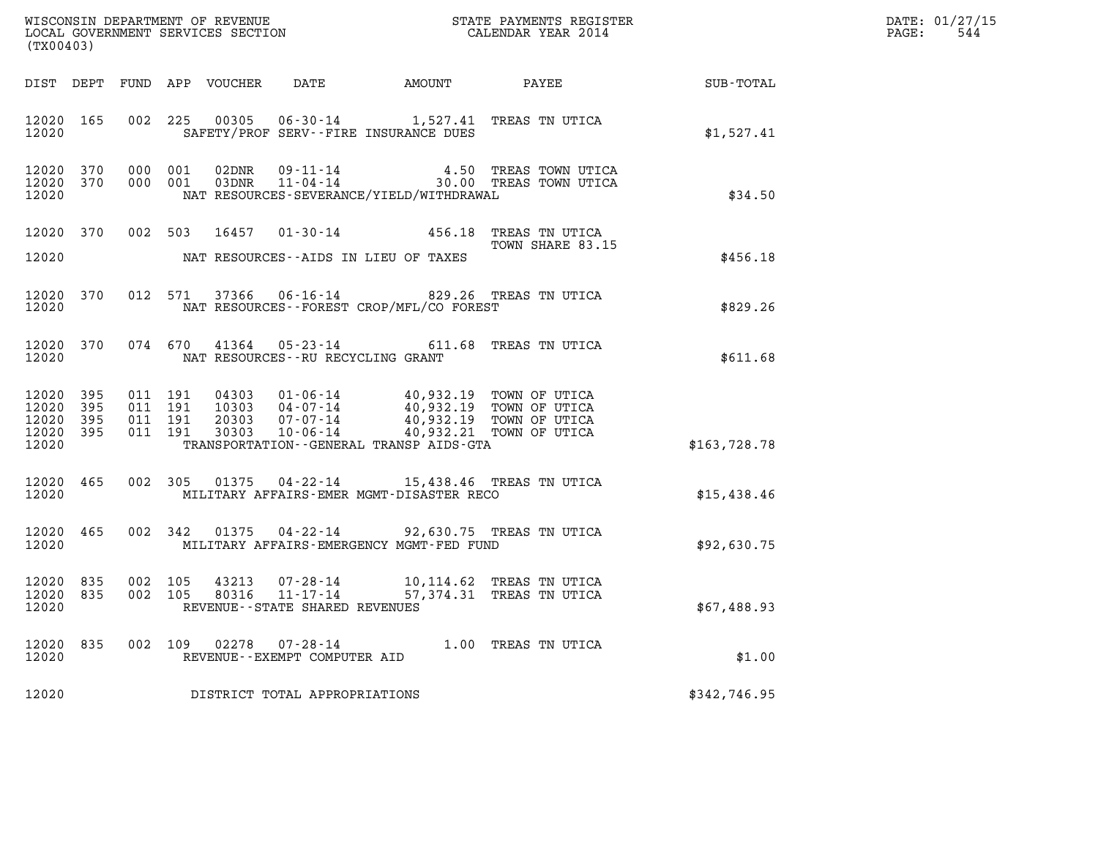| (TX00403)                                         |                    |                               |               |       |                                                     |                                                                                                                                                                                                                      |                                                                                 |              | DATE: 01/27/15<br>$\mathtt{PAGE}$ :<br>544 |
|---------------------------------------------------|--------------------|-------------------------------|---------------|-------|-----------------------------------------------------|----------------------------------------------------------------------------------------------------------------------------------------------------------------------------------------------------------------------|---------------------------------------------------------------------------------|--------------|--------------------------------------------|
|                                                   |                    |                               |               |       |                                                     |                                                                                                                                                                                                                      |                                                                                 |              |                                            |
| 12020 165<br>12020                                |                    |                               |               |       |                                                     | SAFETY/PROF SERV--FIRE INSURANCE DUES                                                                                                                                                                                | 002 225 00305 06-30-14 1,527.41 TREAS TN UTICA                                  | \$1,527.41   |                                            |
| 12020 370<br>12020                                | 12020 370 000 001  |                               | 000 001       |       |                                                     | NAT RESOURCES-SEVERANCE/YIELD/WITHDRAWAL                                                                                                                                                                             | 02DNR 09-11-14  4.50 TREAS TOWN UTICA<br>03DNR 11-04-14  30.00 TREAS TOWN UTICA | \$34.50      |                                            |
|                                                   | 12020 370          |                               |               |       |                                                     |                                                                                                                                                                                                                      | 002 503 16457 01-30-14 456.18 TREAS TN UTICA<br>TOWN SHARE 83.15                |              |                                            |
| 12020                                             |                    |                               |               |       |                                                     | NAT RESOURCES--AIDS IN LIEU OF TAXES                                                                                                                                                                                 |                                                                                 | \$456.18     |                                            |
| 12020                                             | 12020 370          |                               |               |       |                                                     | NAT RESOURCES - - FOREST CROP/MFL/CO FOREST                                                                                                                                                                          | 012 571 37366 06-16-14 829.26 TREAS TN UTICA                                    | \$829.26     |                                            |
| 12020                                             |                    |                               |               |       | NAT RESOURCES--RU RECYCLING GRANT                   |                                                                                                                                                                                                                      | 12020 370 074 670 41364 05-23-14 611.68 TREAS TN UTICA                          | \$611.68     |                                            |
| 12020 395<br>12020<br>12020<br>12020 395<br>12020 | 395<br>395         | 011 191<br>011 191<br>011 191 | 011 191       |       |                                                     | 04303 01-06-14 40,932.19 TOWN OF UTICA<br>10303 04-07-14 40,932.19 TOWN OF UTICA<br>20303 07-07-14 40,932.19 TOWN OF UTICA<br>30303 10-06-14 40,932.21 TOWN OF UTICA<br>TRANSPORTATION - - GENERAL TRANSP AIDS - GTA |                                                                                 | \$163,728.78 |                                            |
|                                                   | 12020 465<br>12020 |                               |               |       |                                                     | MILITARY AFFAIRS-EMER MGMT-DISASTER RECO                                                                                                                                                                             | 002 305 01375 04-22-14 15,438.46 TREAS TN UTICA                                 | \$15,438.46  |                                            |
|                                                   | 12020 465<br>12020 |                               |               |       |                                                     | MILITARY AFFAIRS-EMERGENCY MGMT-FED FUND                                                                                                                                                                             | 002 342 01375 04-22-14 92,630.75 TREAS TN UTICA                                 | \$92,630.75  |                                            |
| 12020 835<br>12020 835<br>12020                   |                    | 002 105<br>002 105            |               | 80316 | $11 - 17 - 14$<br>REVENUE - - STATE SHARED REVENUES |                                                                                                                                                                                                                      | 43213  07-28-14  10,114.62  TREAS TN UTICA<br>57,374.31 TREAS TN UTICA          | \$67,488.93  |                                            |
| 12020 835<br>12020                                |                    |                               | 002 109 02278 |       | $07 - 28 - 14$<br>REVENUE--EXEMPT COMPUTER AID      |                                                                                                                                                                                                                      | 1.00 TREAS TN UTICA                                                             | \$1.00       |                                            |
| 12020                                             |                    |                               |               |       | DISTRICT TOTAL APPROPRIATIONS                       |                                                                                                                                                                                                                      |                                                                                 | \$342,746.95 |                                            |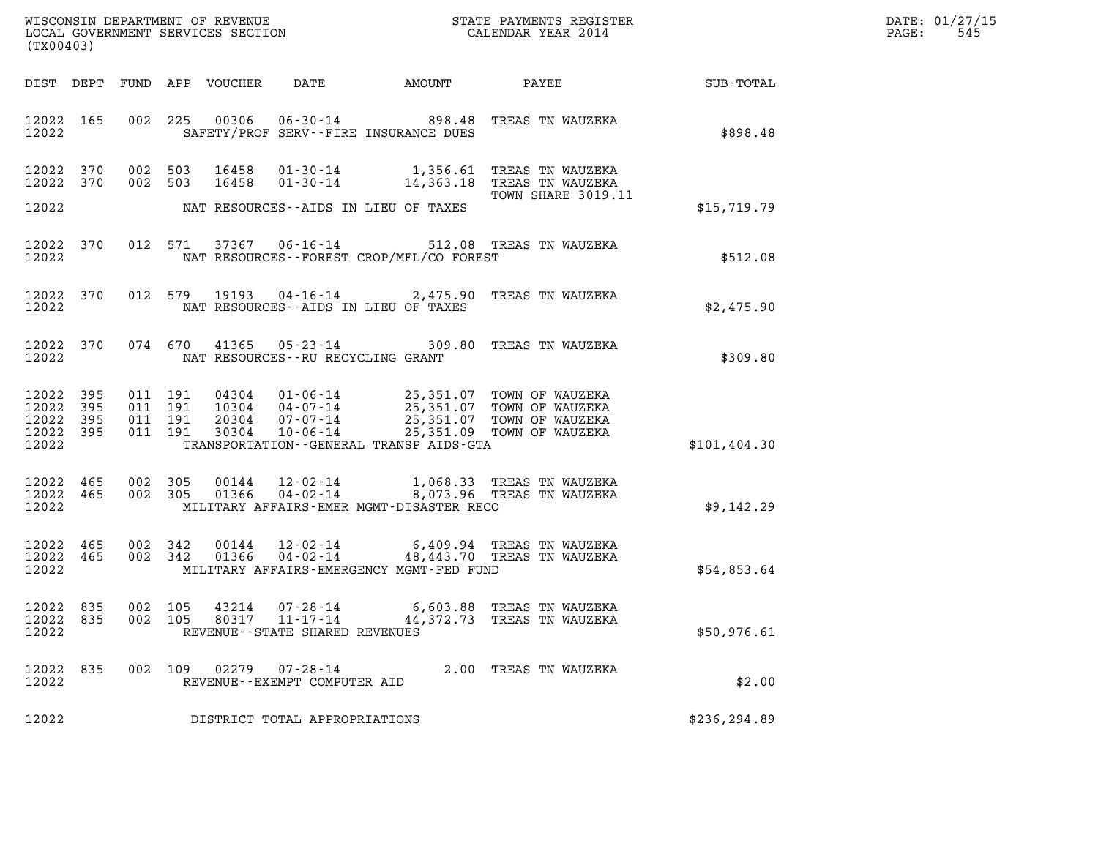| DATE: | 01/27/15 |
|-------|----------|
| PAGE: | 545      |

| (TX00403)                                                 |                                                                                                                                                                                                                                                                                                                                          | R                                                                      | DATE: 01/27/15<br>$\mathtt{PAGE:}$<br>545 |
|-----------------------------------------------------------|------------------------------------------------------------------------------------------------------------------------------------------------------------------------------------------------------------------------------------------------------------------------------------------------------------------------------------------|------------------------------------------------------------------------|-------------------------------------------|
|                                                           |                                                                                                                                                                                                                                                                                                                                          | DIST DEPT FUND APP VOUCHER DATE AMOUNT PAYEE SUB-TOTAL                 |                                           |
| 12022 2020                                                | 12022 165 002 225 00306 06-30-14 898.48 TREAS TN WAUZEKA<br>SAFETY/PROF SERV--FIRE INSURANCE DUES                                                                                                                                                                                                                                        | \$898.48                                                               |                                           |
| 12022 370<br>12022 370                                    | 002 503 16458 01-30-14 1,356.61 TREAS TN WAUZEKA<br>002 503 16458 01-30-14 14,363.18 TREAS TN WAUZEKA                                                                                                                                                                                                                                    | TOWN SHARE 3019.11                                                     |                                           |
|                                                           | 12022 NAT RESOURCES--AIDS IN LIEU OF TAXES                                                                                                                                                                                                                                                                                               | \$15,719.79                                                            |                                           |
| 12022 2020                                                | 12022 370 012 571 37367 06-16-14 512.08 TREAS TN WAUZEKA<br>12022 1203 NAT RESOURCES--FOREST CROP/MFL/CO FOREST                                                                                                                                                                                                                          | \$512.08                                                               |                                           |
|                                                           | 12022 370 012 579 19193 04-16-14 2,475.90 TREAS TN WAUZEKA<br>12022 NAT RESOURCES--AIDS IN LIEU OF TAXES                                                                                                                                                                                                                                 | \$2,475.90                                                             |                                           |
|                                                           | 12022 370 074 670 41365 05-23-14 309.80 TREAS TN WAUZEKA<br>12022 NAT RESOURCES--RU RECYCLING GRANT                                                                                                                                                                                                                                      | \$309.80                                                               |                                           |
| 12022 395<br>12022 395<br>12022 395<br>12022 395<br>12022 | $\begin{tabular}{cccc} 011 & 191 & 04304 & 01-06-14 & 25,351.07 & TOWN OF WAUZERA \\ 011 & 191 & 10304 & 04-07-14 & 25,351.07 & TOWN OF WAUZERA \\ 011 & 191 & 20304 & 07-07-14 & 25,351.07 & TOWN OF WAUZERA \\ 011 & 191 & 30304 & 10-06-14 & 25,351.09 & TOWN OF WAUZERA \end{tabular}$<br>TRANSPORTATION - - GENERAL TRANSP AIDS-GTA | \$101, 404.30                                                          |                                           |
|                                                           | $\begin{array}{cccccccc} 12022& 465& 002& 305& 00144& 12\cdot 02\cdot 14& 1\,,068.33 & \text{TREAS TN WAUZEKA} \\ 12022& 465& 002& 305& 01366& 04\cdot 02\cdot 14& 8\,,073.96 & \text{TREAS TN WAUZEKA} \end{array}$<br>12022 MILITARY AFFAIRS-EMER MGMT-DISASTER RECO                                                                   | \$9,142.29                                                             |                                           |
| 12022 465<br>12022 465<br>12022                           | 002 342 00144 12-02-14 6,409.94 TREAS TN WAUZEKA<br>002 342 01366 04-02-14 48,443.70 TREAS TN WAUZEKA<br>MILITARY AFFAIRS-EMERGENCY MGMT-FED FUND                                                                                                                                                                                        | \$54,853.64                                                            |                                           |
| 12022 835<br>12022 835<br>12022                           | 002 105<br>43214<br>$07 - 28 - 14$<br>002 105<br>80317<br>$11 - 17 - 14$<br>REVENUE - - STATE SHARED REVENUES                                                                                                                                                                                                                            | 6,603.88 TREAS TN WAUZEKA<br>44,372.73 TREAS TN WAUZEKA<br>\$50,976.61 |                                           |
| 12022 835<br>12022                                        | 002 109 02279<br>07-28-14<br>REVENUE--EXEMPT COMPUTER AID                                                                                                                                                                                                                                                                                | 2.00 TREAS TN WAUZEKA<br>\$2.00                                        |                                           |
| 12022                                                     | DISTRICT TOTAL APPROPRIATIONS                                                                                                                                                                                                                                                                                                            | \$236,294.89                                                           |                                           |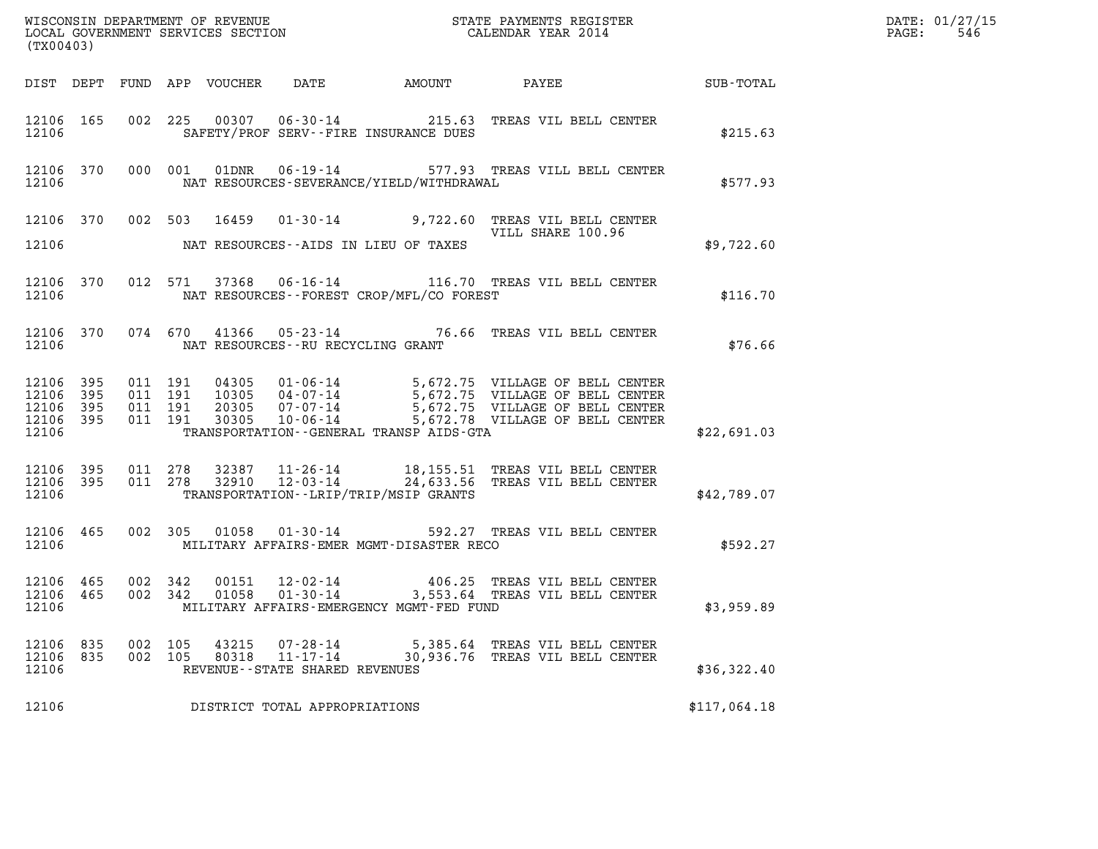| DATE: | 01/27/15 |
|-------|----------|
| PAGE: | 546      |

| (TX00403)                       |                                              |                              |                    |                |                                            |                                                | WISCONSIN DEPARTMENT OF REVENUE<br>LOCAL GOVERNMENT SERVICES SECTION<br>CALENDAR YEAR 2014                                           |             | DATE: 01/27/15<br>$\mathtt{PAGE:}$<br>546 |
|---------------------------------|----------------------------------------------|------------------------------|--------------------|----------------|--------------------------------------------|------------------------------------------------|--------------------------------------------------------------------------------------------------------------------------------------|-------------|-------------------------------------------|
|                                 |                                              |                              |                    |                |                                            |                                                | DIST DEPT FUND APP VOUCHER DATE AMOUNT PAYEE SUB-TOTAL                                                                               |             |                                           |
|                                 |                                              | 12106                        |                    |                |                                            | SAFETY/PROF SERV--FIRE INSURANCE DUES          | 12106 165 002 225 00307 06-30-14 215.63 TREAS VIL BELL CENTER                                                                        | \$215.63    |                                           |
|                                 |                                              |                              |                    |                |                                            |                                                | 12106 370 000 001 01DNR 06-19-14 577.93 TREAS VILL BELL CENTER<br>12106 NAT RESOURCES-SEVERANCE/YIELD/WITHDRAWAL                     | \$577.93    |                                           |
|                                 |                                              |                              |                    |                |                                            |                                                | 12106 370 002 503 16459 01-30-14 9,722.60 TREAS VIL BELL CENTER<br>VILL SHARE 100.96                                                 |             |                                           |
|                                 |                                              |                              |                    |                |                                            | 12106 NAT RESOURCES--AIDS IN LIEU OF TAXES     |                                                                                                                                      | \$9,722.60  |                                           |
|                                 |                                              |                              |                    |                |                                            |                                                | 12106 370 012 571 37368 06-16-14 116.70 TREAS VIL BELL CENTER<br>12106 NAT RESOURCES--FOREST CROP/MFL/CO FOREST                      | \$116.70    |                                           |
|                                 |                                              |                              |                    |                |                                            | 12106 MAT RESOURCES - RU RECYCLING GRANT       | 12106 370 074 670 41366 05-23-14 76.66 TREAS VIL BELL CENTER                                                                         | \$76.66     |                                           |
| 12106 395                       | 12106 395<br>12106 395<br>12106 395<br>12106 | 011 191                      |                    |                |                                            | TRANSPORTATION--GENERAL TRANSP AIDS-GTA        |                                                                                                                                      | \$22,691.03 |                                           |
|                                 |                                              |                              |                    |                |                                            | 12106 TRANSPORTATION - - LRIP/TRIP/MSIP GRANTS | 12106 395 011 278 32387 11-26-14 18,155.51 TREAS VIL BELL CENTER<br>12106 395 011 278 32910 12-03-14 24,633.56 TREAS VIL BELL CENTER | \$42,789.07 |                                           |
|                                 |                                              |                              |                    |                |                                            |                                                | 12106 465 002 305 01058 01-30-14 592.27 TREAS VIL BELL CENTER<br>12106 MILITARY AFFAIRS-EMER MGMT-DISASTER RECO                      | \$592.27    |                                           |
| 12106 465<br>12106              |                                              | 12106 465 002 342<br>002 342 |                    |                |                                            | MILITARY AFFAIRS-EMERGENCY MGMT-FED FUND       | 00151  12-02-14  406.25 TREAS VIL BELL CENTER<br>01058  01-30-14  3,553.64 TREAS VIL BELL CENTER                                     | \$3,959.89  |                                           |
| 12106 835<br>12106 835<br>12106 |                                              |                              | 002 105<br>002 105 | 43215<br>80318 | 07-28-14<br>REVENUE--STATE SHARED REVENUES |                                                | 5,385.64 TREAS VIL BELL CENTER<br>11-17-14 30,936.76 TREAS VIL BELL CENTER                                                           | \$36,322.40 |                                           |
| 12106                           | DISTRICT TOTAL APPROPRIATIONS                |                              |                    |                |                                            |                                                |                                                                                                                                      |             |                                           |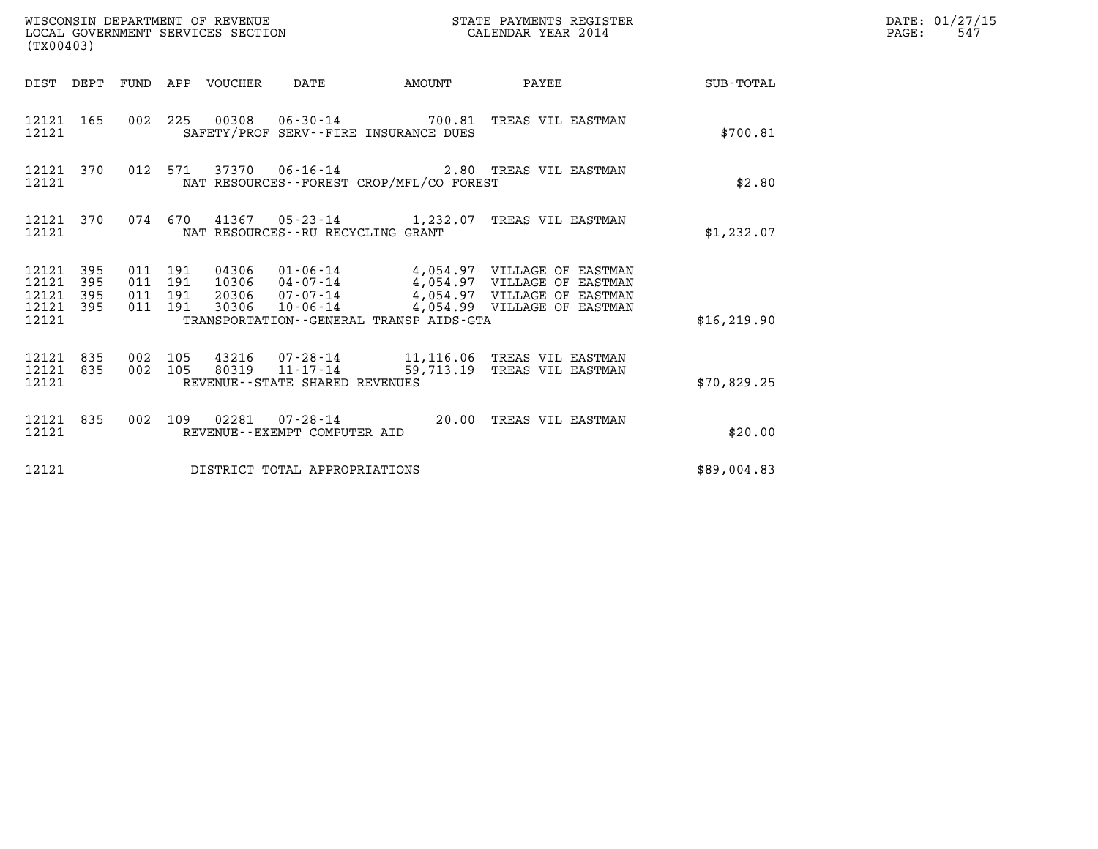| (TX00403)                                     |                   |                                          |  | WISCONSIN DEPARTMENT OF REVENUE<br>LOCAL GOVERNMENT SERVICES SECTION |                                          | STATE PAYMENTS REGISTER<br>CALENDAR YEAR 2014                                                                                                                                                    |              | DATE: 01/27/15<br>$\mathtt{PAGE}$ :<br>547 |
|-----------------------------------------------|-------------------|------------------------------------------|--|----------------------------------------------------------------------|------------------------------------------|--------------------------------------------------------------------------------------------------------------------------------------------------------------------------------------------------|--------------|--------------------------------------------|
|                                               |                   |                                          |  |                                                                      |                                          | DIST DEPT FUND APP VOUCHER DATE AMOUNT PAYEE TOTAL                                                                                                                                               |              |                                            |
| 12121                                         | 12121 165         |                                          |  |                                                                      | SAFETY/PROF SERV--FIRE INSURANCE DUES    | 002 225 00308 06-30-14 700.81 TREAS VIL EASTMAN                                                                                                                                                  | \$700.81     |                                            |
| 12121                                         | 12121 370         |                                          |  |                                                                      | NAT RESOURCES--FOREST CROP/MFL/CO FOREST | 012 571 37370 06-16-14 2.80 TREAS VIL EASTMAN                                                                                                                                                    | \$2.80       |                                            |
| 12121                                         |                   |                                          |  | NAT RESOURCES--RU RECYCLING GRANT                                    |                                          | 12121 370 074 670 41367 05-23-14 1,232.07 TREAS VIL EASTMAN                                                                                                                                      | \$1,232.07   |                                            |
| 12121<br>12121<br>12121<br>12121 395<br>12121 | 395<br>395<br>395 | 011 191<br>011 191<br>011 191<br>011 191 |  |                                                                      | TRANSPORTATION--GENERAL TRANSP AIDS-GTA  | 04306  01-06-14  4,054.97  VILLAGE OF EASTMAN<br>10306  04-07-14  4,054.97  VILLAGE OF EASTMAN<br>20306  07-07-14  4,054.97  VILLAGE OF EASTMAN<br>30306  10-06-14  4,054.99  VILLAGE OF EASTMAN | \$16, 219.90 |                                            |
| 12121 835<br>12121                            | 12121 835         | 002 105                                  |  | REVENUE--STATE SHARED REVENUES                                       |                                          | 002 105 43216 07-28-14 11,116.06 TREAS VIL EASTMAN<br>002 105 80319 11-17-14 59,713.19 TREAS VIL EASTMAN                                                                                         | \$70,829.25  |                                            |
| 12121                                         | 12121 835         |                                          |  | REVENUE--EXEMPT COMPUTER AID                                         |                                          | 002 109 02281 07-28-14 20.00 TREAS VIL EASTMAN                                                                                                                                                   | \$20.00      |                                            |
| 12121                                         |                   |                                          |  | DISTRICT TOTAL APPROPRIATIONS                                        |                                          |                                                                                                                                                                                                  | \$89,004.83  |                                            |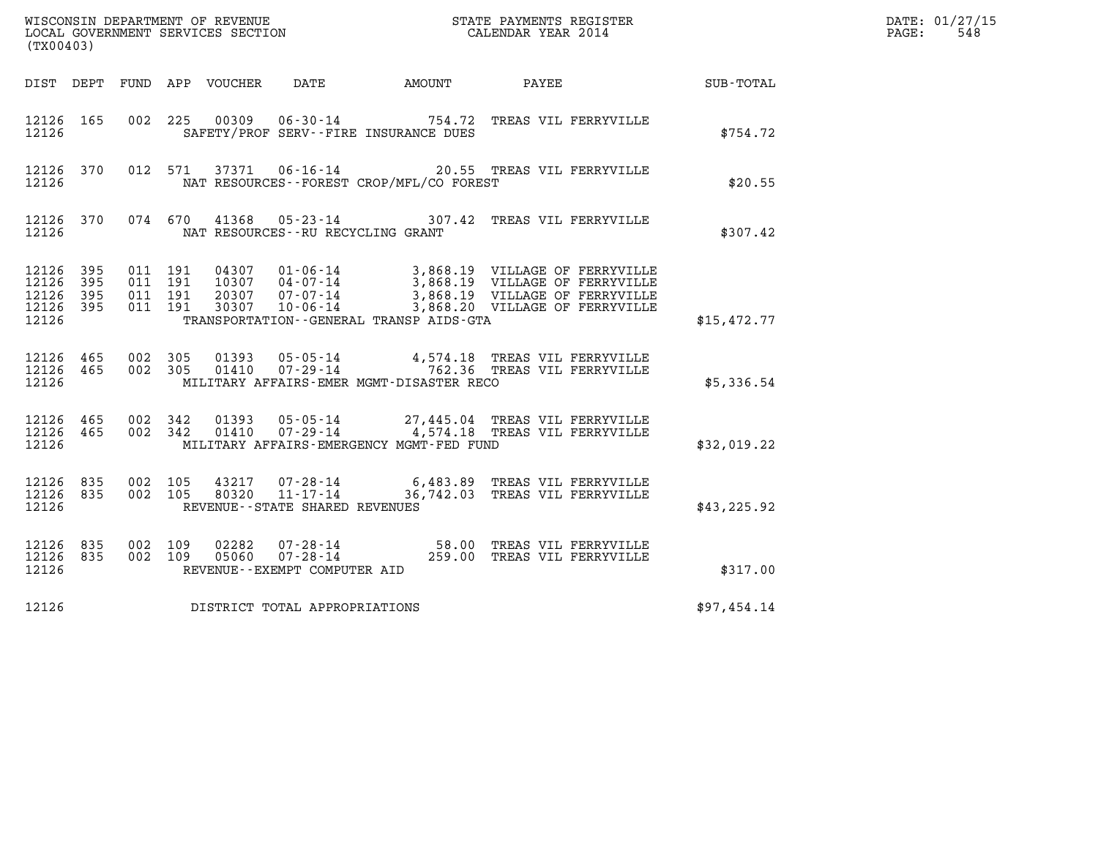| (TX00403)                                |                        |                              |                    |                                         |                                                |                                                                                                                                                                                                                                       |             | DATE: 01/27/15<br>PAGE: 548 |
|------------------------------------------|------------------------|------------------------------|--------------------|-----------------------------------------|------------------------------------------------|---------------------------------------------------------------------------------------------------------------------------------------------------------------------------------------------------------------------------------------|-------------|-----------------------------|
|                                          |                        |                              |                    |                                         |                                                | DIST DEPT FUND APP VOUCHER DATE AMOUNT PAYEE SUB-TOTAL                                                                                                                                                                                |             |                             |
|                                          | 12126 165              |                              |                    |                                         | 12126 SAFETY/PROF SERV--FIRE INSURANCE DUES    | 002  225  00309  06-30-14  754.72  TREAS VIL FERRYVILLE                                                                                                                                                                               | \$754.72    |                             |
|                                          |                        |                              |                    |                                         | 12126 MAT RESOURCES--FOREST CROP/MFL/CO FOREST | 12126 370 012 571 37371 06-16-14 20.55 TREAS VIL FERRYVILLE                                                                                                                                                                           | \$20.55     |                             |
|                                          |                        |                              |                    | 12126 NAT RESOURCES--RU RECYCLING GRANT |                                                | 12126 370 074 670 41368 05-23-14 307.42 TREAS VIL FERRYVILLE                                                                                                                                                                          | \$307.42    |                             |
| 12126 395<br>12126<br>12126 395<br>12126 | 395<br>12126 395       | 011 191<br>011 191           | 011 191<br>011 191 |                                         | TRANSPORTATION - - GENERAL TRANSP AIDS - GTA   | 04307 01-06-14 3,868.19 VILLAGE OF FERRYVILLE<br>10307 04-07-14 3,868.19 VILLAGE OF FERRYVILLE<br>20307 07-07-14 3,868.19 VILLAGE OF FERRYVILLE<br>30307 10-06-14 3,868.20 VILLAGE OF FERRYVILLE                                      | \$15,472.77 |                             |
| 12126                                    | 12126 465              | 12126 465 002 305<br>002 305 |                    |                                         | MILITARY AFFAIRS-EMER MGMT-DISASTER RECO       |                                                                                                                                                                                                                                       | \$5,336.54  |                             |
| 12126                                    |                        |                              |                    |                                         | MILITARY AFFAIRS-EMERGENCY MGMT-FED FUND       | $12126 \quad 465 \quad 002 \quad 342 \quad 01393 \quad 05-05-14 \quad 27,445.04 \quad \text{TREAS VII FERRYUILLE} \\ 12126 \quad 465 \quad 002 \quad 342 \quad 01410 \quad 07-29-14 \quad 4,574.18 \quad \text{TREAS VII FERRYYILLE}$ | \$32,019.22 |                             |
| 12126                                    | 12126 835<br>12126 835 |                              |                    | REVENUE - - STATE SHARED REVENUES       |                                                | 002  105  43217  07-28-14  6,483.89  TREAS VIL FERRYVILLE<br>002  105  80320  11-17-14  36,742.03  TREAS VIL FERRYVILLE                                                                                                               | \$43,225.92 |                             |
| 12126 835<br>12126                       | 12126 835              |                              |                    | REVENUE--EXEMPT COMPUTER AID            |                                                | 002 109 02282 07-28-14 58.00 TREAS VIL FERRYVILLE<br>002 109 05060 07-28-14 259.00 TREAS VIL FERRYVILLE                                                                                                                               | \$317.00    |                             |
| 12126                                    |                        |                              |                    | DISTRICT TOTAL APPROPRIATIONS           |                                                |                                                                                                                                                                                                                                       | \$97,454.14 |                             |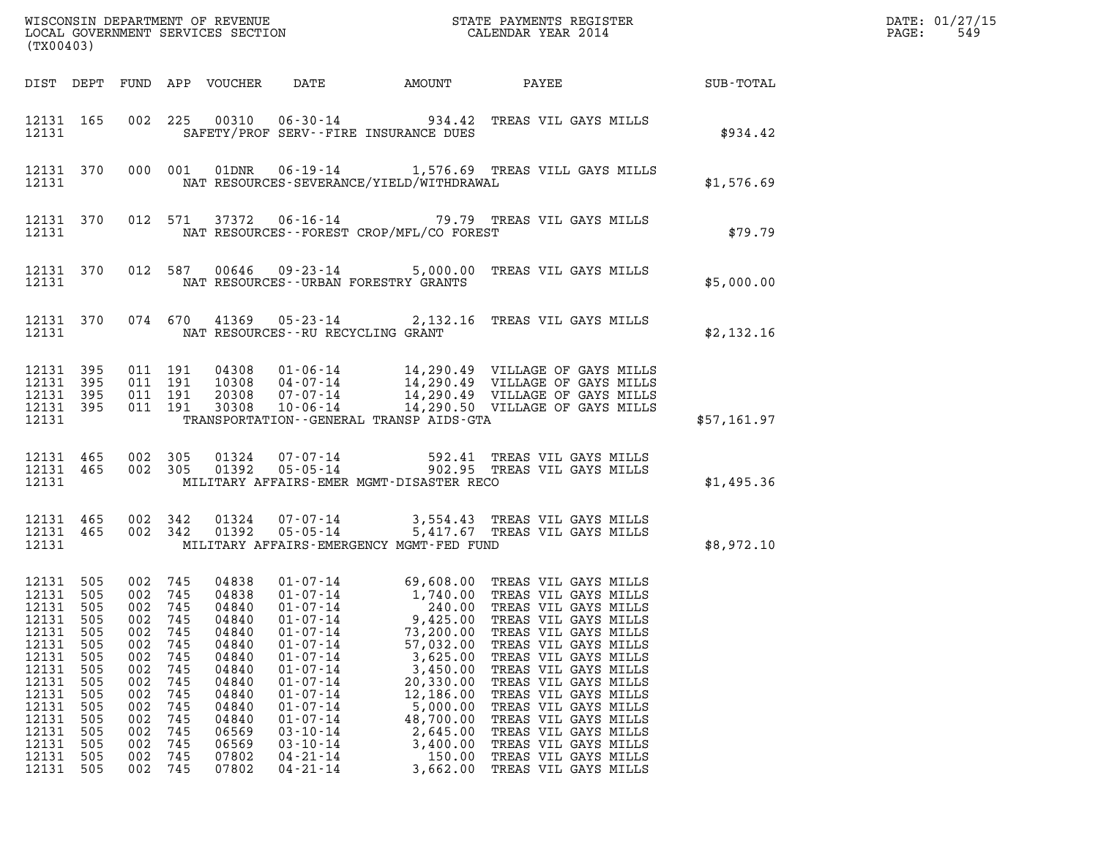| $\mathtt{DATE}$ : | 01/27/15 |
|-------------------|----------|
| PAGE:             | 549      |

| (TX00403)                                                                                                                                            |                                                                                                |                                                                                                                      |                                                                                                |                                                                                                                            |                                                                                                                                                                                                                                                          |                                                                                                                                                                       |                                                                                                                                                                                                                                                                                                                                              |             | DATE: 01/27/15<br>$\mathtt{PAGE}$ :<br>549 |
|------------------------------------------------------------------------------------------------------------------------------------------------------|------------------------------------------------------------------------------------------------|----------------------------------------------------------------------------------------------------------------------|------------------------------------------------------------------------------------------------|----------------------------------------------------------------------------------------------------------------------------|----------------------------------------------------------------------------------------------------------------------------------------------------------------------------------------------------------------------------------------------------------|-----------------------------------------------------------------------------------------------------------------------------------------------------------------------|----------------------------------------------------------------------------------------------------------------------------------------------------------------------------------------------------------------------------------------------------------------------------------------------------------------------------------------------|-------------|--------------------------------------------|
|                                                                                                                                                      |                                                                                                |                                                                                                                      |                                                                                                |                                                                                                                            |                                                                                                                                                                                                                                                          |                                                                                                                                                                       |                                                                                                                                                                                                                                                                                                                                              |             |                                            |
|                                                                                                                                                      | 12131                                                                                          |                                                                                                                      |                                                                                                |                                                                                                                            | SAFETY/PROF SERV--FIRE INSURANCE DUES                                                                                                                                                                                                                    |                                                                                                                                                                       | 12131 165 002 225 00310 06-30-14 934.42 TREAS VIL GAYS MILLS                                                                                                                                                                                                                                                                                 | \$934.42    |                                            |
|                                                                                                                                                      | 12131                                                                                          |                                                                                                                      |                                                                                                |                                                                                                                            |                                                                                                                                                                                                                                                          |                                                                                                                                                                       | 12131 370 000 001 01DNR 06-19-14 1,576.69 TREAS VILL GAYS MILLS<br>NAT RESOURCES-SEVERANCE/YIELD/WITHDRAWAL                                                                                                                                                                                                                                  | \$1,576.69  |                                            |
|                                                                                                                                                      | 12131                                                                                          |                                                                                                                      |                                                                                                |                                                                                                                            | NAT RESOURCES--FOREST CROP/MFL/CO FOREST                                                                                                                                                                                                                 |                                                                                                                                                                       | 12131 370 012 571 37372 06-16-14 79.79 TREAS VIL GAYS MILLS                                                                                                                                                                                                                                                                                  | \$79.79     |                                            |
|                                                                                                                                                      | 12131                                                                                          |                                                                                                                      |                                                                                                |                                                                                                                            | NAT RESOURCES--URBAN FORESTRY GRANTS                                                                                                                                                                                                                     |                                                                                                                                                                       | 12131 370 012 587 00646 09-23-14 5,000.00 TREAS VIL GAYS MILLS                                                                                                                                                                                                                                                                               | \$5,000.00  |                                            |
|                                                                                                                                                      |                                                                                                |                                                                                                                      |                                                                                                |                                                                                                                            | 12131 NAT RESOURCES--RU RECYCLING GRANT                                                                                                                                                                                                                  |                                                                                                                                                                       | 12131 370 074 670 41369 05-23-14 2,132.16 TREAS VIL GAYS MILLS                                                                                                                                                                                                                                                                               | \$2,132.16  |                                            |
| 12131 395                                                                                                                                            | 12131 395<br>12131 395<br>12131 395<br>12131                                                   |                                                                                                                      |                                                                                                |                                                                                                                            | TRANSPORTATION - GENERAL TRANSP AIDS-GTA                                                                                                                                                                                                                 |                                                                                                                                                                       | 011 191 04308 01-06-14 14,290.49 VILLAGE OF GAYS MILLS<br>011 191 10308 04-07-14 14,290.49 VILLAGE OF GAYS MILLS<br>011 191 20308 07-07-14 14,290.49 VILLAGE OF GAYS MILLS<br>011 191 30308 10-06-14 14,290.50 VILLAGE OF GAYS MILLS                                                                                                         | \$57,161.97 |                                            |
|                                                                                                                                                      | 12131                                                                                          |                                                                                                                      |                                                                                                |                                                                                                                            | MILITARY AFFAIRS-EMER MGMT-DISASTER RECO                                                                                                                                                                                                                 |                                                                                                                                                                       | $\begin{array}{cccccccc} 12131 & 465 & 002 & 305 & 01324 & 07\cdot 07\cdot 14 & & & & & 592.41 & \text{TREAS VII GAYS MILLS} \\ 12131 & 465 & 002 & 305 & 01392 & 05\cdot 05\cdot 14 & & & & 902.95 & \text{TREAS VII GAYS MILLS} \end{array}$                                                                                               | \$1,495.36  |                                            |
|                                                                                                                                                      |                                                                                                |                                                                                                                      |                                                                                                |                                                                                                                            | 12131 MILITARY AFFAIRS-EMERGENCY MGMT-FED FUND                                                                                                                                                                                                           |                                                                                                                                                                       | $\begin{array}{cccc} 12131 & 465 & 002 & 342 & 01324 & 07\cdot 07\cdot 14 & 3,554.43 & \text{TREAS VIL GAYS MILLS} \\ 12131 & 465 & 002 & 342 & 01392 & 05\cdot 05\cdot 14 & 5,417.67 & \text{TREAS VIL GAYS MILLS} \end{array}$                                                                                                             | \$8,972.10  |                                            |
| 12131 505<br>12131 505<br>12131<br>12131<br>12131<br>12131<br>12131<br>12131<br>12131<br>12131<br>12131<br>12131<br>12131<br>12131<br>12131<br>12131 | 505<br>505<br>505<br>505<br>505<br>505<br>505<br>505<br>505<br>505<br>505<br>505<br>505<br>505 | 002 745<br>002 745<br>002<br>002<br>002<br>002<br>002<br>002<br>002<br>002<br>002<br>002<br>002<br>002<br>002<br>002 | 745<br>745<br>745<br>745<br>745<br>745<br>745<br>745<br>745<br>745<br>745<br>745<br>745<br>745 | 04840<br>04840<br>04840<br>04840<br>04840<br>04840<br>04840<br>04840<br>04840<br>04840<br>06569<br>06569<br>07802<br>07802 | $01 - 07 - 14$<br>$01 - 07 - 14$<br>$01 - 07 - 14$<br>$01 - 07 - 14$<br>$01 - 07 - 14$<br>$01 - 07 - 14$<br>$01 - 07 - 14$<br>$01 - 07 - 14$<br>$01 - 07 - 14$<br>$01 - 07 - 14$<br>$03 - 10 - 14$<br>$03 - 10 - 14$<br>$04 - 21 - 14$<br>$04 - 21 - 14$ | 240.00<br>9,425.00<br>73,200.00<br>57,032.00<br>3,625.00<br>3,450.00<br>20,330.00<br>12,186.00<br>5,000.00<br>48,700.00<br>2,645.00<br>3,400.00<br>150.00<br>3,662.00 | TREAS VIL GAYS MILLS<br>TREAS VIL GAYS MILLS<br>TREAS VIL GAYS MILLS<br>TREAS VIL GAYS MILLS<br>TREAS VIL GAYS MILLS<br>TREAS VIL GAYS MILLS<br>TREAS VIL GAYS MILLS<br>TREAS VIL GAYS MILLS<br>TREAS VIL GAYS MILLS<br>TREAS VIL GAYS MILLS<br>TREAS VIL GAYS MILLS<br>TREAS VIL GAYS MILLS<br>TREAS VIL GAYS MILLS<br>TREAS VIL GAYS MILLS |             |                                            |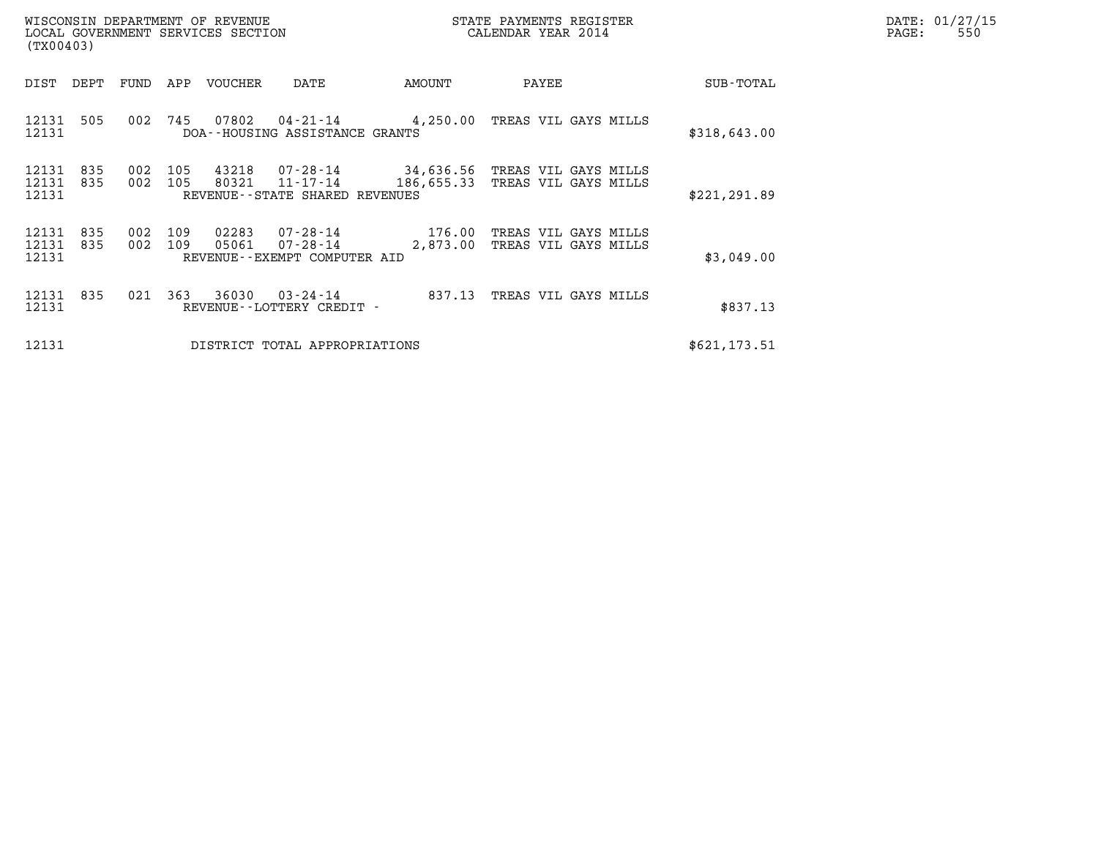| (TX00403)               |            |            |            | WISCONSIN DEPARTMENT OF REVENUE<br>LOCAL GOVERNMENT SERVICES SECTION |                                                               |                    | STATE PAYMENTS REGISTER<br>CALENDAR YEAR 2014                   |  | DATE: 01/27/15<br>PAGE:<br>550 |  |
|-------------------------|------------|------------|------------|----------------------------------------------------------------------|---------------------------------------------------------------|--------------------|-----------------------------------------------------------------|--|--------------------------------|--|
| DIST                    | DEPT       | FUND       | APP        | VOUCHER                                                              | DATE                                                          | AMOUNT             | PAYEE                                                           |  | SUB-TOTAL                      |  |
| 12131 505<br>12131      |            | 002        | 745        | 07802                                                                | DOA--HOUSING ASSISTANCE GRANTS                                |                    | 04-21-14 4,250.00 TREAS VIL GAYS MILLS                          |  | \$318,643.00                   |  |
| 12131<br>12131<br>12131 | 835<br>835 | 002<br>002 | 105<br>105 | 43218<br>80321                                                       | 11-17-14<br>REVENUE - - STATE SHARED REVENUES                 | 186,655.33         | 07-28-14 34,636.56 TREAS VIL GAYS MILLS<br>TREAS VIL GAYS MILLS |  | \$221, 291.89                  |  |
| 12131<br>12131<br>12131 | 835<br>835 | 002<br>002 | 109<br>109 | 02283<br>05061                                                       | 07-28-14<br>$07 - 28 - 14$<br>REVENUE - - EXEMPT COMPUTER AID | 176.00<br>2,873.00 | TREAS VIL GAYS MILLS<br>TREAS VIL GAYS MILLS                    |  | \$3,049.00                     |  |
| 12131 835<br>12131      |            | 021        | 363        | 36030                                                                | $03 - 24 - 14$<br>REVENUE - - LOTTERY CREDIT -                | 837.13             | TREAS VIL GAYS MILLS                                            |  | \$837.13                       |  |
| 12131                   |            |            |            |                                                                      | DISTRICT TOTAL APPROPRIATIONS                                 |                    |                                                                 |  | \$621, 173.51                  |  |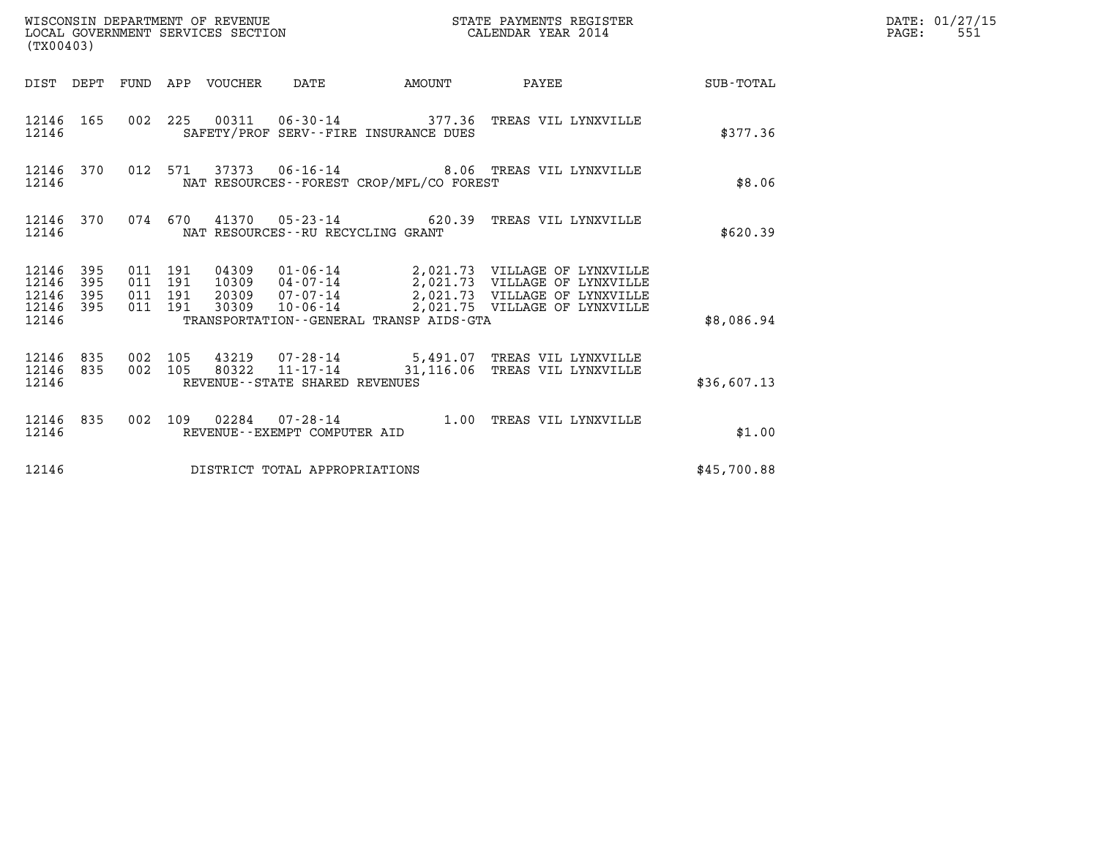| WISCONSIN DEPARTMENT OF REVENUE<br>LOCAL GOVERNMENT SERVICES SECTION<br>$(mv \wedge \wedge \wedge \wedge \wedge)$ | STATE PAYMENTS REGISTER<br>CALENDAR YEAR 2014 | DATE: 01/27/15<br>551<br>PAGE: |
|-------------------------------------------------------------------------------------------------------------------|-----------------------------------------------|--------------------------------|

| (TX00403)                                                                                         | STATE PAYMENTS REGISTER<br>WISCONSIN DEPARTMENT OF REVENUE<br>LOCAL GOVERNMENT SERVICES SECTION<br>CALENDAR YEAR 2014                                                                                         |                                                                                                               |  |  |  |  |  |  |  |
|---------------------------------------------------------------------------------------------------|---------------------------------------------------------------------------------------------------------------------------------------------------------------------------------------------------------------|---------------------------------------------------------------------------------------------------------------|--|--|--|--|--|--|--|
| DIST<br>DEPT<br>FUND                                                                              | APP<br>VOUCHER<br>DATE<br><b>EXAMPLE THE AMOUNT</b>                                                                                                                                                           | PAYEE<br><b>SUB-TOTAL</b>                                                                                     |  |  |  |  |  |  |  |
| 165<br>002<br>12146<br>12146                                                                      | 225<br>00311  06-30-14  377.36  TREAS VIL LYNXVILLE<br>SAFETY/PROF SERV--FIRE INSURANCE DUES                                                                                                                  | \$377.36                                                                                                      |  |  |  |  |  |  |  |
| 012<br>12146<br>370<br>12146                                                                      | 571<br>37373   06-16-14   8.06   TREAS VIL LYNXVILLE<br>NAT RESOURCES - - FOREST CROP/MFL/CO FOREST                                                                                                           | \$8.06                                                                                                        |  |  |  |  |  |  |  |
| 370<br>074<br>12146<br>12146                                                                      | 670<br>41370<br>$05 - 23 - 14$ 620.39<br>NAT RESOURCES - - RU RECYCLING GRANT                                                                                                                                 | TREAS VIL LYNXVILLE<br>\$620.39                                                                               |  |  |  |  |  |  |  |
| 395<br>011<br>12146<br>12146<br>395<br>011<br>12146<br>395<br>011<br>12146<br>395<br>011<br>12146 | 191<br>04309<br>$01 - 06 - 14$ 2,021.73 VILLAGE OF LYNXVILLE<br>$04 - 07 - 14$<br>191<br>10309<br>$07 - 07 - 14$<br>191<br>20309<br>30309<br>$10 - 06 - 14$<br>191<br>TRANSPORTATION--GENERAL TRANSP AIDS-GTA | 2,021.73 VILLAGE OF LYNXVILLE<br>2,021.73 VILLAGE OF LYNXVILLE<br>2,021.75 VILLAGE OF LYNXVILLE<br>\$8,086.94 |  |  |  |  |  |  |  |
| 835<br>002<br>12146<br>002<br>12146<br>835<br>12146                                               | 105<br>43219  07-28-14  5,491.07  TREAS VIL LYNXVILLE<br>105<br>80322<br>$11 - 17 - 14$ 31, 116.06<br>REVENUE--STATE SHARED REVENUES                                                                          | TREAS VIL LYNXVILLE<br>\$36,607.13                                                                            |  |  |  |  |  |  |  |
| 835<br>002<br>12146<br>12146                                                                      | 109<br>$07 - 28 - 14$<br>02284<br>1.00<br>REVENUE - - EXEMPT COMPUTER AID                                                                                                                                     | TREAS VIL LYNXVILLE<br>\$1.00                                                                                 |  |  |  |  |  |  |  |
| 12146                                                                                             | DISTRICT TOTAL APPROPRIATIONS                                                                                                                                                                                 | \$45,700.88                                                                                                   |  |  |  |  |  |  |  |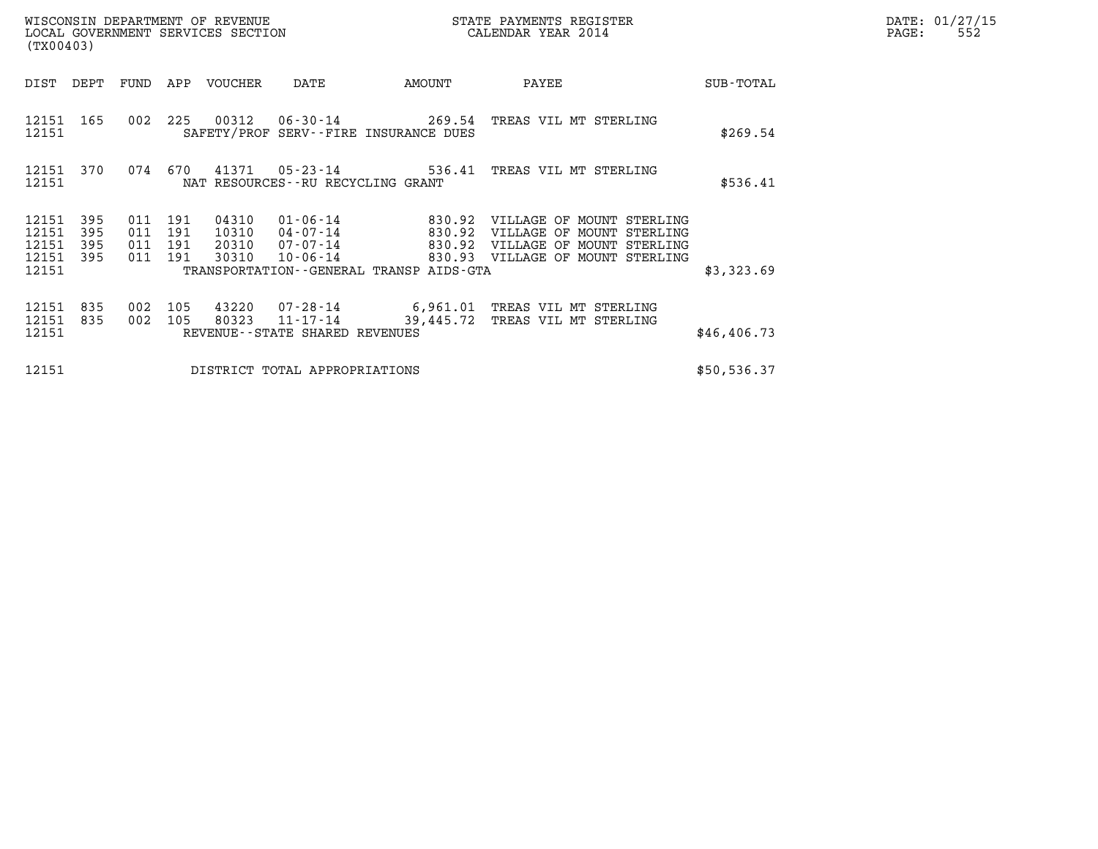| DATE: | 01/27/15 |
|-------|----------|
| PAGE: | 552      |

| (TX00403)                        |                          |                              |                   | WISCONSIN DEPARTMENT OF REVENUE<br>LOCAL GOVERNMENT SERVICES SECTION |                                            |                                              | STATE PAYMENTS REGISTER<br>CALENDAR YEAR 2014                                              |              | DATE: 01/27/15<br>PAGE:<br>552 |
|----------------------------------|--------------------------|------------------------------|-------------------|----------------------------------------------------------------------|--------------------------------------------|----------------------------------------------|--------------------------------------------------------------------------------------------|--------------|--------------------------------|
| DIST                             | DEPT                     | FUND                         | APP               | VOUCHER                                                              | DATE                                       | AMOUNT                                       | PAYEE                                                                                      | SUB-TOTAL    |                                |
| 12151 165<br>12151               |                          | 002                          | 225               |                                                                      |                                            | SAFETY/PROF SERV--FIRE INSURANCE DUES        | 00312  06-30-14  269.54  TREAS VIL MT STERLING                                             | \$269.54     |                                |
| 12151                            | 12151 370                | 074                          | 670               |                                                                      | NAT RESOURCES--RU RECYCLING GRANT          |                                              | 41371  05-23-14  536.41  TREAS VIL MT STERLING                                             | \$536.41     |                                |
| 12151<br>12151<br>12151<br>12151 | 395<br>395<br>395<br>395 | 011<br>011<br>011<br>011 191 | 191<br>191<br>191 | 04310<br>10310<br>20310                                              | 01-06-14<br>04-07-14<br>$07 - 07 - 14$     | 830.92<br>830.92                             | VILLAGE OF MOUNT STERLING<br>VILLAGE OF MOUNT STERLING<br>830.92 VILLAGE OF MOUNT STERLING |              |                                |
| 12151                            |                          |                              |                   | 30310                                                                | $10 - 06 - 14$                             | TRANSPORTATION - - GENERAL TRANSP AIDS - GTA | 830.93 VILLAGE OF MOUNT STERLING                                                           | \$3,323.69   |                                |
| 12151<br>12151<br>12151          | 835<br>835               | 002<br>002                   | 105<br>105        | 43220<br>80323                                                       | 11-17-14<br>REVENUE--STATE SHARED REVENUES | 39,445.72                                    | 07-28-14 6,961.01 TREAS VIL MT STERLING<br>TREAS VIL MT STERLING                           | \$46, 406.73 |                                |
| 12151                            |                          |                              |                   |                                                                      | DISTRICT TOTAL APPROPRIATIONS              |                                              |                                                                                            | \$50,536.37  |                                |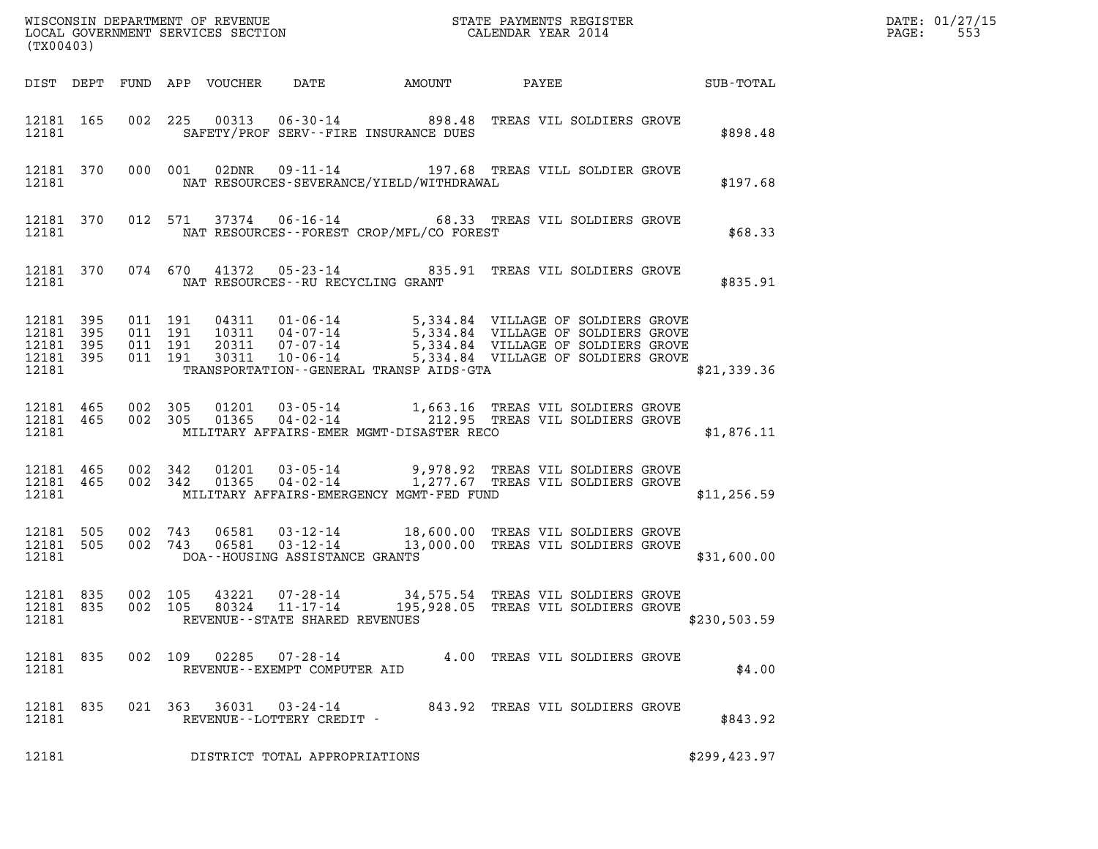| (TX00403)                                        |           |       |                                          |                                   | WISCONSIN DEPARTMENT OF REVENUE<br>LOCAL GOVERNMENT SERVICES SECTION<br>CALENDAR YEAR 2014                                                                                                                                                                                                 |  |               | DATE: 01/27/15<br>$\mathtt{PAGE:}$<br>553 |
|--------------------------------------------------|-----------|-------|------------------------------------------|-----------------------------------|--------------------------------------------------------------------------------------------------------------------------------------------------------------------------------------------------------------------------------------------------------------------------------------------|--|---------------|-------------------------------------------|
|                                                  |           |       |                                          |                                   |                                                                                                                                                                                                                                                                                            |  |               |                                           |
|                                                  |           | 12181 |                                          |                                   | 12181 165 002 225 00313 06-30-14 898.48 TREAS VIL SOLDIERS GROVE<br>SAFETY/PROF SERV--FIRE INSURANCE DUES                                                                                                                                                                                  |  | \$898.48      |                                           |
|                                                  |           | 12181 |                                          |                                   | 12181 370 000 001 02DNR 09-11-14 197.68 TREAS VILL SOLDIER GROVE<br>NAT RESOURCES-SEVERANCE/YIELD/WITHDRAWAL                                                                                                                                                                               |  | \$197.68      |                                           |
|                                                  |           | 12181 |                                          |                                   | 12181 370 012 571 37374 06-16-14 68.33 TREAS VIL SOLDIERS GROVE<br>NAT RESOURCES--FOREST CROP/MFL/CO FOREST                                                                                                                                                                                |  | \$68.33       |                                           |
|                                                  |           | 12181 |                                          |                                   | 12181 370 074 670 41372 05-23-14 835.91 TREAS VIL SOLDIERS GROVE<br>NAT RESOURCES--RU RECYCLING GRANT                                                                                                                                                                                      |  | \$835.91      |                                           |
| 12181 395<br>12181 395<br>12181 395<br>12181 395 |           |       | 011 191<br>011 191<br>011 191<br>011 191 |                                   | 04311  01-06-14  5,334.84  VILLAGE OF SOLDIERS GROVE<br>10311  04-07-14  5,334.84  VILLAGE OF SOLDIERS GROVE<br>20311  07-07-14  5,334.84  VILLAGE OF SOLDIERS GROVE<br>30311  10-06-14  5,334.84  VILLAGE OF SOLDIERS GROVE<br>12181 TRANSPORTATION - GENERAL TRANSP AIDS - GTA           |  | \$21,339.36   |                                           |
|                                                  |           | 12181 |                                          |                                   | $\begin{array}{cccccccc} 12181 & 465 & 002 & 305 & 01201 & 03\cdot 05\cdot 14 & & 1,663.16 & \text{TREAS VIL SOLDIERS GROVE} \\ 12181 & 465 & 002 & 305 & 01365 & 04\cdot 02\cdot 14 & & 212.95 & \text{TREAS VIL SOLDIERS GROVE} \end{array}$<br>MILITARY AFFAIRS-EMER MGMT-DISASTER RECO |  | \$1,876.11    |                                           |
|                                                  |           |       |                                          |                                   | 12181  465  002  342  01201  03-05-14  9,978.92  TREAS VIL SOLDIERS GROVE 12181  465  002  342  01365  04-02-14   1,277.67  TREAS VIL SOLDIERS GROVE<br>12181 MILITARY AFFAIRS-EMERGENCY MGMT-FED FUND                                                                                     |  | \$11, 256.59  |                                           |
|                                                  |           |       |                                          |                                   | $12181 505 002 743 06581 03-12-14 18,600.00  TREAS VIL SOLDIERS GROVE12181 505 002 743 06581 03-12-14 13,000.00  TREAS VIL SOLDIERS GROVE$<br>12181 DOA--HOUSING ASSISTANCE GRANTS                                                                                                         |  | \$31,600.00   |                                           |
| 12181                                            | 12181 835 |       |                                          | REVENUE - - STATE SHARED REVENUES | 12181 835 002 105 43221 07-28-14 34,575.54 TREAS VIL SOLDIERS GROVE<br>002 105 80324 11-17-14 195,928.05 TREAS VIL SOLDIERS GROVE                                                                                                                                                          |  | \$230,503.59  |                                           |
| 12181 835<br>12181                               |           |       |                                          | REVENUE--EXEMPT COMPUTER AID      | 002 109 02285 07-28-14 4.00 TREAS VIL SOLDIERS GROVE                                                                                                                                                                                                                                       |  | \$4.00        |                                           |
| 12181 835<br>12181                               |           |       |                                          | REVENUE--LOTTERY CREDIT -         | 021 363 36031 03-24-14 843.92 TREAS VIL SOLDIERS GROVE                                                                                                                                                                                                                                     |  | \$843.92      |                                           |
| 12181                                            |           |       |                                          | DISTRICT TOTAL APPROPRIATIONS     |                                                                                                                                                                                                                                                                                            |  | \$299, 423.97 |                                           |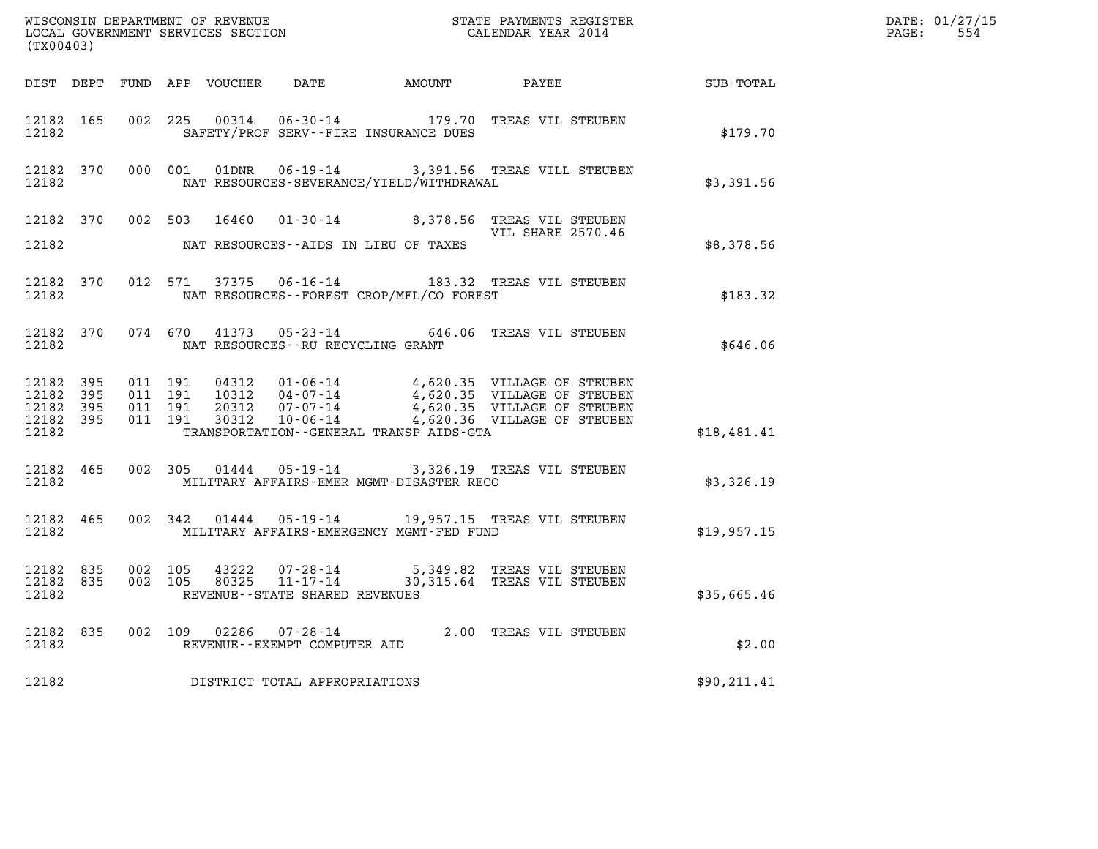| (TX00403)                                    |                        |                                          |                                         |                                                | ${\tt WISCOONSIM} \begin{tabular}{lcccc} {\tt WISCO} & {\tt NEVENUE} & {\tt STATE} & {\tt PAYMENTS} \begin{tabular}{l} {\tt REGISTER} \\ {\tt LOCALENDAR} & {\tt SFATE} & {\tt PAYMENTS} \end{tabular} \end{tabular}$ |             | DATE: 01/27/15<br>$\mathtt{PAGE:}$<br>554 |
|----------------------------------------------|------------------------|------------------------------------------|-----------------------------------------|------------------------------------------------|-----------------------------------------------------------------------------------------------------------------------------------------------------------------------------------------------------------------------|-------------|-------------------------------------------|
|                                              |                        |                                          |                                         |                                                | DIST DEPT FUND APP VOUCHER DATE AMOUNT PAYEE TOTAL                                                                                                                                                                    |             |                                           |
| 12182                                        | 12182 165              |                                          |                                         | SAFETY/PROF SERV--FIRE INSURANCE DUES          | 002 225 00314 06-30-14 179.70 TREAS VIL STEUBEN                                                                                                                                                                       | \$179.70    |                                           |
| 12182                                        | 12182 370              |                                          |                                         | NAT RESOURCES-SEVERANCE/YIELD/WITHDRAWAL       | 000 001 01DNR 06-19-14 3,391.56 TREAS VILL STEUBEN                                                                                                                                                                    | \$3,391.56  |                                           |
|                                              |                        |                                          |                                         |                                                | 12182 370 002 503 16460 01-30-14 8,378.56 TREAS VIL STEUBEN<br>VIL SHARE 2570.46                                                                                                                                      |             |                                           |
| 12182                                        |                        |                                          |                                         | NAT RESOURCES--AIDS IN LIEU OF TAXES           |                                                                                                                                                                                                                       | \$8,378.56  |                                           |
| 12182                                        | 12182 370              |                                          |                                         | NAT RESOURCES--FOREST CROP/MFL/CO FOREST       | 012 571 37375 06-16-14 183.32 TREAS VIL STEUBEN                                                                                                                                                                       | \$183.32    |                                           |
|                                              |                        |                                          | 12182 NAT RESOURCES--RU RECYCLING GRANT |                                                | 12182 370 074 670 41373 05-23-14 646.06 TREAS VIL STEUBEN                                                                                                                                                             | \$646.06    |                                           |
| 12182 395<br>12182 395<br>12182 395<br>12182 | 12182 395              | 011 191<br>011 191<br>011 191<br>011 191 |                                         | TRANSPORTATION - - GENERAL TRANSP AIDS-GTA     | 04312  01-06-14  4,620.35  VILLAGE OF STEUBEN<br>10312  04-07-14  4,620.35  VILLAGE OF STEUBEN<br>20312  07-07-14  4,620.35  VILLAGE OF STEUBEN<br>30312  10-06-14  4,620.36  VILLAGE OF STEUBEN                      | \$18,481.41 |                                           |
| 12182                                        | 12182 465              |                                          |                                         | MILITARY AFFAIRS-EMER MGMT-DISASTER RECO       | 002 305 01444 05-19-14 3,326.19 TREAS VIL STEUBEN                                                                                                                                                                     | \$3,326.19  |                                           |
|                                              | 12182 465              |                                          |                                         | 12182 MILITARY AFFAIRS-EMERGENCY MGMT-FED FUND | 002 342 01444 05-19-14 19,957.15 TREAS VIL STEUBEN                                                                                                                                                                    | \$19,957.15 |                                           |
| 12182                                        | 12182 835<br>12182 835 |                                          | REVENUE--STATE SHARED REVENUES          |                                                | 002 105 43222 07-28-14 5,349.82 TREAS VIL STEUBEN<br>002 105 80325 11-17-14 30,315.64 TREAS VIL STEUBEN                                                                                                               | \$35,665.46 |                                           |
| 12182                                        |                        |                                          | REVENUE--EXEMPT COMPUTER AID            |                                                | 12182 835 002 109 02286 07-28-14 2.00 TREAS VIL STEUBEN                                                                                                                                                               | \$2.00      |                                           |
| 12182                                        |                        |                                          | DISTRICT TOTAL APPROPRIATIONS           |                                                |                                                                                                                                                                                                                       | \$90,211.41 |                                           |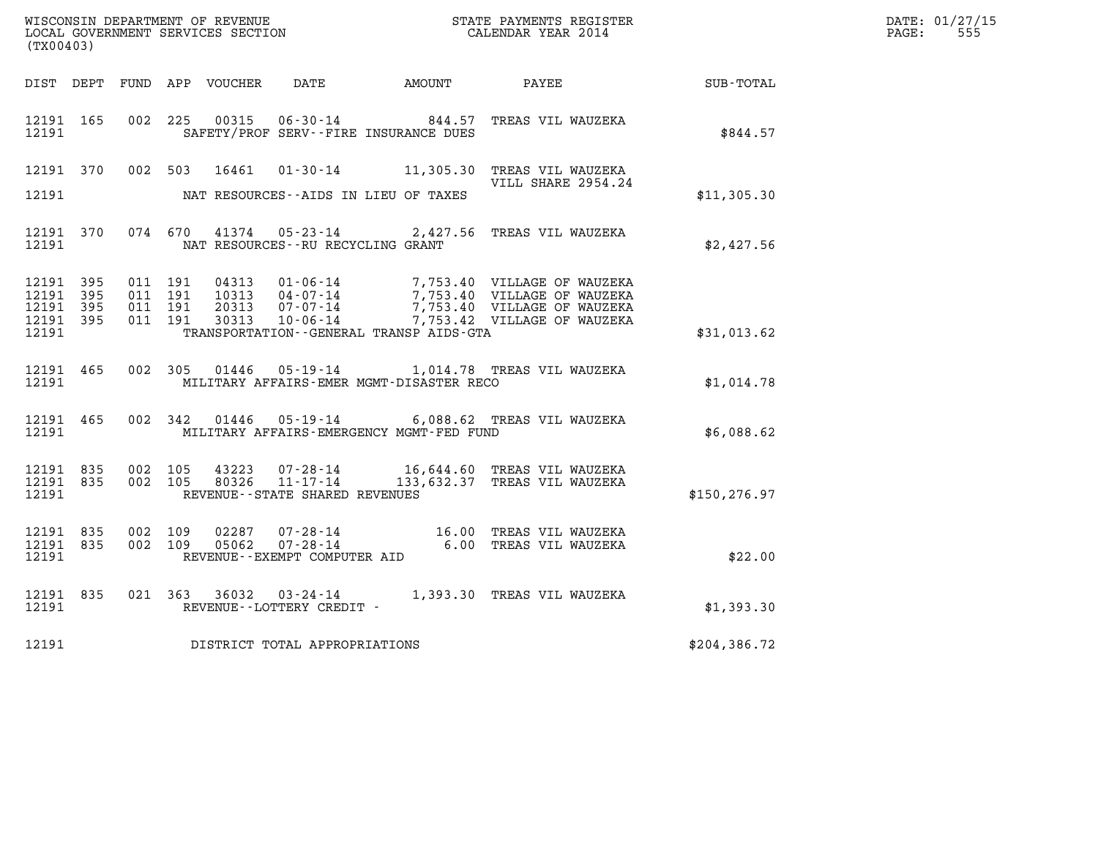| WISCONSIN DEPARTMENT OF REVENUE<br>LOCAL GOVERNMENT SERVICES SECTION | STATE PAYMENTS REGISTER<br>CALENDAR YEAR 2014 | DATE: 01/27/15<br>555<br>PAGE: |
|----------------------------------------------------------------------|-----------------------------------------------|--------------------------------|

| WISCONSIN DEPARTMENT OF REVENUE<br>LOCAL GOVERNMENT SERVICES SECTION FOR THE SERVICES OF CALENDAR YEAR 2014<br>(TX00403) |  |  |  |  |                                                                                                               |                                                |                                                                                                                                                                                                                                                                                                                                            |               | DATE: 01/27/15<br>$\mathtt{PAGE:}$<br>555 |
|--------------------------------------------------------------------------------------------------------------------------|--|--|--|--|---------------------------------------------------------------------------------------------------------------|------------------------------------------------|--------------------------------------------------------------------------------------------------------------------------------------------------------------------------------------------------------------------------------------------------------------------------------------------------------------------------------------------|---------------|-------------------------------------------|
|                                                                                                                          |  |  |  |  |                                                                                                               |                                                |                                                                                                                                                                                                                                                                                                                                            |               |                                           |
| 12191 165<br>12191                                                                                                       |  |  |  |  |                                                                                                               | SAFETY/PROF SERV--FIRE INSURANCE DUES          | 002 225 00315 06-30-14 844.57 TREAS VIL WAUZEKA                                                                                                                                                                                                                                                                                            | \$844.57      |                                           |
|                                                                                                                          |  |  |  |  |                                                                                                               |                                                | 12191 370 002 503 16461 01-30-14 11,305.30 TREAS VIL WAUZEKA<br>VILL SHARE 2954.24                                                                                                                                                                                                                                                         |               |                                           |
|                                                                                                                          |  |  |  |  |                                                                                                               | 12191 MAT RESOURCES--AIDS IN LIEU OF TAXES     |                                                                                                                                                                                                                                                                                                                                            | \$11,305.30   |                                           |
|                                                                                                                          |  |  |  |  | 12191 NAT RESOURCES--RU RECYCLING GRANT                                                                       |                                                | 12191 370 074 670 41374 05-23-14 2,427.56 TREAS VIL WAUZEKA                                                                                                                                                                                                                                                                                | \$2,427.56    |                                           |
| 12191 395<br>12191 395<br>12191 395<br>12191 395<br>12191                                                                |  |  |  |  |                                                                                                               | TRANSPORTATION - GENERAL TRANSP AIDS GTA       | $\begin{array}{cccc} 011 & 191 & 04313 & 01\cdot 06\cdot 14 & 7,753.40 & \text{VILLAGE OF WAUZERA} \\ 011 & 191 & 10313 & 04\cdot 07\cdot 14 & 7,753.40 & \text{VILLAGE OF WAUZERA} \\ 011 & 191 & 20313 & 07\cdot 07\cdot 14 & 7,753.40 & \text{VILLAGE OF WAUZERA} \\ 011 & 191 & 30313 & 10\cdot 06\cdot 14 & 7,753.42 & \text{VILLAGE$ | \$31,013.62   |                                           |
|                                                                                                                          |  |  |  |  | 12191 465 002 305 01446 05-19-14 1,014.78 TREAS VIL WAUZEKA<br>12191 MILITARY AFFAIRS-EMER MGMT-DISASTER RECO | \$1,014.78                                     |                                                                                                                                                                                                                                                                                                                                            |               |                                           |
|                                                                                                                          |  |  |  |  |                                                                                                               | 12191 MILITARY AFFAIRS-EMERGENCY MGMT-FED FUND | 12191 465 002 342 01446 05-19-14 6,088.62 TREAS VIL WAUZEKA                                                                                                                                                                                                                                                                                | \$6,088.62    |                                           |
| 12191                                                                                                                    |  |  |  |  | REVENUE - - STATE SHARED REVENUES                                                                             |                                                | $\begin{array}{cccc} 12191 & 835 & 002 & 105 & 43223 & 07\text{-}28\text{-}14 & 16,644.60 & \text{TREAS VIL WAUZERA} \\ 12191 & 835 & 002 & 105 & 80326 & 11\text{-}17\text{-}14 & 133,632.37 & \text{TREAS VIL WAUZERA} \end{array}$                                                                                                      | \$150, 276.97 |                                           |
| 12191 835<br>12191 835<br>12191                                                                                          |  |  |  |  |                                                                                                               |                                                | 002 109 02287 07-28-14 16.00 TREAS VIL WAUZEKA<br>002 109 05062 07-28-14 6.00 TREAS VIL WAUZEKA<br>REVENUE--EXEMPT COMPUTER AID                                                                                                                                                                                                            | \$22.00       |                                           |
| 12191 835<br>12191                                                                                                       |  |  |  |  | REVENUE--LOTTERY CREDIT -                                                                                     |                                                | 021 363 36032 03-24-14 1,393.30 TREAS VIL WAUZEKA                                                                                                                                                                                                                                                                                          | \$1,393.30    |                                           |
|                                                                                                                          |  |  |  |  |                                                                                                               | 12191 DISTRICT TOTAL APPROPRIATIONS            |                                                                                                                                                                                                                                                                                                                                            | \$204,386.72  |                                           |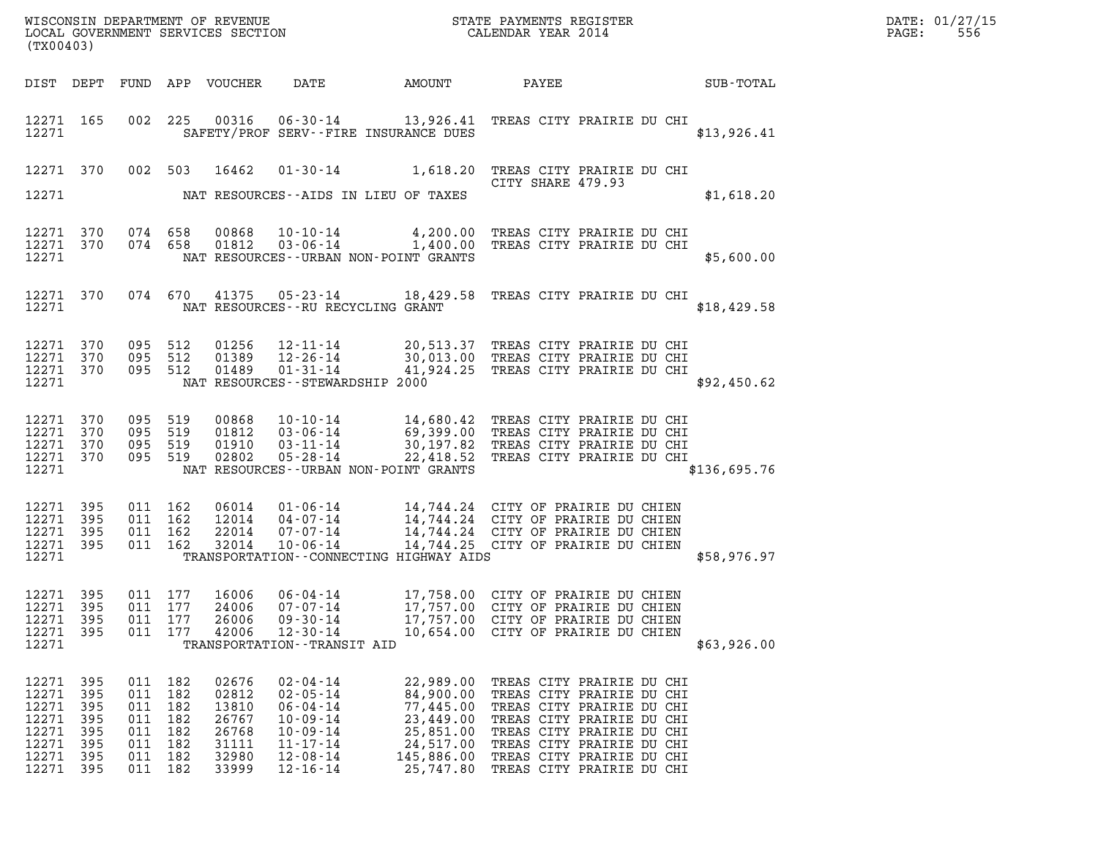| DATE: | 01/27/15 |
|-------|----------|
| PAGE: | 556      |

| (TX00403)                                                            |                                                       |                                                          |                                               |                                                                      |                                                                                                                                              |                                                                                                       |                                                                                                                                                                                                                                      |              | DATE: 01/27/15<br>$\mathtt{PAGE}$ :<br>556 |
|----------------------------------------------------------------------|-------------------------------------------------------|----------------------------------------------------------|-----------------------------------------------|----------------------------------------------------------------------|----------------------------------------------------------------------------------------------------------------------------------------------|-------------------------------------------------------------------------------------------------------|--------------------------------------------------------------------------------------------------------------------------------------------------------------------------------------------------------------------------------------|--------------|--------------------------------------------|
|                                                                      |                                                       |                                                          |                                               | DIST DEPT FUND APP VOUCHER                                           | DATE                                                                                                                                         | <b>AMOUNT</b>                                                                                         | PAYEE<br><b>SUB-TOTAL</b>                                                                                                                                                                                                            |              |                                            |
| 12271 165<br>12271                                                   |                                                       |                                                          |                                               |                                                                      | SAFETY/PROF SERV--FIRE INSURANCE DUES                                                                                                        |                                                                                                       | 002 225 00316 06-30-14 13,926.41 TREAS CITY PRAIRIE DU CHI                                                                                                                                                                           | \$13,926.41  |                                            |
| 12271 370                                                            |                                                       |                                                          |                                               | 002 503 16462                                                        |                                                                                                                                              |                                                                                                       | 01-30-14 1,618.20 TREAS CITY PRAIRIE DU CHI<br>CITY SHARE 479.93                                                                                                                                                                     |              |                                            |
| 12271                                                                |                                                       |                                                          |                                               |                                                                      | NAT RESOURCES--AIDS IN LIEU OF TAXES                                                                                                         |                                                                                                       |                                                                                                                                                                                                                                      | \$1,618.20   |                                            |
| 12271 370<br>12271 370<br>12271                                      |                                                       | 074 658<br>074 658                                       |                                               | 00868<br>01812                                                       | NAT RESOURCES - - URBAN NON-POINT GRANTS                                                                                                     |                                                                                                       | 10-10-14 4,200.00 TREAS CITY PRAIRIE DU CHI<br>03-06-14 1,400.00 TREAS CITY PRAIRIE DU CHI                                                                                                                                           | \$5,600.00   |                                            |
| 12271 370<br>12271                                                   |                                                       |                                                          |                                               |                                                                      | NAT RESOURCES--RU RECYCLING GRANT                                                                                                            |                                                                                                       | 074 670 41375 05-23-14 18,429.58 TREAS CITY PRAIRIE DU CHI                                                                                                                                                                           | \$18,429.58  |                                            |
| 12271 370<br>12271 370<br>12271 370<br>12271                         |                                                       | 095 512<br>095 512<br>095 512                            |                                               | 01256<br>01389<br>01489                                              | $12 - 11 - 14$<br>12-26-14<br>01-31-14<br>NAT RESOURCES - - STEWARDSHIP 2000                                                                 |                                                                                                       | 20,513.37 TREAS CITY PRAIRIE DU CHI<br>30,013.00 TREAS CITY PRAIRIE DU CHI<br>41,924.25 TREAS CITY PRAIRIE DU CHI                                                                                                                    | \$92,450.62  |                                            |
| 12271 370<br>12271<br>12271 370<br>12271 370<br>12271                | 370                                                   | 095 519<br>095 519<br>095 519<br>095 519                 |                                               | 00868<br>01812<br>01910<br>02802                                     | 05-28-14<br>NAT RESOURCES - - URBAN NON-POINT GRANTS                                                                                         |                                                                                                       | 10-10-14 14,680.42 TREAS CITY PRAIRIE DU CHI<br>03-06-14 69,399.00 TREAS CITY PRAIRIE DU CHI<br>03-11-14 30,197.82 TREAS CITY PRAIRIE DU CHT<br>22,418.52 TREAS CITY PRAIRIE DU CHI                                                  | \$136,695.76 |                                            |
| 12271 395<br>12271 395<br>12271 395<br>12271 395<br>12271            |                                                       | 011 162<br>011 162<br>011 162<br>011 162                 |                                               | 06014<br>12014<br>22014<br>32014                                     | $07 - 07 - 14$<br>10-06-14<br>TRANSPORTATION--CONNECTING HIGHWAY AIDS                                                                        |                                                                                                       | 14,744.24 CITY OF PRAIRIE DU CHIEN<br>14,744.25 CITY OF PRAIRIE DU CHIEN                                                                                                                                                             | \$58,976.97  |                                            |
| 12271 395<br>12271<br>12271<br>12271<br>12271                        | 395<br>395<br>395                                     | 011<br>011<br>011 177                                    | 011 177<br>177<br>177                         | 16006<br>24006<br>26006<br>42006                                     | 06-04-14<br>$07 - 07 - 14$<br>$09 - 30 - 14$<br>$12 - 30 - 14$<br>TRANSPORTATION - - TRANSIT AID                                             | 17,757.00<br>17,757.00                                                                                | 17,758.00 CITY OF PRAIRIE DU CHIEN<br>CITY OF PRAIRIE DU CHIEN<br>CITY OF PRAIRIE DU CHIEN<br>10,654.00 CITY OF PRAIRIE DU CHIEN                                                                                                     | \$63,926.00  |                                            |
| 12271<br>12271<br>12271<br>12271<br>12271<br>12271<br>12271<br>12271 | 395<br>395<br>395<br>395<br>395<br>395<br>395<br>-395 | 011 182<br>011<br>011<br>011<br>011<br>011<br>011<br>011 | 182<br>182<br>182<br>182<br>182<br>182<br>182 | 02676<br>02812<br>13810<br>26767<br>26768<br>31111<br>32980<br>33999 | $02 - 04 - 14$<br>$02 - 05 - 14$<br>$06 - 04 - 14$<br>$10 - 09 - 14$<br>$10 - 09 - 14$<br>$11 - 17 - 14$<br>$12 - 08 - 14$<br>$12 - 16 - 14$ | 22,989.00<br>84,900.00<br>77,445.00<br>23,449.00<br>25,851.00<br>24,517.00<br>145,886.00<br>25,747.80 | TREAS CITY PRAIRIE DU CHI<br>TREAS CITY PRAIRIE DU CHI<br>TREAS CITY PRAIRIE DU CHI<br>TREAS CITY PRAIRIE DU CHI<br>TREAS CITY PRAIRIE DU CHI<br>TREAS CITY PRAIRIE DU CHI<br>TREAS CITY PRAIRIE DU CHI<br>TREAS CITY PRAIRIE DU CHI |              |                                            |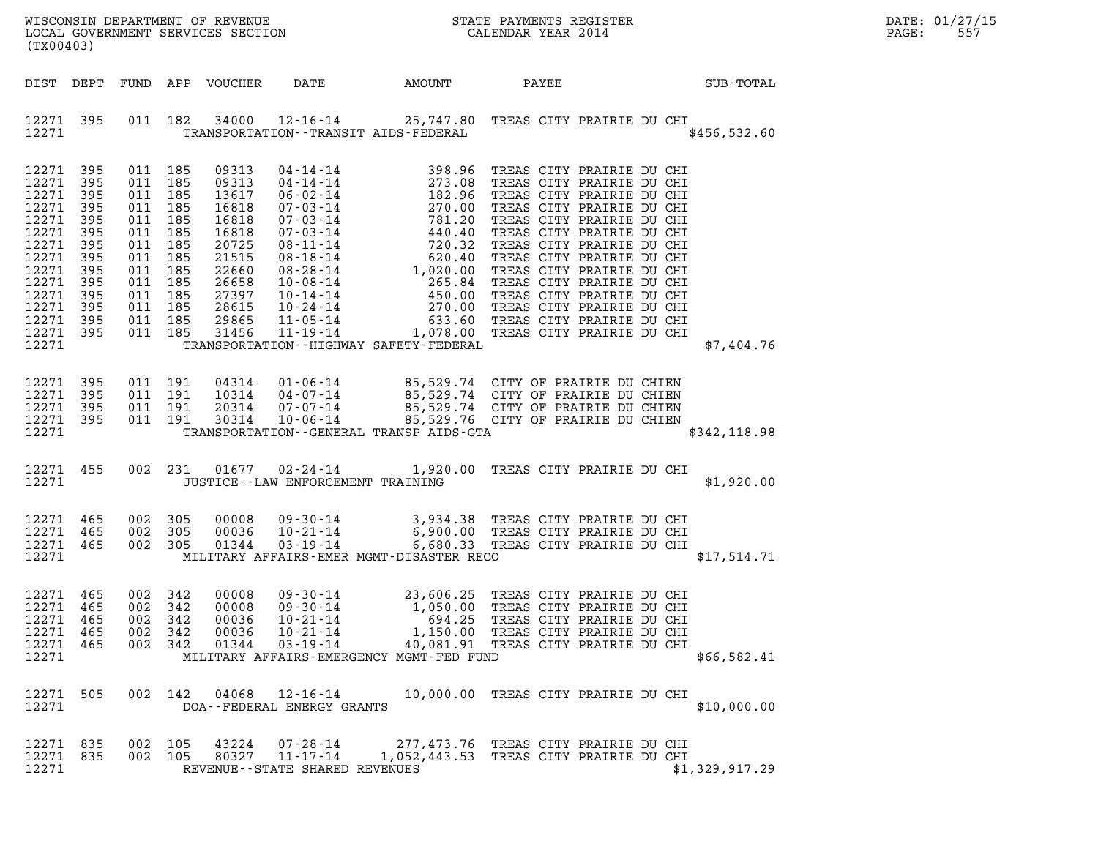| (TX00403)                                                                                                                                       |                                                                           |                                                                                                                                                        |     |                                                                                                                            |                                                                                        |                                                                |                                                                                                                                                                                                                                          | DATE: 01/27/15<br>$\mathtt{PAGE}$ :<br>557 |  |
|-------------------------------------------------------------------------------------------------------------------------------------------------|---------------------------------------------------------------------------|--------------------------------------------------------------------------------------------------------------------------------------------------------|-----|----------------------------------------------------------------------------------------------------------------------------|----------------------------------------------------------------------------------------|----------------------------------------------------------------|------------------------------------------------------------------------------------------------------------------------------------------------------------------------------------------------------------------------------------------|--------------------------------------------|--|
|                                                                                                                                                 |                                                                           |                                                                                                                                                        |     | DIST DEPT FUND APP VOUCHER                                                                                                 |                                                                                        | DATE AMOUNT                                                    | PAYEE                                                                                                                                                                                                                                    | <b>SUB-TOTAL</b>                           |  |
| 12271 395<br>12271                                                                                                                              |                                                                           |                                                                                                                                                        |     |                                                                                                                            |                                                                                        | TRANSPORTATION - - TRANSIT AIDS - FEDERAL                      | 011 182 34000 12-16-14 25,747.80 TREAS CITY PRAIRIE DU CHI                                                                                                                                                                               | \$456,532.60                               |  |
| 12271 395<br>12271<br>12271<br>12271<br>12271<br>12271<br>12271<br>12271<br>12271<br>12271<br>12271<br>12271<br>12271 395<br>12271 395<br>12271 | 395<br>395<br>395<br>395<br>395<br>395<br>395<br>395<br>395<br>395<br>395 | 011 185<br>011 185<br>011 185<br>011 185<br>011 185<br>011 185<br>011 185<br>011 185<br>011 185<br>011 185<br>011 185<br>011 185<br>011 185<br>011 185 |     | 09313<br>09313<br>13617<br>16818<br>16818<br>16818<br>20725<br>21515<br>22660<br>26658<br>27397<br>28615<br>29865<br>31456 |                                                                                        | TRANSPORTATION - - HIGHWAY SAFETY - FEDERAL                    | 04-14-14 398.96 TREAS CITY PRAIRIE DU CHI<br>04-14-14 373.08 TREAS CITY PRAIRIE DU CHI<br>06-02-14 182.96 TREAS CITY PRAIRIE DU CHI<br>07-03-14 781.20 TREAS CITY PRAIRIE DU CHI<br>07-03-14 781.20 TREAS CITY PRAIRIE DU CHI<br>07-03-1 | \$7,404.76                                 |  |
| 12271 395<br>12271 395<br>12271<br>12271 395<br>12271                                                                                           | 395                                                                       | 011 191<br>011 191<br>011 191<br>011 191                                                                                                               |     |                                                                                                                            |                                                                                        | TRANSPORTATION--GENERAL TRANSP AIDS-GTA                        | 04314 01-06-14 85,529.74 CITY OF PRAIRIE DU CHIEN<br>10314 04-07-14 85,529.74 CITY OF PRAIRIE DU CHIEN<br>20314 07-07-14 85,529.74 CITY OF PRAIRIE DU CHIEN<br>30314 10-06-14 85,529.76 CITY OF PRAIRIE DU CHIEN                         | \$342,118.98                               |  |
| 12271 455<br>12271                                                                                                                              |                                                                           |                                                                                                                                                        |     |                                                                                                                            | JUSTICE - - LAW ENFORCEMENT TRAINING                                                   |                                                                | 002 231 01677 02-24-14 1,920.00 TREAS CITY PRAIRIE DU CHI                                                                                                                                                                                | \$1,920.00                                 |  |
| 12271 465<br>12271<br>12271 465<br>12271                                                                                                        | 465                                                                       | 002 305<br>002 305<br>002 305                                                                                                                          |     | 00008<br>00036<br>01344                                                                                                    |                                                                                        | MILITARY AFFAIRS-EMER MGMT-DISASTER RECO                       | 09-30-14 3,934.38 TREAS CITY PRAIRIE DU CHI<br>10-21-14 6,900.00 TREAS CITY PRAIRIE DU CHI<br>03-19-14 6,680.33 TREAS CITY PRAIRIE DU CHI                                                                                                | \$17,514.71                                |  |
| 12271 465<br>12271<br>12271<br>12271<br>12271<br>12271                                                                                          | 465<br>-465<br>465<br>465                                                 | 002 342<br>002<br>002 342<br>002 342<br>002 342                                                                                                        | 342 | 00008<br>00008<br>00036<br>00036<br>01344                                                                                  | $09 - 30 - 14$<br>$09 - 30 - 14$<br>$10 - 21 - 14$<br>$10 - 21 - 14$<br>$03 - 19 - 14$ | 1,050.00<br>694.25<br>MILITARY AFFAIRS-EMERGENCY MGMT-FED FUND | 23,606.25 TREAS CITY PRAIRIE DU CHI<br>TREAS CITY PRAIRIE DU CHI<br>TREAS CITY PRAIRIE DU CHI<br>1,150.00 TREAS CITY PRAIRIE DU CHI<br>40,081.91 TREAS CITY PRAIRIE DU CHI                                                               | \$66,582.41                                |  |
| 12271 505<br>12271                                                                                                                              |                                                                           | 002 142                                                                                                                                                |     | 04068                                                                                                                      | 12-16-14<br>DOA--FEDERAL ENERGY GRANTS                                                 |                                                                | 10,000.00 TREAS CITY PRAIRIE DU CHI                                                                                                                                                                                                      | \$10,000.00                                |  |
| 12271 835<br>12271<br>12271                                                                                                                     | 835                                                                       | 002 105<br>002 105                                                                                                                                     |     | 43224<br>80327                                                                                                             | 07-28-14<br>$11 - 17 - 14$<br>REVENUE--STATE SHARED REVENUES                           |                                                                | 277,473.76 TREAS CITY PRAIRIE DU CHI<br>1,052,443.53 TREAS CITY PRAIRIE DU CHI                                                                                                                                                           | \$1,329,917.29                             |  |